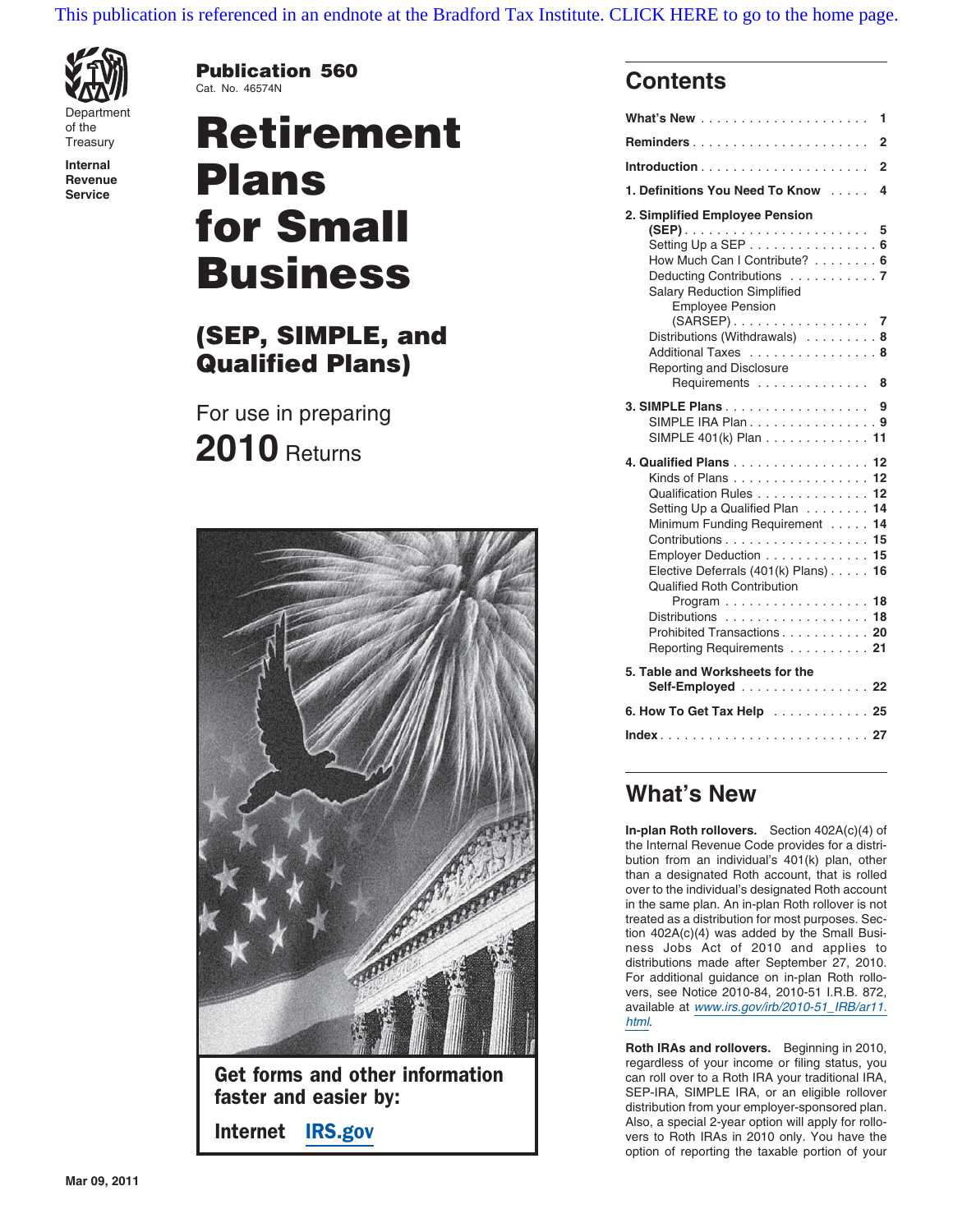

of the

**Publication 560** Cat. No. 46574N **Contents**

# **for Small Business**

# **(SEP, SIMPLE, and Qualified Plans)**



Get forms and other information **faster and easier by: EP-IRA, SIMPLE IRA, or an eligible rollover** distribution from your employer-sponsored plan.

| <b>Retirement</b>                                                                   |                                                                                                                                                                                                                                                                                                                                                                                                                                                      |
|-------------------------------------------------------------------------------------|------------------------------------------------------------------------------------------------------------------------------------------------------------------------------------------------------------------------------------------------------------------------------------------------------------------------------------------------------------------------------------------------------------------------------------------------------|
| <b>Plans</b>                                                                        | 1. Definitions You Need To Know 4                                                                                                                                                                                                                                                                                                                                                                                                                    |
| <b>for Small</b><br><b>Business</b><br>(SEP, SIMPLE, and<br><b>Qualified Plans)</b> | 2. Simplified Employee Pension<br>Setting Up a SEP 6<br>How Much Can I Contribute? 6<br>Deducting Contributions 7<br><b>Salary Reduction Simplified</b><br><b>Employee Pension</b><br>Distributions (Withdrawals)  8<br>Additional Taxes 8<br>Reporting and Disclosure<br>Requirements 8                                                                                                                                                             |
| For use in preparing                                                                | 3. SIMPLE Plans 9<br>SIMPLE IRA Plan 9<br>SIMPLE 401(k) Plan $\dots \dots \dots \dots$ 11                                                                                                                                                                                                                                                                                                                                                            |
|                                                                                     | 4. Qualified Plans 12<br>Kinds of Plans 12<br>Qualification Rules 12<br>Setting Up a Qualified Plan 14<br>Minimum Funding Requirement 14<br>Contributions 15<br>Employer Deduction 15<br>Elective Deferrals (401(k) Plans) 16<br><b>Qualified Roth Contribution</b><br>Program 18<br>Distributions 18<br>Prohibited Transactions 20<br>Reporting Requirements 21<br>5. Table and Worksheets for the<br>Self-Employed 22<br>6. How To Get Tax Help 25 |
|                                                                                     | $2010$ Returns                                                                                                                                                                                                                                                                                                                                                                                                                                       |

## **What's New**

**In-plan Roth rollovers.** Section 402A(c)(4) of the Internal Revenue Code provides for a distribution from an individual's 401(k) plan, other than a designated Roth account, that is rolled over to the individual's designated Roth account in the same plan. An in-plan Roth rollover is not treated as a distribution for most purposes. Section 402A(c)(4) was added by the Small Business Jobs Act of 2010 and applies to distributions made after September 27, 2010. For additional guidance on in-plan Roth rollovers, see Notice 2010-84, 2010-51 I.R.B. 872, available at www.irs.gov/irb/2010-51\_IRB/ar11. html.

**Roth IRAs and rollovers.** Beginning in 2010, regardless of your income or filing status, you can roll over to a Roth IRA your traditional IRA, **Also, a special 2-year option will apply for rollo-** Also, a special 2-year option will apply for rollo-<br>vers to Roth IRAs in 2010 only. You have the option of reporting the taxable portion of your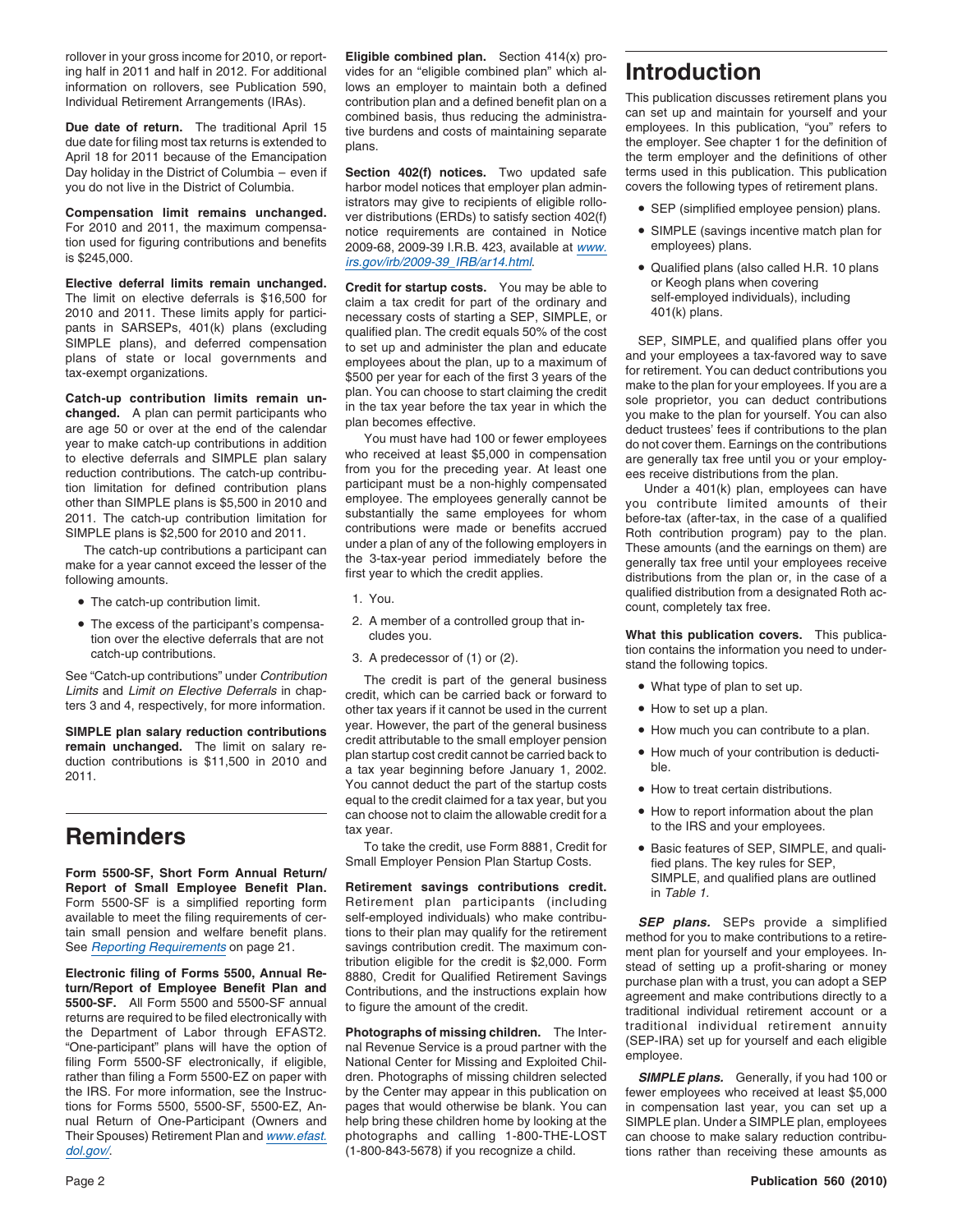rollover in your gross income for 2010, or report- **Eligible combined plan.** Section 414(x) pro-

Day holiday in the District of Columbia – even if **Section 402(f) notices.** Two updated safe terms used in this publication. This publication

- 
- The excess of the participant's compensa- 2. A member of a controlled group that in-

catch-up contributions.<br>See "Catch-up contributions" under *Contribution*<br>Limits and Limit on Elective Deferrals in chap-<br>Limits and Limit on Elective Deferrals in chap-<br>Credit, which can be carried back or forward to<br>expr

Small Employer Pension Plan Startup Costs. fied plans. The key rules for SEP,<br> **Report of Small Employee Benefit Plan.** Retirement savings contributions credit. SIMPLE, and qualified plans are outlined<br>
Form 5500-SF is a s Form 5500-SF is a simplified reporting form

rather than filing a Form 5500-EZ on paper with dren. Photographs of missing children selected *SIMPLE plans.* Generally, if you had 100 or the IRS. For more information, see the Instruc- by the Center may appear in this publication on fewer employees who received at least \$5,000 tions for Forms 5500, 5500-SF, 5500-EZ, An- pages that would otherwise be blank. You can in compensation last year, you can set up a nual Return of One-Participant (Owners and help bring these children home by looking at the SIMPLE plan. Under a SIMPLE plan, employees Their Spouses) Retirement Plan and www.efast. photographs and calling 1-800-THE-LOST can choose to make salary reduction contribu-<br>dol.gov/. (1-800-843-5678) if you recognize a child. tions rather than receiving these amou

ing half in 2011 and half in 2012. For additional vides for an "eligible combined plan" which al- **Introduction** information on rollovers, see Publication 590, lows an employer to maintain both a defined<br>Individual Retirement Arrangements (IRAs). contribution plan and a defined benefit plan on a<br> **Due date of return.** The traditional

you do not live in the District of Columbia. harbor model notices that employer plan admin-<br>istrators may give to recipients of eligible rollo-<br>a or point find another a content plans. **Compensation limit remains unchanged.** Islands hay give to recipients of engine follows of SEP (simplified employee pension) plans.<br>
For 2010 and 2011, the maximum compensation of the maximum compensation used for figurin tion used for figuring contributions and benefits  $2009-68$ ,  $2009-39$  I.R.B. 423, available at www. is \$245,000.

Elective deferral limits remain unchanged.<br>
Elective deferral is \$16,500 for clear and and act or startup costs. You may be able to<br>  $\frac{1}{2}$  and 2011. These limits apply for partici-<br>
accessary costs of starting a SEP,

- 
- The catch-up contribution limit.<br>
 The excess of the participant's compensa- 2. A member of a controlled group that in-
	-

ters 3 and 4, respectively, for more information. other tax years if it cannot be used in the current • How to set up a plan. **SIMPLE plan salary reduction contributions** year. However, the part of the general business<br> **exceptive** the small employer pension<br>
duction contributions is \$11,500 in 2010 and<br>
2011.<br>
You cannot deduct the part of the equal to the credit claimed for a tax year, but you can choose not to claim the allowable credit for a  $\bullet$  How to report information about the plan<br>tax year **Reminders** tax year. To take the credit, use Form 8881, Credit for

- 
- 
- Qualified plans (also called H.R. 10 plans

2011. The catch-up contribution limitation for<br>SIMPLE plans is \$2,500 for 2010 and 2011.<br>The catch-up contributions a participant can<br>make for a year cannot exceed the lesser of the<br>following amounts.<br>following amounts.<br>fo qualified distribution from a designated Roth ac-<br>count, completely tax free.

tion over the elective deferrals that are not cludes you. **What this publication covers.** This publica-<br>catch-up contributions on the elective deferrals that are not catch-up contributions

- 
- 
- 
- 
- How to treat certain distributions.
- 
- Basic features of SEP, SIMPLE, and quali-

available to meet the filing requirements of cer-<br>See *Reporting requirements* of cer-<br>See *Reporting Requirements* on page 21.<br>See *Reporting Requirements* on page 21.<br>See *Reporting of Forms* 5500, Annual Re-<br>tribution e

dol.gov/. The same of the total of the 1-800-843-5678) if you recognize a child. The tions rather than receiving these amounts as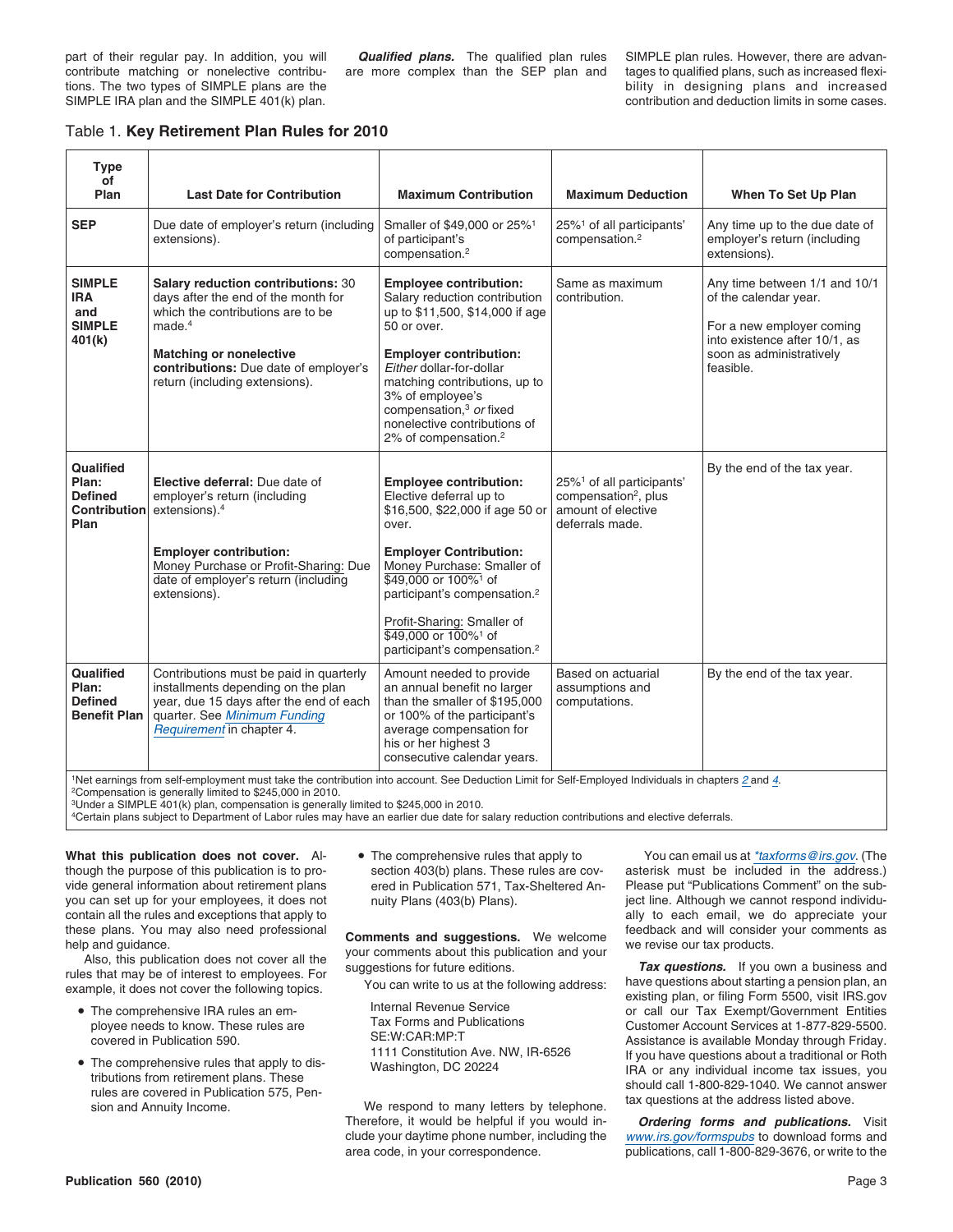bility in designing plans and increased

### Table 1. **Key Retirement Plan Rules for 2010**

| <b>Type</b><br>of<br>Plan                                           | <b>Last Date for Contribution</b>                                                                                                                                                                                                                                                                                                           | <b>Maximum Contribution</b>                                                                                                                                                                                                                                                                                                                   | <b>Maximum Deduction</b>                                                                                           | When To Set Up Plan                                                                                                                                           |  |
|---------------------------------------------------------------------|---------------------------------------------------------------------------------------------------------------------------------------------------------------------------------------------------------------------------------------------------------------------------------------------------------------------------------------------|-----------------------------------------------------------------------------------------------------------------------------------------------------------------------------------------------------------------------------------------------------------------------------------------------------------------------------------------------|--------------------------------------------------------------------------------------------------------------------|---------------------------------------------------------------------------------------------------------------------------------------------------------------|--|
| <b>SEP</b>                                                          | Due date of employer's return (including<br>extensions).                                                                                                                                                                                                                                                                                    | Smaller of \$49,000 or 25% <sup>1</sup><br>of participant's<br>compensation. <sup>2</sup>                                                                                                                                                                                                                                                     | 25% <sup>1</sup> of all participants'<br>compensation. <sup>2</sup>                                                | Any time up to the due date of<br>employer's return (including<br>extensions).                                                                                |  |
| <b>SIMPLE</b><br><b>IRA</b><br>and<br><b>SIMPLE</b><br>401(k)       | Salary reduction contributions: 30<br>days after the end of the month for<br>which the contributions are to be<br>made. <sup>4</sup><br><b>Matching or nonelective</b><br>contributions: Due date of employer's<br>return (including extensions).                                                                                           | <b>Employee contribution:</b><br>Salary reduction contribution<br>up to \$11,500, \$14,000 if age<br>50 or over.<br><b>Employer contribution:</b><br>Either dollar-for-dollar<br>matching contributions, up to<br>3% of employee's<br>compensation, <sup>3</sup> or fixed<br>nonelective contributions of<br>2% of compensation. <sup>2</sup> | Same as maximum<br>contribution.                                                                                   | Any time between 1/1 and 10/1<br>of the calendar year.<br>For a new employer coming<br>into existence after 10/1, as<br>soon as administratively<br>feasible. |  |
| Qualified<br>Plan:<br><b>Defined</b><br><b>Contribution</b><br>Plan | <b>Elective deferral:</b> Due date of<br>employer's return (including<br>extensions). <sup>4</sup><br><b>Employer contribution:</b><br>Money Purchase or Profit-Sharing: Due<br>date of employer's return (including<br>extensions).                                                                                                        | <b>Employee contribution:</b><br>Elective deferral up to<br>\$16,500, \$22,000 if age 50 or<br>over.<br><b>Employer Contribution:</b><br>Money Purchase: Smaller of<br>participant's compensation. <sup>2</sup><br>Profit-Sharing: Smaller of<br>\$49,000 or 100% <sup>1</sup> of<br>participant's compensation. <sup>2</sup>                 | 25% <sup>1</sup> of all participants'<br>compensation <sup>2</sup> , plus<br>amount of elective<br>deferrals made. | By the end of the tax year.                                                                                                                                   |  |
| Qualified<br>Plan:<br><b>Defined</b><br><b>Benefit Plan</b>         | Contributions must be paid in quarterly<br>installments depending on the plan<br>year, due 15 days after the end of each<br>quarter. See Minimum Funding<br>Requirement in chapter 4.<br>1Net earnings from self-employment must take the contribution into account. See Deduction Limit for Self-Employed Individuals in chapters 2 and 4. | Amount needed to provide<br>an annual benefit no larger<br>than the smaller of \$195,000<br>or 100% of the participant's<br>average compensation for<br>his or her highest 3<br>consecutive calendar years.                                                                                                                                   | Based on actuarial<br>assumptions and<br>computations.                                                             | By the end of the tax year.                                                                                                                                   |  |

<sup>2</sup>Compensation is generally limited to \$245,000 in 2010.

<sup>3</sup>Under a SIMPLE 401(k) plan, compensation is generally limited to \$245,000 in 2010.

<sup>4</sup>Certain plans subject to Department of Labor rules may have an earlier due date for salary reduction contributions and elective deferrals.

though the purpose of this publication is to pro- section 403(b) plans. These rules are cov- asterisk must be included in the address.) vide general information about retirement plans ered in Publication 571, Tax-Sheltered An-<br>Pease put "Publications Comment" on the sub-<br>ject line. Although we cannot respond individuyou can set up for your employees, it does not individu-<br>contain all the rules and exceptions that apply to nuity Plans (403(b) Plans). The sect ine. Although we cannot respond individu-<br>ally to each email, we do appreciat contain all the rules and exceptions that apply to

- 
- The comprehensive rules that apply to dis-<br>tributions from retirement plans. These<br>rules are covered in Publication 575, Pen-<br>sion and Annuity Income. We respond to many letters by telephone. The state questions at the a

What this publication does not cover. Al- • The comprehensive rules that apply to You can email us at \*taxforms@irs.gov. (The

Therefore, it would be helpful if you would in- *Ordering forms and publications.* Visit clude your daytime phone number, including the www.irs.gov/formspubs to download forms and area code, in your correspondence. publications, call 1-800-829-3676, or write to the

these plans. You may also need professional<br>
help and guidance.<br>
Also, this publication does not cover all the<br>
rules that may be of interest to employees. For<br>
example, it does not cover the following topics.<br>
The compreh • The comprehensive IRA rules an em-<br>
ployee needs to know. These rules are Tax Forms and Publications ployee needs to know. These rules are Tax Forms and Publications covered in Publication 590<br>
SE:W:CAR:MP:T Assistance i covered in Publication 590. SE:W:CAR:MP: I Assistance is available Monday through Friday.<br>Assistance is available Monday through Friday.<br>At Constitution Ave. NW, IR-6526 If you have questions about a traditional or Both The comprehensive rules that apply to dis-<br>Washington, DC 20224 If you have questions about a traditional or Roth • Washington, DC 20224 IRA or any individual income tax issues, you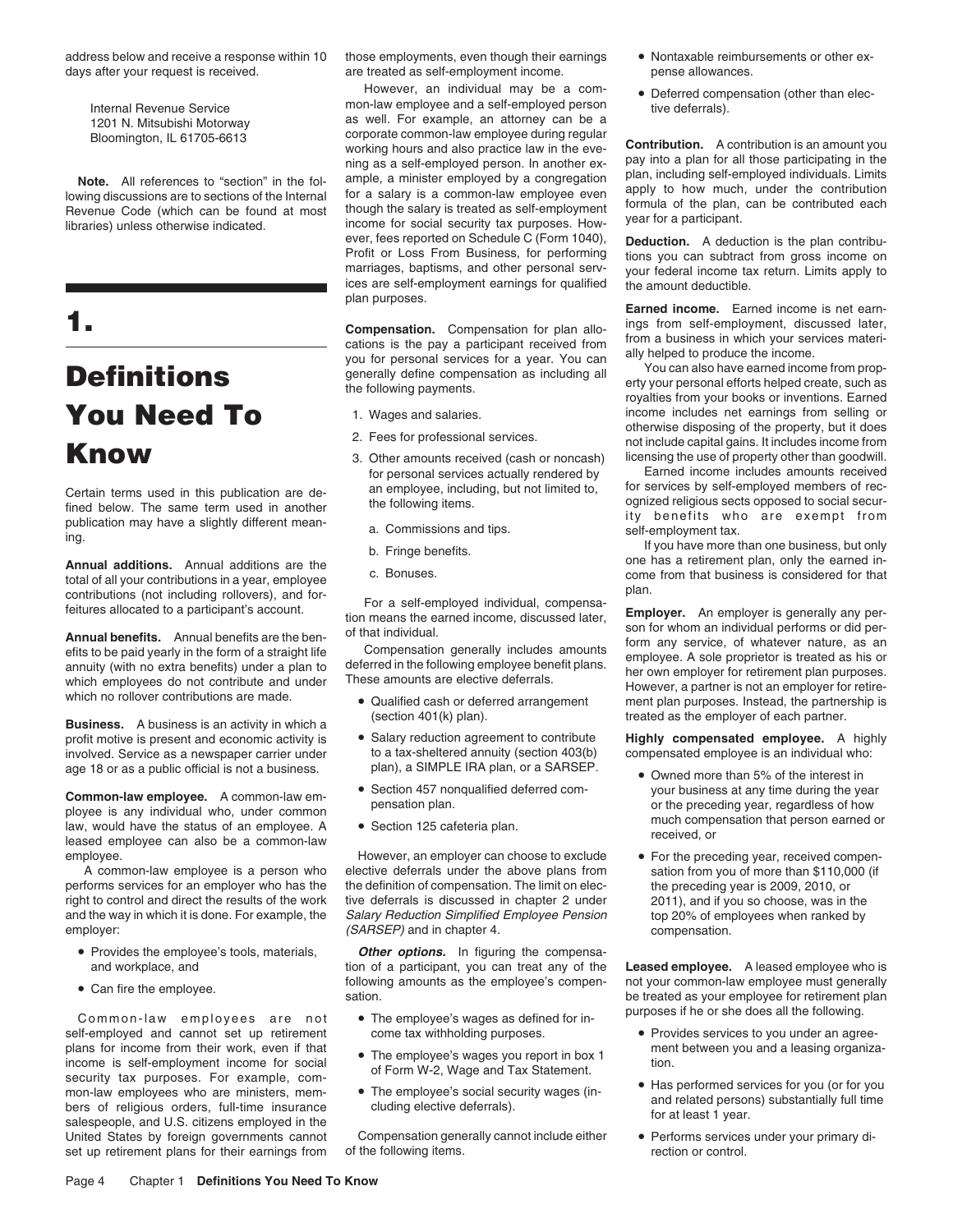days after your request is received. example are treated as self-employment income. The pense allowances.

Certain terms used in this publication are de-<br>
fined below. The same term used in another publication may have a slightly different mean-<br>
ing.<br>
Annual additions. Annual additions are the tollowing items.<br>
b. Fringe benef

Business. A business is an activity in which a<br>profit motive is present and economic activity is <br>**Business.** A business is an activity in which a<br>Salary reduction agreement to contribute **Highly compensated employee.** A h profit motive is present and economic activity is <br>**Example 3 and Service as a newspaper carrier under** to a tax-sheltered annuity (section 403(b) involved. Service as a newspaper carrier under to a tax-sheltered annuity (section 403(b) compensated employee is an individual who:<br>age 18 or as a public official is not a business. [2010] plan), a SIMPLE IRA plan, or a S age 18 or as a public official is not a business.

**Common-law employee.** A common-law em-<br>
ployee is any individual who, under common<br>
law, would have the status of an employee. A<br>
leased employee can also be a common-law<br>
leased employee can also be a common-law

performs services for an employer who has the the definition of compensation. The limit on elec- the preceding year is 2009, 2010, or<br>
right to control and direct the results of the work tive deferrals is discussed in chap right to control and direct the results of the work tive deferrals is discussed in chapter 2 under 2011), and if you so choose, was in the and the way in which it is done. For example, the Salary Reduction Simplified Emplo

- Provides the employee's tools, materials,
- 

Common-law employees are not • The employee's wages as defined for inself-employed and cannot set up retirement come tax withholding purposes. • Provides services to you under an agreeplans for income from their work, even if that <br>income is self-employment income for social of Franciscopy Tay Christians and Tay Christians and tion. The employment income of social of Form W-2, Wage and Tax Statement.<br>Security tax purposes. For example, com-<br>mon-law employees who are ministers, mem- • The employee's social security wages (inbecoming that purposes the contract of the method of the method of the method of the method of the method of the method of the method of the method of the method of the method of the method of the method of the method of t

address below and receive a response within 10 those employments, even though their earnings • Nontaxable reimbursements or other ex-

However, an individual may be a com-<br>• Deferred compensation (other than elecmowever, an individual may be a com-<br>Internal Revenue Service mon-law employee and a self-employed person<br>1201 N. Mitsubishi Motorway as well. For example, an attorney can be a<br>Bloomington, IL 61705-6613 corporate common-l ming as a self-employed person. In another ex-<br>lowing discussions are to section" in the fol-<br>lowing discussions are to sections of the Internal<br>Revenue Code (which can be found at most<br>libraries) unless otherwise indicate ever, fees reported on Schedule C (Form 1040), **Deduction.** A deduction is the plan contribu-<br>Profit or Loss From Business, for performing tions you can subtract from gross income on ices are self-employment earnings for qualified  $t$  the amount deductible.

plan purposes.<br>
Compensation. Compensation for plan allo-<br>
cations is the pay a participant received from a business in which you rervices materi-<br>
you for personal services for a year. You can<br>
the following payments.<br>
Th

- 
- 
- -
	-
	-

- 
- 
- Section 457 nonqualified deferred com-
- 

employee.<br>A common-law employee is a person who elective deferrals under the above plans from sation from you of more than \$110.000 (if elective deferrals under the above plans from sation from you of more than \$110,000 (if Salary Reduction Simplified Employee Pension top 20% of employees when ranked by employer: employer: employer: employer:  $(SARSEP)$  and in chapter 4. compensation.

Provides the employee's tools, materials, **Other options.** In figuring the compensa-<br>and workplace, and<br>tion of a participant, you can treat any of the tion of a participant, you can treat any of the Leased employee. A leased employee who is

- 
- 
- 

United States by foreign governments cannot Compensation generally cannot include either • Performs services under your primary disent under your primary disent under your primary disent under their earnings from of the fo set up retirement plans for their earnings from of the following items. The match of control. The following items.

- 
- 

Profit or Loss From Business, for performing tions you can subtract from gross income on marriages, baptisms, and other personal servyour federal income tax return. Limits apply to

**You Need To** 1. Wages and salaries. **income includes net earnings from selling or** income includes net earnings from selling or 2. Fees for professional services.<br>2. These for professional services.<br>3. Other amounts received (cash or noncash) licensing the use of property other than goodwill.

for personal services actually rendered by Earned income includes amounts received<br>an employee, including, but not limited to, for services by self-employed members of rec-

total of all your contributions in a year, employee<br>
c. Bonuses.<br>
convertical of all your contributions in a year, employee<br>
tion means the earned income, discussed later,<br> **Annual benefits.** Annual benefits are the ben-<br> • Qualified cash or deferred arrangement ment plan purposes. Instead, the partnership is (section 401(k) plan).

- Owned more than 5% of the interest in
- 

following amounts as the employee's compen- not your common-law employee must generally<br>be treated as your employee for retirement plan be treated as your employee for retirement plan<br>purposes if he or she does all the following.

- 
- 
-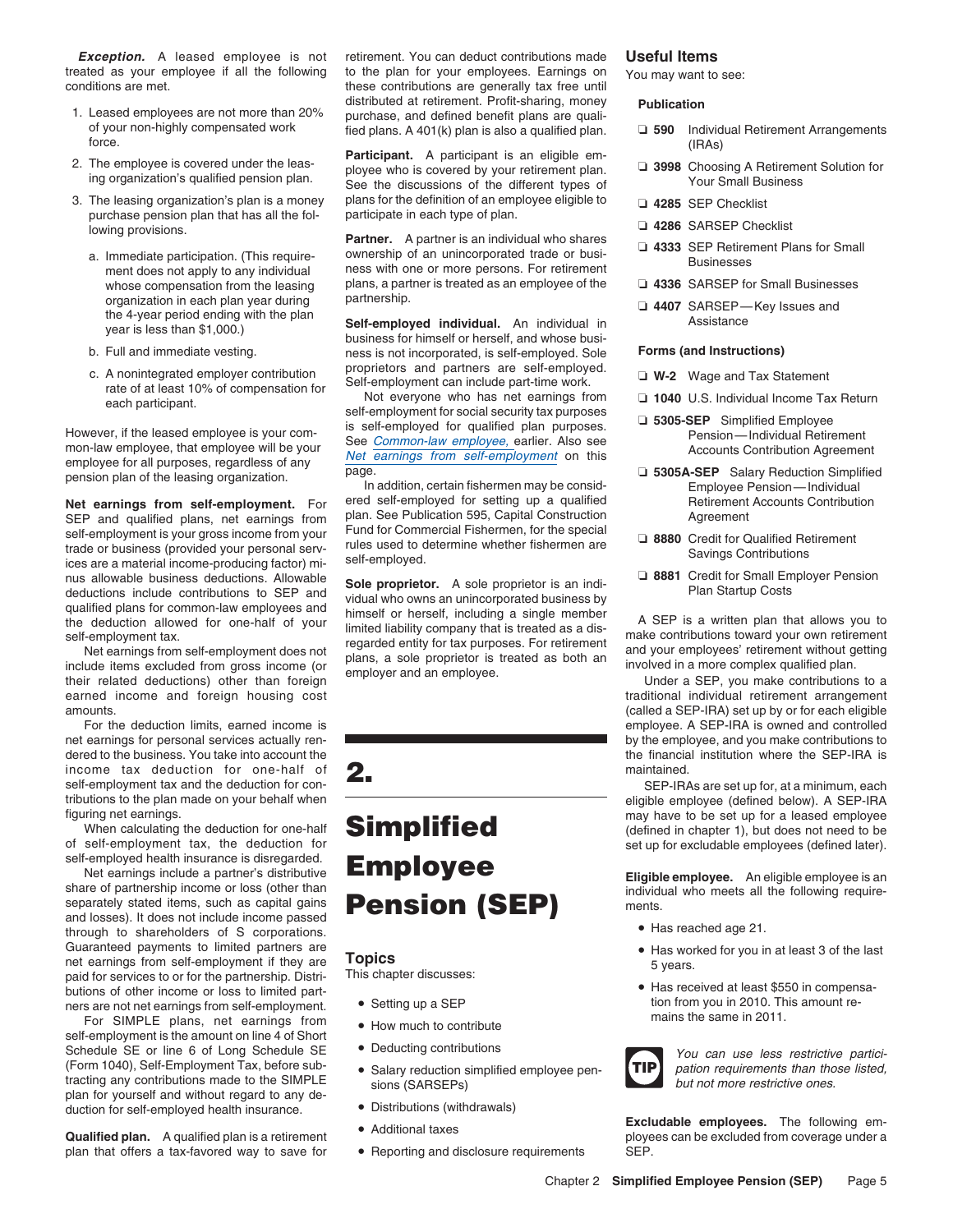treated as your employee if all the following to the plan for your employees. Earnings on You may want to see:<br>conditions are met. these contributions are generally tax free until

- 
- 
- - organization in each plan year during partnership.<br>the 4-year period ending with the plan **Self-employed individual.** An individual in Assistance Assistance business for himself or herself, and whose busi-
	-
	-

SEP and qualified plans, net earnings from plan. See Publication 595, Capital Construction<br>self-employment is your gross income from your Fund for Commercial Fishermen, for the special self-employment is your gross income from your Fund for Commercial Fishermen, for the special Display and Credit for Qualified Retirement<br>trade or business (provided your personal serv- rules used to determine whether fis

net earnings for personal services actually ren-<br>  $\blacksquare$  by the employee, and you make contributions to dered to the business. You take into account the the the service the financial institution where the SEP-IRA is income tax deduction for one-half of **2.** maintained.<br>SEP-IR self-employment tax and the deduction for con-<br>and tributions to the plan made on your behalf when<br>ributions to the plan made on your behalf when<br>and the summary contract the digible employee (defined below). A SEP-IRA

of self-employment tax, the deduction for<br>self-employed health insurance is disregarded.<br>Net earnings include a partner's distributive  $\blacksquare$ self-employed health insurance is disregarded.

Net earnings include a partner's distributive<br>
share of partnership income or loss (other than<br>
separately stated items, such as capital gains<br>
and loss not include isoanne agains<br>
and loss not include isoanne agains<br>
and and losses). It does not include income passed through to shareholders of S corporations. Guaranteed payments to limited partners are<br>
net earnings from self-employment if they are **Topics**<br>
Five are **Fixtherene in the self of the last** net earnings from self-employment if they are **TOPICS**<br>paid for services to or for the partnership. Distri- This chapter discusses: butions of other income or loss to limited part-<br>here are not net earnings from self-employment bution from you in 2010. This amount re-

self-employment is the amount on line 4 of Short Schedule SE or line 6 of Long Schedule SE • Deducting contributions (Form 1040), Self-Employment Tax, before sub-<br>• Salary reduction simplified employee pen-<br>• Salary reduction simplified employee pen-<br>• TIP pation require tracting any contributions made to the SIMPLE sions (SARSEPs) but not more restrictive ones. plan for yourself and without regard to any deduction for self-employed health insurance. • Distributions (withdrawals)

**Qualified plan.** A qualified plan is a retirement **COM** and disclosure requirements ploye<br>
plan that offers a tax-favored way to save for **•** Reporting and disclosure requirements SEP. plan that offers a tax-favored way to save for • Reporting and disclosure requirements

*Exception.* A leased employee is not retirement. You can deduct contributions made **Useful Items** these contributions are generally tax free until distributed at retirement. Profit-sharing, money<br>of your non-highly compensated work purchase, and defined benefit plans are quali-<br>fied plans. A 401(k) plan is also a qualified plan. □ 590 Individual Retirement Arrangeme

force. (IRAs)<br>2. The employee is covered under the leas-<br>2. The employee is covered under the leas-<br>3998 Choosing A Retirement Solution for ployee who is covered by your retirement plan. ■ 2998 Choosing A Retirement Solut 3. The leasing organization's plan is a money plans for the definition of an employee eligible to ❏ **4285** SEP Checklist

purchase pension plan that has all the fol-<br>
lowing provisions.<br> **Partner.** A partner is an individual who shares<br>
a. Immediate participation. (This require-<br>
ownership of an unincorporated trade or busi-<br>
Duning Supinesse a. Immediate participation. (This require-<br>
ment does not apply to any individual and the sess with one or more persons. For retirement<br>
whose compensation from the leasing plans, a partner is treated as an employee of the whose compensation from the leasing plans, a partner is treated as an employee of the organization in each plan year during partnership.

b. Full and immediate vesting. ness is not incorporated, is self-employed. Sole **Forms (and Instructions)**

C. A nonintegrated employer contribution<br>
rate of at least 10% of compensation for<br>
each participant.<br>
However, if the leased employee is your com-<br>
More everyone who has net earnings from<br>
Self-employment for social secu

**Net earnings from self-employment.** For ered self-employed for setting up a qualified Retirement Accounts Contribution<br>SEP and qualified plans, net earnings from plan. See Publication 595, Capital Construction Agreement

nus allowable business deductions. Allowable<br>deductions include contributions to SEP and<br>qualified plans for common-law employees and<br>the deduction allowed for one-half of your<br>self-employment does not<br>net deal lability co

- Setting up a SEP
- How much to contribute
- 
- 
- 
- 
- 

- 
- 
- 
- 
- 
- 
- 

- 
- 
- 
- 
- 
- 

earned income and foreign housing cost the state of the state of traditional individual retirement arrangement amounts. (called a SEP-IRA) set up by or for each eligible For the deduction limits, earned income is employee. A SEP-IRA is owned and controlled

tributions to the plan made on your behalf when eligible employee (defined below). A SEP-IRA figuring net earnings. **Simplified** may have to be set up for a leased employee (defined in chapter 1), but does not need to be When calculating the deduction for one-half **SIMPIITIEC** (defined in chapter 1), but does not need to be self-employment tax, the deduction for **SIMPIITIEC** self-employment tax, the deduction for

- Has reached age 21.
- 
- Has received at least \$550 in compensaners are not net earnings from self-employment. Setting up a SEP tion from you in 2010. The For- SIMPLE plans, net earnings from • How much to contribute



**Excludable employees.** The following em-<br>ployees can be excluded from coverage under a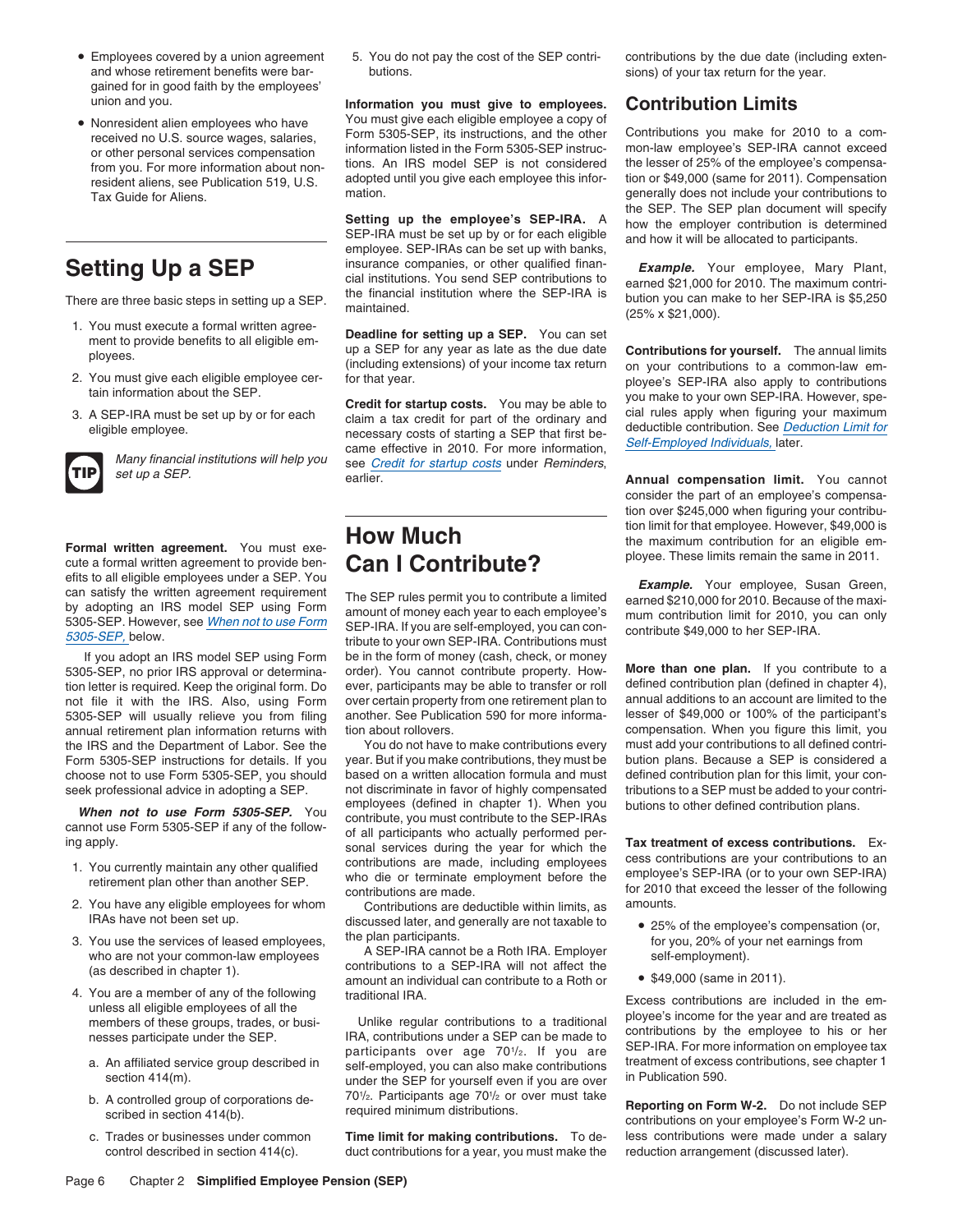- Employees covered by a union agreement gained for in good faith by the employees'
- 

- 
- 
- 



efits to all eligible employees under a SEP. You<br>can satisfy the written agreement requirement The SEP rules permit you to contribute a limited<br>by adopting an IRS model SEP using Form amount of money each year to each empl

5305-SEP, no prior IRS approval or determina-<br>
tion letter is required. Keep the original form. Do ever, participants may be able to transfer or roll defined contribution plan (defined in chapter 4), tion letter is required. Keep the original form. Do ever, participants may be able to transfer or roll defined contribution plan (defined in chapter 4), the letter is required. Keep the original form. Do ever certain prope not file it with the IRS. Also, using Form over certain property from one retirement plan to annual additions to an account are limited to the<br>5305-SEP will usually relieve you from filing another. See Publication 590 for 5305-SEP will usually relieve you from filing another. See Publication 590 for more informa- lesser of \$49,000 or 100% of the participant's annual retirement plan information returns with tion about rollovers.<br>the IRS and the Department of Labor. See the You do not have to make contributions every must add your contributions to all defined contrithe IRS and the Department of Labor. See the You do not have to make contributions every must add your contributions to all defined contri-<br>Form 5305-SEP instructions for details. If you year. But if you make contributions choose not to use Form 5305-SEP, you should based on a written allocation formula and must defined contribution plan for this limit, your con-

- 
- 2. You have any eligible employees for whom Contributions are deductible within limits, as amounts.
- 
- -
	-
	-

and whose retirement benefits were bar- butions. butions. The sime of your tax return for the year.

union and you. **Information you must give to employees. Contribution Limits** • Nonresident alien employees who have You must give each eligible employee a copy of • Nonresident alien employees who have<br>
rou must give each engible employee a copy of<br>
received no U.S. source wages, salaries,<br>
or other personal services compensation<br>
form 5305-SEP, its instructions, and the other<br>
or o

**Setting up the employee's SEP-IRA.** A the SEP. The SEP plan document will specify<br>SEP-IRA must be set up by or for each eligible and how it will be allocated to participants.<br>Insurance companies, or other qualified finan-

1. You must execute a formal written agree-<br>ment to provide benefits to all eligible em-<br>ployees. ployees. The annual limits<br>(including extensions) of your income tax return on your contributions to a common-law em-

2. You must give each eligible employee cer-<br>3. A SEP-IRA must be set up by or for each<br>3. A SEP-IRA must be set up by or for each<br>3. A SEP-IRA must be set up by or for each<br>4. Credit for startup costs. You may be able to<br>

If you adopt an IRS model SEP using Form be in the form of money (cash, check, or money

year. But if you make contributions, they must be seek professional advice in adopting a SEP. not discriminate in favor of highly compensated tributions to a SEP must be added to your contri-<br>When not to your Care CEP. You employees (defined in chapter 1). When you bution **EXECUTE:** When not to use Form 5305-SEP. You employees (defined in chapter 1). When you butions to other defined contribution plans.<br>
cannot use Form 5305-SEP if any of the follow-<br>
ing apply.<br>
1. You currently maintain a

IRAs have not been set up. discussed later, and generally are not taxable to  $\bullet$  25% of the employee's compensation (or,

who are not your common-law employees<br>(as described in chapter 1). contributions to a SEP-IRA will not affect the<br>amount an individual can contribute to a Roth or  $\bullet$  \$49,000 (same in 2011).

a. An affiliated service group described in tracticipants over age 701/2. If you are SEP-IHA. For more information on employee tax<br>section 414(m). set-employed in section 414(m). under the SEP for yourself even if you are 70<sup>1</sup> /2. Participants age 70<sup>1</sup>

control described in section 414(c). duct contributions for a year, you must make the reduction arrangement (discussed later).

5. You do not pay the cost of the SEP contri- contributions by the due date (including exten-

**Setting Up a SEP** insurance companies, or other qualified finan-<br>cial institutions. You send SEP contributions to earned \$21,000 for 2010. The maximum contri-<br>There are three basic steps in setting up a SEP.<br>maintained. T

consider the part of an employee's compensation over \$245,000 when figuring your contribuformal written agreement. You must exe-<br>Formal written agreement. You must exe-<br>cute a formal written agreement to provide ben-<br>Can I Contribute?<br>Ployee. These limits remain the same in 2011.

- 3. You use the services of leased employees, the plan participants. <br>who are not your common-law employees A SEP-IRA cannot be a Roth IRA. Employer self-employment)
	-

4. You are a member of any of the following<br>
unless all eligible employees of all the<br>
members of these groups, trades, or busi-<br>
Unlike regular contributions to a traditional<br>
Unlike regular contributions to a traditional

b. A controlled group of corporations de-<br>required minimum distributions.<br>contributions on your employee's Form W-2 un-<br>contributions on your employee's Form W-2 unc. Trades or businesses under common **Time limit for making contributions.** To de- less contributions were made under a salary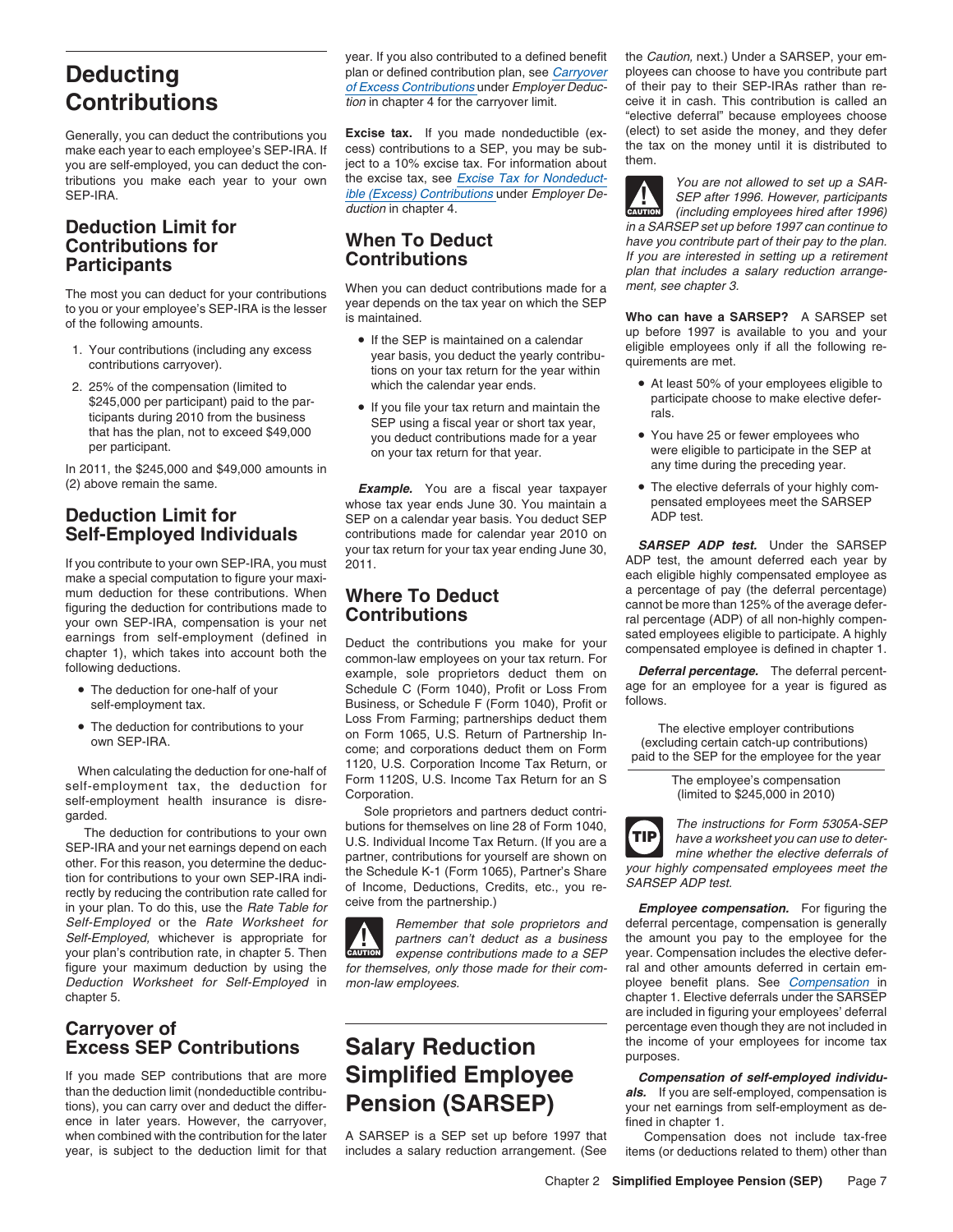- 
- \$245,000 per participant) paid to the par-<br>ticipants during 2010 from the business  $\overline{SP}$  and  $\overline{SP}$  using a fiscal vear or short tax vear ratio.

In 2011, the \$245,000 and \$49,000 amounts in

make a special computation to figure your maxi-<br>mum deduction for these contributions. When **Where To Deduct** a percentage of pay (the deferral percentage) mum deduction for these contributions. When **Where To Deduct** a percentage of pay (the deferral percentage)<br>figuring the deduction for contributions made to **Contributions** riguring the deduction for contributions made to<br>your own SEP-IRA, compensation is your net<br>earnings from self-employment (defined in pertent the contributions can use for sated employees eligible to participate. A highly

- 
- 

other. For this reason, you determine the deduction for contributions for yourself are shown on<br>tion for contributions to your own SEP-IRA indi-<br>rectly by reducing the contribution rate called for<br>in your plan. To do this, Self-Employed or the Rate Worksheet for **Remember that sole proprietors and** deferral percentage, compensation is generally Self-Employed, whichever is appropriate for partners can't deduct as a business the amount you pay to the employee for the syncar partners can't deduct as a business the amount you pay to the employee for the vertical par your plan's contribution rate, in chapter 5. Then *CAUTION* expense contributions made to a SEP figure your maximum deduction by using the for themselves, only those made for their com- ral and other amounts deferred in certain em-<br>Deduction Worksheet for Self-Employed in mon-law employees. publication ployee benefit Deduction Worksheet for Self-Employed in mon-law employees. chapter 5. chapter 1. Elective deferrals under the SARSEP

tions), you can carry over and deduct the differ-<br>ence in later years. However, the carryover, the carryover, ence in later years. However, the carryover,<br>when combined with the contribution for the later A SARSEP is a SEP set up before 1997 that

year. If you also contributed to a defined benefit the Caution, next.) Under a SARSEP, your em-**Deducting** plan or defined contribution plan, see Carryover ployees can choose to have you contribute part of Excess Contributions under Employer Deduc-<br>
of their pay to their SEP-IRAs rather than reof Excess Contributions under Employer Deduc-Contributions **tion in chapter 4 for the carryover limit.** Ceive it in cash. This contribution is called an

make each year to each employee's SEP-IRA. If cess) contributions to a SEP, you may be sub-<br>vou are self-employed, you can deduct the con- ject to a 10% excise tax. For information about them. you are self-employed, you can deduct the con-<br>tributions you make each year to your own the excise tax, see Excise Tax for Nondeduct-

The most you can deduct for your contributions<br>to you or your employee's SEP-IRA is the lesser<br>of the following amounts.<br>If the SEP is maintained on a calendar up before 1997 is available to you and your<br>If the SEP is main

- If the SEP is maintained on a calendar 1. Your contributions (including any excess and except of the service of the year basis, you deduct the yearly contribu-<br>contributions carryover). The serves tions on your tax return for the year within
	- Elf you file your tax return and maintain the rals.<br>
	That has the plan, not to exceed \$49,000 wou deduct contributions made for a year You have 25 or fewer employees who

(2) above remain the same.<br>*Example*. You are a fiscal year taxpayer • The elective deferrals of your highly com-<br>whose tax year ends June 30. You maintain a pensated employees meet the SARSEP whose tax year ends June 30. You maintain a pensated  $SEB$  on a selender vear begin. You deduct  $SEB$  and  $EDB$  test **Deduction Limit for** SEP on a calendar year basis. You deduct SEP **Self-Employed Individuals** contributions made for calendar year 2010 on your tax return for your tax year ending June 30, *SARSEP ADP test.* Under the SARSEP

earnings from self-employment (defined in<br>
chapter 1), which takes into account both the<br>
common-law employees on your tax return. For<br>
example, sole proprietors deduct them on<br>
example C (Form 1040). Profit or Loss From a • The deduction for one-half of your Schedule C (Form 1040), Profit or Loss From age for a performed and the schedule E (Form 1040), Profit or follows. self-employment tax. Business, or Schedule F (Form 1040), Profit or • The deduction for contributions to your<br>
on Form 1065, U.S. Return of Partnership In-• The deduction for contributions to your<br>
on Form 1065, U.S. Return of Partnership In-<br>
When calculating the deduction for one-half of<br>
excluding certain catch-up contributions)<br>
wition to the SEP for the employee for the

The instructions for contributions to your own butions for themselves on line 28 of Form 1040,<br>SEP-IRA and your net earnings depend on each U.S. Individual Income Tax Return. (If you are a<br>other. For this reason, you deter

**!**

# **Excess SEP Contributions Salary Reduction Excess SEP Contributions Salary Reduction** If you made SEP contributions that are more **Simplified Employee** *Compensation of self-employed individu*-<br>
than the deduction limit (nondeductible contribu-

when combined with the contribution for the later A SARSEP is a SEP set up before 1997 that Compensation does not include tax-free vear, is subject to the deduction limit for that includes a salary reduction arrangement. (

"elective deferral" because employees choose Generally, you can deduct the contributions you **Excise tax.** If you made nondeductible (ex- (elect) to set aside the money, and they defer make each vear to each employee's SEP-IRA If cess) contributions to a SEP, you may

tributions you make each year to your own the excise tax, see Excise Tax for Nondeduct-<br>SEP-IRA. SEP after 1996 However participants ible (Excess) Contributions under Employer De-<br> **SEP** after 1996. However, participants<br>
(including employees bired after 1996) **CAUTION** (including employees hired after 1996) **! Deduction Limit for**<br>**Contributions for in a SARSEP** set up before 1997 can continue to<br>**Contributions for in a SARSEP** set up before the plan. **Contributions for When To Deduct** have you contribute part of their pay to the plan.<br>**Portioinante Contributions** *Contributions If you are interested in setting up a retirement* **Participants If you are interested in setting up a retirement <b>Participants Participants** plan that includes a salary reduction arrange-

- 2. 25% of the compensation (limited to which the calendar year ends. At least 50% of your employees eligible to ends. At least 50% of your employees eligible to ends. At least 50% of your employees eligible to ends.
	- mat has the plan, not to exceed  $\frac{1}{2}$  you deduct contributions made for a year  $\frac{1}{2}$  You have 25 or fewer employees who<br>per participant.<br>2011 the \$245,000 and \$49,000 amounts in the SEP at any time during the prec
		-

If you contribute to your own SEP-IRA, you must 2011.<br>
make a special computation to figure your maxi-<br>
make a special computation to figure your maxi-

**TIP**

are included in figuring your employees' deferral **Carryover of** percentage even though they are not included in<br>**Execute SED Contributions Calary Poduction** the income of your employees for income tax

als. If you are self-employed, compensation is

items (or deductions related to them) other than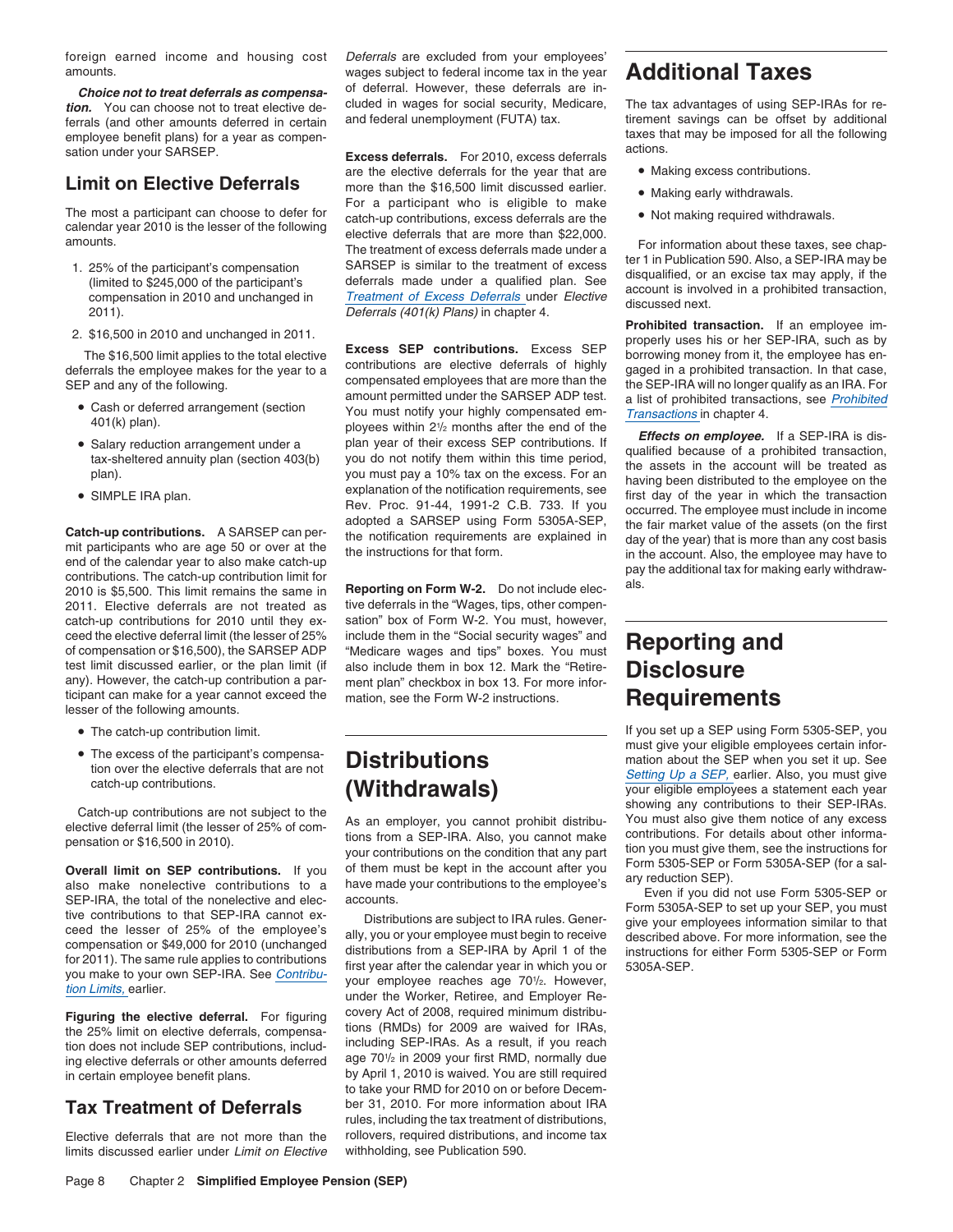foreign earned income and housing cost Deferrals are excluded from your employees'

ferrals (and other amounts deferred in certain and federal unemployment (FUTA) tax. tirement savings can be offset by additional ferrals (and other amounts deferred in certain and federal unemployment (FUTA) tax. that may employee benefit plans) for a year as compen-<br>sation under your SARSEP. that may be imposed that may be imposed for all the formula that max be imposed form

- 
- 

- 
- 
- 

2011. Elective deferrals are not treated as tive deferrals in the "Wages, tips, other compencatch-up contributions for 2010 until they ex- sation" box of Form W-2. You must, however, ceed the elective deferral limit (the lesser of 25% include them in the "Social security wages" and ceed the elective deferral limit (the lesser of 25% include them in the "Social security wages" and<br>of compensation or \$16,500), the SARSEP ADP "Medicare wages and tips" boxes. You must<br>test limit discussed earlier, or the test limit discussed earlier, or the plan limit (if also include them in box 12. Mark the "Retire- **Disclosure** any). However, the catch-up contribution a par- ment plan" checkbox in box 13. For more inforticipant can make for a year cannot exceed the mation, see the Form W-2 instructions. **Requirements** lesser of the following amounts.

- The catch-up contribution limit.
- 

Catch-up contributions are not subject to the<br>elective deferral limit (the lesser of 25% of com-<br>pensation or \$16,500 in 2010).<br>Pensation or \$16,500 in 2010).<br>Pensation or \$16,500 in 2010).<br>Pensation or \$16,500 in 2010.<br>No

ing elective deferrals or other amounts deferred

limits discussed earlier under Limit on Elective withholding, see Publication 590.

amounts. wages subject to federal income tax in the year **Additional Taxes Choice not to treat deferrals as compensa-** of deferral. However, these deferrals are in-<br> **tion.** You can choose not to treat elective de-<br>
cluded in wages for social security, Medicare, The tax advantages of using SEP-I

**Excess deferrals.** For 2010, excess deferrals. are the elective deferrals for the year that are • Making excess contributions. **Limit on Elective Deferrals** more than the \$16,500 limit discussed earlier. • Making early withdrawals. The most a participant can choose to defer for<br>Catch-up contributions excess deferrals are the Not making required withdrawals. calendar year 2010 is the lesser of the following<br>amounts.<br>The treatment of excess deferrals that are more than \$22,000.<br>The treatment of excess deferrals made under a<br>RADSED is eighter the treatment of excess deferrals an 1. 25% of the participant's compensation<br>
(limited to \$245,000 of the participant's deferrals made under a qualified plan. See<br>
compensation in 2010 and unchanged in<br>
2011).<br>
2011).<br>
2011).

• Cash or deferred arrangement (section You must notify your highly compensated em-<br>401(k) plan). ployees within 2<sup>1/2</sup> months after the end of the  $\frac{Transactions}{\sqrt{max}}$  in chapter 4. /2 months after the end of the *Effects on employee.* If a SEP-IRA is dis- •• Salary reduction arrangement under a<br>tax-sheltered annuity plan (section 403(b) you do not notify them within this time period,<br>plan).<br>• SIMPI F IRA plan<br>tion (section 403(b) you do not notify them within this time peri

you make to your own SEP-IRA. See Contribu-<br>tion Limits, earlier.<br>under the Worker, Retiree, and Employer Re-**Figuring the elective deferral.** For figuring covery Act of 2008, required minimum distribu-<br>the 25% limit on elective deferrals, compensations (RMDs) for 2009 are waived for IRAs,<br>tion does not include SEP contributions in certain employee benefit plans. by April 1, 2010 is waived. You are still required to take your RMD for 2010 on or before Decem-**Tax Treatment of Deferrals** ber 31, 2010. For more information about IRA rules, including the tax treatment of distributions, Elective deferrals that are not more than the rollovers, required distributions, and income tax

- 
- 
- 

2. \$16,500 in 2010 and unchanged in 2011.<br>
The \$16,500 limit applies to the total elective<br>
deferrals the employee makes for the year to a<br>
SEP and any of the following.<br>
SEP and any of the following.<br>
Cash or deferred arr

• SIMPLE IRA plan.<br>
Catch-up contributions. A SARSEP can per-<br>
mit participants who are age 50 or over at the<br>
explanation of the molecular requirements, see the socurred. The employee must include in income<br>
adopted a SAR

If you set up a SEP using Form 5305-SEP, you must give your eligible employees certain infor- •• The excess of the participant's compensa-<br>tion over the elective deferrals that are not<br>catch-up contributions. <br>**(Withdrawals)** wour eligible employees a statement each year<br>your eligible employees a statement each year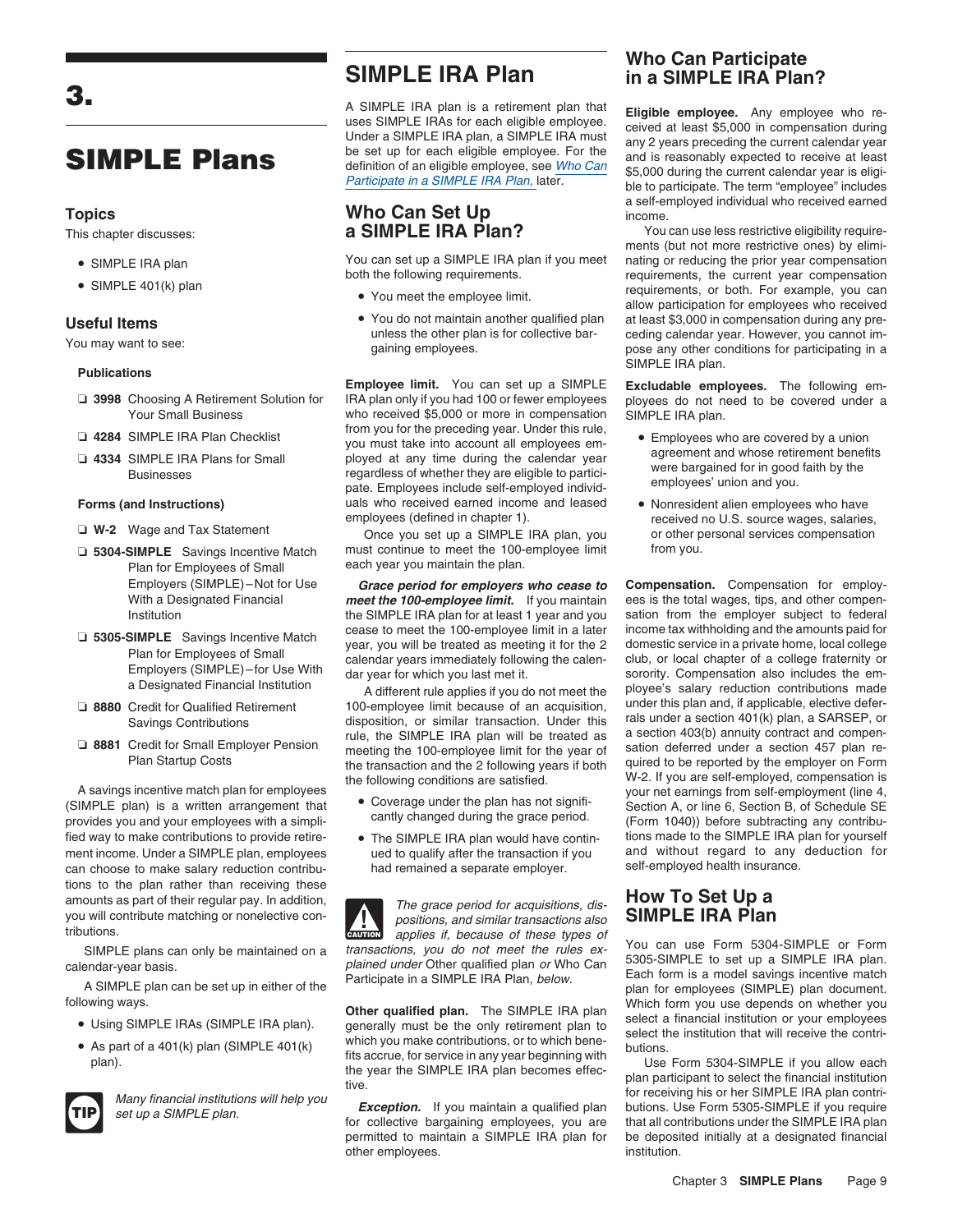- SIMPLE IRA plan
- SIMPLE 401(k) plan

- 
- 
- 

- 
- Plan for Employees of Small
- 
- 
- 

ment income. Under a SIMPLE plan, employees ued to qualify after the transaction if you and without regard to any<br>can choose to make salary reduction contribu-<br>had remained a separate employer. self-employed health insuran can choose to make salary reduction contribu-<br>had remained a separate employer. tions to the plan rather than receiving these amounts as part of their regular pay. In addition,<br>you will contribute matching or nonelective con-<br>tributions. The grace period for acquisitions, dis-<br>positions, and similar transactions also **SIMPLE IRA Plan**<br>tributions.

- 
- 



A SIMPLE IRA plan is a retirement plan that<br>
uses SIMPLE IRA s for each eligible employee. Any employee who re-<br>
uses SIMPLE IRA plan, a SIMPLE IRA must<br>
Under a SIMPLE IRA plan, a SIMPLE IRA must<br>
be set up for each eligi

# **Topics Who Can Set Up income.**<br> **This chapter discusses: CONSIGNATION A SIMPLE IRA Plan?**

You can set up a SIMPLE IRA plan if you meet nating or reducing the prior year compensation<br>both the following requirements.<br>requirements, the current year compensation

- 
- 

**Employee limit.** You can set up a SIMPLE **Excludable employees.** The following em-<br>IRA plan only if you had 100 or fewer employees ployees do not need to be covered under a who received \$5,000 or more in compensation SIMPLE IRA plan. □ 4284 SIMPLE IRA Plan Checklist from you for the preceding year. Under this rule, <br>vou must take into account all employees em-<br>
• Employees who are covered by a union ■ 4284 SIMPLE IRA Plan Checklist you must take into account all employees em-<br> **24334 SIMPLE IRA Plans for Small** ployed at any time during the calendar year agreement and whose retirement benefits<br>
Businesses regardless **Forms (and Instructions)** uals who received earned income and leased • Nonresident alien employees who have employees (defined in chapter 1).

❏ **5304-SIMPLE** Savings Incentive Match must continue to meet the 100-employee limit from you.

With a Designated Financial **meet the 100-employee limit.** If you maintain ees is the total wages, tips, and other compen-Institution the SIMPLE IRA plan for at least 1 year and you sation from the employer subject to federal<br>Cease to meet the 100-employee limit in a later income tax withholding and the amounts paid for ⊑ 5305-SIMPLE Savings Incentive Match cease to meet the 100-employee limit in a later income tax withholding and the amounts paid for year, you will be treated as meeting it for the 2 domestic service in a private home, l

❏ 100-employee limit because of an acquisition, under this plan and, if applicable, elective defer- **<sup>8880</sup>** Credit for Qualified Retirement Savings Contributions disposition, or similar transaction. Under this rals under a section 401(k) plan, a SARSEP, or<br> **EXECUS FOR THE REA PLAN PLAN PIGENT ASSES** a section 403(b) annuity contract and compen-<br> **EXECUS FOR** the transaction and the 2 following years if both quired to be reported by the employer on Form<br>the following conditions are satisfied W-2. If you are self-employed, compensation is the following conditions are satisfied.

- Coverage under the plan has not signifi-
- 

applies if, because of these types of **!** SIMPLE plans can only be maintained on a transactions, you do not meet the rules ex-<br>calendar-year basis.<br>Participate in a SIMPLE IRA Plan, below. Each form is a model savings incentive match

Using SIMPLE IRAs (SIMPLE IRA plan). generally must be the only retirement plan to select the institution of a 401(k) which you make contributions, or to which bene-select the contributions, or to which bene-<br>receive the

permitted to maintain a SIMPLE IRA plan for be deposited initially at a designated financial other employees. The contract of the institution.

# **Who Can Participate SIMPLE IRA Plan in a SIMPLE IRA Plan?**

a self-employed individual who received earned

This chapter discusses: **a SIMPLE IRA Plan?** You can use less restrictive eligibility requirements (but not more restrictive ones) by elimi requirements, the current year compensation • You meet the employee limit. The requirements, or both. For example, you can • You meet the employee limit. ■ You meet the employee limit.<br>■ You do not maintain another qualified plan at least \$3.000 in compensation during any pre-**Useful Items** • You do not maintain another qualified plan at least \$3,000 in compensation during any pre-<br>unless the other plan is for collective bar- ceding calendar year. However, you cannot imunless the other plan is for collective bar- ceding calendar year. However, you cannot im-<br>yose any other conditions for participating in a<br>pose any other conditions for participating in a SIMPLE IRA plan. **Publications**

❏ **<sup>3998</sup>** Choosing A Retirement Solution for IRA plan only if you had 100 or fewer employees ployees do not need to be covered under a

- 
- employees (defined in chapter 1). received no U.S. source wages, salaries, ❏ **W-2** Wage and Tax Statement Once you set up a SIMPLE IRA plan, you or other personal services compensation

Employers (SIMPLE)–Not for Use *Grace period for employers who cease to* **Compensation.** Compensation for employa Designated Financial Institution and A different rule applies if you do not meet the ployee's salary reduction contributions made<br>Credit for Qualified Betirement 100-employee limit because of an acquisition under this pl A savings incentive match plan for employees the case of examples your net earnings from self-employment (line 4, (SIMPLE plan) is a written arrangement that Coverage under the plan has not signifi-<br>
provides you and your employees with a simpli-<br>
fied way to make contributions to provide retire- The SIMPLE IRA plan would have continfied way to make contributions to provide retire-<br>ment income. Under a SIMPLE plan, employees and to qualify after the transaction if you and without regard to any deduction for

A SIMPLE plan can be set up in either of the Farticipate in a SIMPLE IRA Plan, below. plan for employees (SIMPLE) plan document.<br>
following ways. Mhich form you use depends on whether you Ilowing ways.<br> **Other qualified plan.** The SIMPLE IRA plan whether you use depends on whether you **Other qualified plan.** The SIMPLE IRA plan select a financial institution or your employees • Using SIMPLE IRAs (SIMPLE IRA

• As part of a 401(k) plan (SIMPLE 401(k)<br>plan).<br>Many financial institutions will help you<br>Many financial institutions will help you<br>set up a SIMPLE plan.<br>TIP Many financial institutions will help you<br>for collective bargai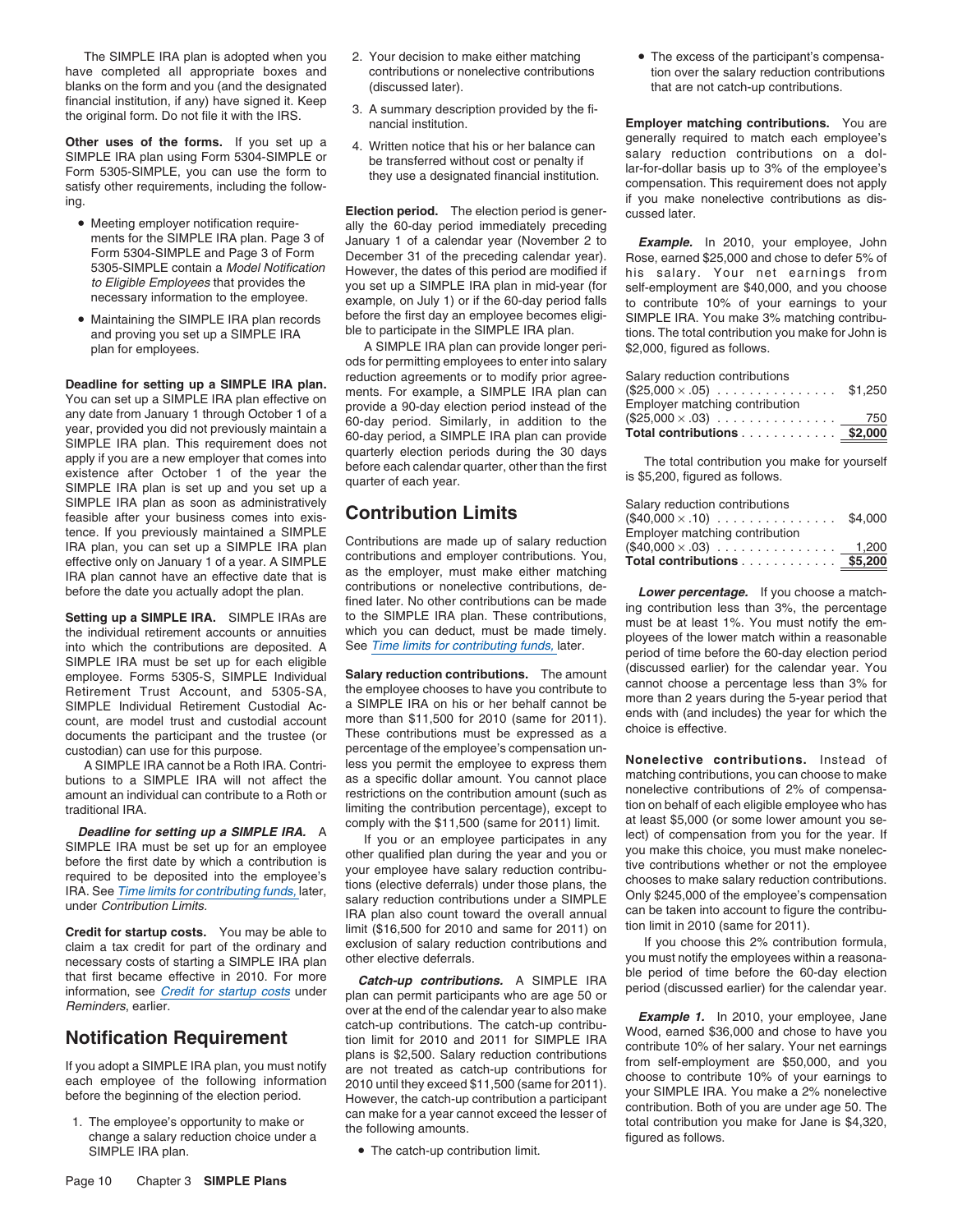have completed all appropriate boxes and contributions or nonelective contributions tion over the salary reduction contributions blanks on the form and you (and the designated (discussed later). That are not catch-up contributions. financial institution, if any) have signed it. Keep 3. A summary description provided by the fi-<br>the original form. Do not file it with the IRS. nancial institution. **Employer matching contributions.** You are

- Meeting employer notification require-
- Maintaining the SIMPLE IRA plan records

year, provided you did not previously maintain a<br>SIMPLE IRA plan. This requirement does not<br>apply if you are a new employer that comes into<br>existence after October 1 of the year the<br>SIMPLE IRA plan is set up and you set up SIMPLE IRA plan as soon as administratively<br>
feasible after your business comes into exis. **Contribution Limits** (\$40,000 × 10) feasible after your business comes into exis-

SIMPLE IRA plan.  $\bullet$  The catch-up contribution limit.

- The SIMPLE IRA plan is adopted when you 2. Your decision to make either matching The excess of the participant's compensa-
	-
	-

Meeting employer notification require-<br>
ments for the SIMPLE IRA plan. Page 3 of alle using the face dendar year (November 2 to ments for the SIMPLE IRA plan. Page 3 of January 1 of a calendar year (November 2 to Example. In 2010, your employee, John December 31 of the preceding calendar year). Rose, earned \$25,000 and chose to defer 5% of S305-SIM

plan for employees. A SIMPLE IRA plan can provide longer periods for permitting employees to enter into salary **Deadline for setting up a SIMPLE IRA plan.** reduction agreements or to modify prior agree-<br>You can set up a SIMPLE IRA plan effective on<br>any date from January 1 through October 1 of a<br>any date in January 1 through Octobe

claim a tax credit for part of the ordinary and<br>
intervention of salary reduction contributions and<br>
interventions and the elective deferrals.<br>
Interventions and the elective deferrals<br>
interventions and the procedit for s

Other uses of the forms. If you set up a 4. Written notice that his or her balance can generally required to match each employee's salary reduction contributions on a dol-<br>SIMPLE IRA plan using Form 5304-SIMPLE or be trans SIMPLE IRA plan using Form 5304-SIMPLE or<br>Form 5305-SIMPLE, you can use the form to<br>satisfy other requirements, including the follow-<br>satisfy other requirements, including the follow-<br>satisfy other requirements, including if you make nonelective contributions as dis-<br>**Election period.** The election period is gener-<br>cussed later.

before the first day an employee becomes eligi-<br>ble to participate in the SIMPLE IRA plan.<br>tions. The total contribution you make for John is and proving you set up a SIMPLE IRA ble to participate in the SIMPLE IRA plan. ble total contribution you make for John is<br>A SIMPLE IRA plan can provide longer peri- \$2,000, figured as follows.

| Salary reduction contributions                                 |     |
|----------------------------------------------------------------|-----|
| $($25,000 \times .05) \dots \dots \dots \dots \dots \$ \$1,250 |     |
| Employer matching contribution                                 |     |
| $($25,000 \times .03) \cdot$                                   | 750 |
| Total contributions \$2,000                                    |     |

| $(\$40,000 \times .10) \ldots \ldots \ldots \ldots \$ \$4,000    |  |
|------------------------------------------------------------------|--|
| Employer matching contribution                                   |  |
| $(\$40,000 \times .03) \ldots \ldots \ldots \ldots \ldots 1,200$ |  |
| Total contributions \$5,200                                      |  |

tence. If you previously maintained a SIMPLE Employer matching contribution Contributions are made up of salary reduction IRA plan, you can set up a SIMPLE IRA plan (\$40,000 × .03) ............... 1,200 contributions and employer contributions. You, effective only on January 1 of a year. A SIMPLE **Total contributions** ............ **\$5,200** as the employer, must make either matching IRA plan cannot have an effective date that is contributions or nonelective contributions, de- before the date you actually adopt the plan. *Lower percentage.* If you choose a match- fined later. No other contributions can be made ing contribution less than 3%, the percentage **Setting up a SIMPLE IRA.** SIMPLE IRAs are to the SIMPLE IRA plan. These contributions, must be at least 1%. You must notify the em- the individual retirement accounts or annuities which you can deduct, must be made timely. ployees of the lower match within a reasonable into which the contributions are deposited. A See Time limits for contributing funds, later. period of time before the 60-day election period SIMPLE IRA must be set up for each eligible (discussed earlier) for the calendar year. You employee. Forms 5305-S, SIMPLE Individual **Salary reduction contributions.** The amount cannot choose a percentage less than 3% for Retirement Trust Account, and 5305-SA, the employee chooses to have you contribute to more than 2 years during the 5-year period that SIMPLE Individual Retirement Custodial Ac- a SIMPLE IRA on his or her behalf cannot be ends with (and includes) the year for which the count, are model trust and custodial account more than \$11,500 for 2010 (same for 2011). choice is effective. documents the participant and the trustee (or These contributions must be expressed as a

custodian) can use for this purpose.<br>
A SIMPLE IRA cull not diffect the as a specific dollar amount. You cannot have butions to a SIMPLE IRA will not affect the as a specific dollar amount. You cannot have to matching cont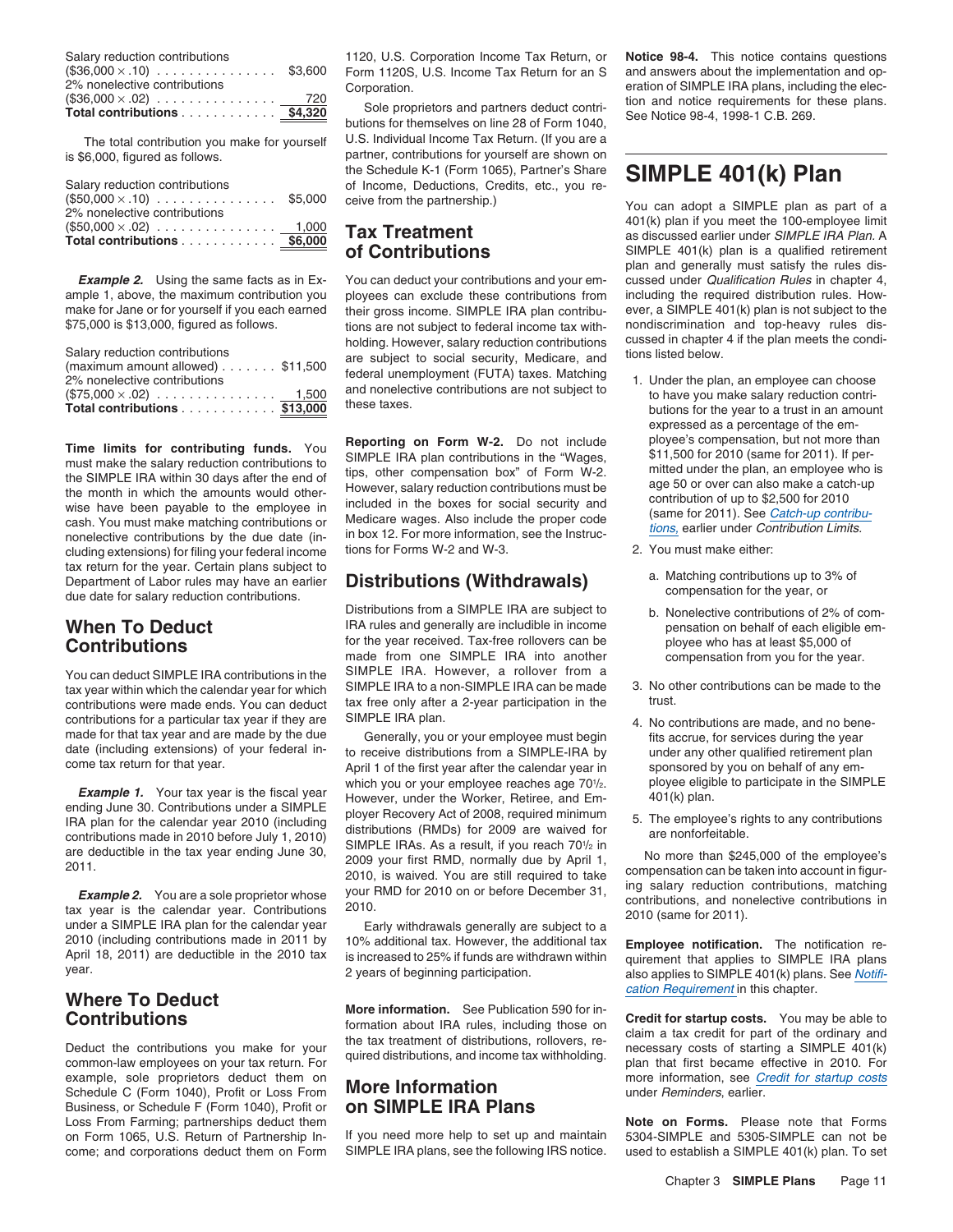| Salary reduction contributions |  |
|--------------------------------|--|
|--------------------------------|--|

|                                                     |     | $(336,000 \times 10)$ \$3,600 Form 1120S, U.S. Income Tax Return for an S | and answers about the implementation and op-     |
|-----------------------------------------------------|-----|---------------------------------------------------------------------------|--------------------------------------------------|
| 2% nonelective contributions                        |     | Corporation.                                                              | eration of SIMPLE IRA plans, including the elec- |
| $(\$36,000 \times .02) \ldots \ldots \ldots \ldots$ | 720 | Sole proprietors and partners deduct contri-                              | tion and notice requirements for these plans.    |
| Total contributions 54,320                          |     | butions for themselves on line 28 of Form 1040,                           | See Notice 98-4, 1998-1 C.B. 269.                |

| Total contributions \$6,000                                      |  |
|------------------------------------------------------------------|--|
| $(\$50,000 \times .02) \ldots \ldots \ldots \ldots \ldots 1,000$ |  |
| 2% nonelective contributions                                     |  |
| $(\$50,000 \times .10)$ \$5,000                                  |  |

| Salary reduction contributions                                                                                                                          | <u>Holding</u> . However, salary reguedion continuations<br>are subject to social security, Medicare, and | tions listed below.                                                                   |
|---------------------------------------------------------------------------------------------------------------------------------------------------------|-----------------------------------------------------------------------------------------------------------|---------------------------------------------------------------------------------------|
| $(maximum$ amount allowed) $\ldots \ldots$ \$11,500<br>2% nonelective contributions<br>$(\$75,000 \times .02) \ldots \ldots \ldots \ldots \ldots 1,500$ | federal unemployment (FUTA) taxes. Matching<br>and nonelective contributions are not subject to           | . Under the plan, an employee can choose<br>to have you make salary reduction contri- |
| Total contributions 513,000                                                                                                                             | these taxes.                                                                                              | butions for the year to a trust in an amount                                          |

cluding extensions) for filing your federal income tions for Forms W-2 and W-3. 2. You must make either: tax return for the year. Certain plans subject to<br>Distributions (Withdrawals) a. Matching contributions up to 3% of<br>due date for salary reduction contributions.<br>Distributions from a SIMPLE IRA are subject to being a Nonele

tax year within which the calendar year for which<br>
SIMPLE IRA to a non-SIMPLE IRA can be made 3. No other contributions can be made to the<br>
contributions were made onde. You can doduct tax free only after a 2-year particip contributions were made ends. You can deduct tax free only after a 2-year participation in the contributions for a particular tax year if they are SIMPLE IRA plan. 4. No contributions are made, and no bene-<br>made for that tax year and are made by the due Generally, you or your employee must begin fits accrue, for ser

IRA plan for the calendar year 2010 (including  $\frac{p_{\text{IO}}}{p_{\text{III}}}$  prover recovery Act of 2006, required minimum  $\frac{p_{\text{III}}}{p_{\text{III}}}$  5. The employee's right formulations made in 2010 before July 1, 2010) distributions (

2010 (including contributions made in 2011 by 10% additional tax. However, the additional tax **Employee notification.** The notification re-

example, sole proprietors deduct them on **More Information** more information, see *Credit for startup costs*<br>Schedule C (Form 1040) Profit or Loss From **More Information** under *Reminders* extient Schedule C (Form 1040), Profit or Loss From **MOTE INTOFMATION** under *Reminders*, earlier.<br>Business, or Schedule F (Form 1040), Profit or **ON SIMPLE IRA PIans** Business, or Schedule F (Form 1040), Profit or Loss From Farming; partnerships deduct them<br>
on Form 1065, U.S. Return of Partnership In- If you need more help to set up and maintain 5304-SIMPLE and 5305-SIMPLE can not be on Form 1065, U.S. Return of Partnership In- If you need more help to set up and maintain 5304-SIMPLE and 5305-SIMPLE can not be come; and corporations deduct them on Form SIMPLE IRA plans, see the following IRS notice. us come; and corporations deduct them on Form SIMPLE IRA plans, see the following IRS notice. used to establish a SIMPLE 401(k) plan. To set

Salary reduction contributions 1120, U.S. Corporation Income Tax Return, or **Notice 98-4.** This notice contains questions Form 1120S, U.S. Income Tax Return for an S and answers about the implementation and op-

The total contribution you make for yourself U.S. Individual Income Tax Return. (If you are a is \$6,000, figured as follows. partner, contributions for yourself are shown on<br>the Schedule K-1 (Form 1065), Partner's Share The Schedule K-1 (Form 1065), Partner's Share **SIMPLE 401(k) Plan** Shary reduction contributions of Income, Deductions, Credits, etc., you re-

ample 1, above, the maximum contribution you ployees can exclude these contributions from including the required distribution rules. How-<br>make for Jane or for yourself if you each earned their gross income. SIMPLE IRA plan make for Jane or for yourself if you each earned their gross income. SIMPLE IRA plan contribu- ever, a SIMPLE 401(k) plan is not subject to the  $$75,000$  is \$13,000, figured as follows.  $\frac{1}{1000}$  is are not subject to f tions are not subject to federal income tax with-<br>holding. However, salary reduction contributions cussed in chapter 4 if the plan meets the condiholding. However, salary reduction contributions cussed in chapter<br>are subject to social security. Medicare, and clipped below.

**Time limits for contributing funds.** You **Reporting on Form W-2.** Do not include must make the salary reduction contributions to  $\frac{SIMPLE}$  IRA plan contributions in the "Wages,  $\frac{11,500}{2010}$  (same for 2011). If per-<br>

**When To Deduct IRA rules and generally are includible in income** pensation on behalf of each eligible em-**Contributions** for the year received. Tax-free rollovers can be ployee who has at least \$5,000 of made from one SIMPLE IRA into another compensation from you for the year. made from one SIMPLE IRA into another<br>SIMPLE IRA. However. a rollover from a You can deduct SIMPLE IRA contributions in the SIMPLE IRA. However, a rollover from a<br>tax vear within which the calendar vear for which SIMPLE IRA to a non-SIMPLE IRA can be made

made for that tax year and are made by the due Generally, you or your employee must begin fits accrue, for services during the year<br>date (including extensions) of your federal in-<br>come tax return for that year. April 1 of which you or your employee reaches age 70<sup>1</sup>/2. *Example 1.* Your tax year is the fiscal year which you or your employee reaches age 70<sup>1</sup>/<sub>2</sub>. ployee eligible to participate in the SIMPLE ending June 30. Contributions under a SIMPLE However, under the Worker, Retiree, SIMPLE IRAs. As a result, if you reach 701/2 in are deductible in the tax year ending June 30,<br>
2011.<br>
2011.<br>
2011. 2012 SIMPLE IRAs. As a result, if you reach 70<sup>1</sup>/<sub>2</sub> in<br>
2011.<br>
2012 SIMPLE IRAS. As a result, if you reach 70<sup>1</sup>/<sub>2</sub> in<br>
2012 SIMPLE IRAS. As a result,

**SEXECUTE:**<br> **Contributions**<br> **Contributions**<br> **Contributions**<br> **Contributions**<br> **Contributions**<br> **Contributions**<br> **Contributions**<br> **Contributions**<br> **Contributions**<br> **Contributions**<br> **Contributions**<br> **Contributions**<br> **Cont** 

(\$50,000 × .10) ............... \$5,000 ceive from the partnership.) You can adopt a SIMPLE plan as part of a 2% nonelective contributions 401(k) plan if you meet the 100-employee limit (\$50,000 × .02) ............... 1,000 **Tax Treatment** as discussed earlier under SIMPLE IRA Plan. <sup>A</sup> **Total contributions** ............ **\$6,000 of Contributions** SIMPLE 401(k) plan is a qualified retirement plan and generally must satisfy the rules dis-**Example 2.** Using the same facts as in Ex- You can deduct your contributions and your em- cussed under Qualification Rules in chapter 4,

- expressed as a percentage of the em-
- -
	- b. Nonelective contributions of 2% of com-
- 
- 
- 

April 18, 2011) are deductible in the 2010 tax is increased to 25% if funds are withdrawn within quirement that applies to SIMPLE IRA plans year. also applies to SIMPLE 401(k) plans. See Notification Requirement in this chapter.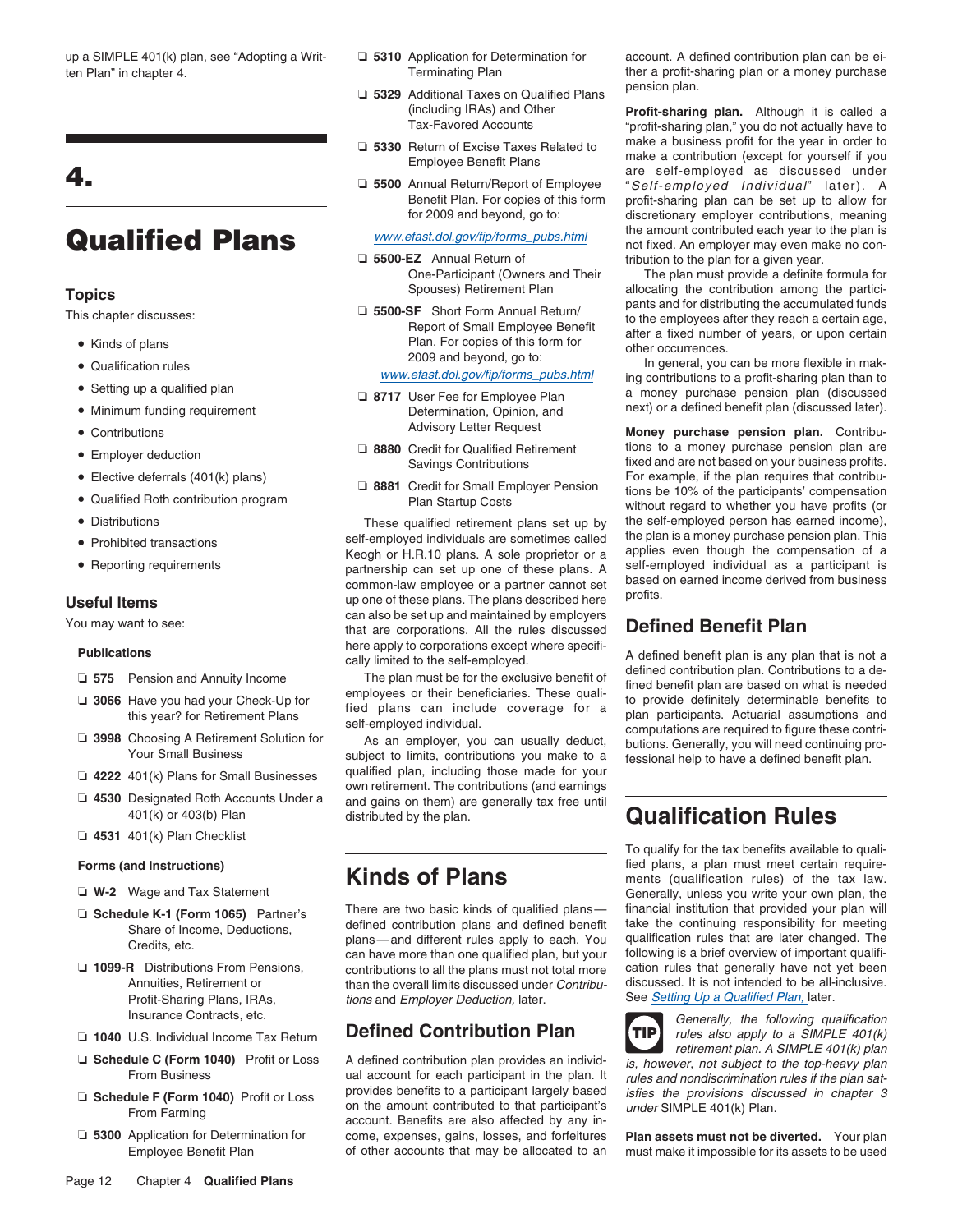up a SIMPLE 401(k) plan, see "Adopting a Writ- ❏ **5310** Application for Determination for account. A defined contribution plan can be ei-

- Kinds of plans
- 
- Setting up a qualified plan
- 
- 
- 
- Elective deferrals (401(k) plans)
- 
- Distributions
- Prohibited transactions
- Reporting requirements

- 
- 
- 
- 
- 
- ❏ **4531** 401(k) Plan Checklist

- 
- 
- 
- 
- 
- 
- 
- Page 12 Chapter 4 **Qualified Plans**
- 
- □ 5329 Additional Taxes on Qualified Plans
- 
- 

- 
- For copies of this form for a fixed number of years, or upon certain<br>Plan. For copies of this form for<br>and beyond, go to: In general, you can be more flexible in mak-<br>www.efast.dol.gov/fip/forms pubs.html<br>in contributions

- Determination, Opinion, and • Contributions • Contributions • Contributions • Contributions • Contributions • Contributions • Contributions • Contributions • Contributions • Contributions • Contributions • Contributions • Contributions • Contribution
	-
	-

• Reporting requirements entirership can set up one of these plans. A self-employed individual as a participant is<br>common-law employee or a partner cannot set based on earned income derived from business<br>up one of these pl can also be set up and maintained by employers You may want to see: that are corporations. All the rules discussed **Defined Benefit Plan**

**Qualified plan, including those made for your** qualified plan, including those made for your<br> **Q 4530** Designated Roth Accounts Under a and gains on them) are generally tax free until Designated Roth Accounts Under a and gains on them) are generally tax free until 401(k) or 403(b) Plan distributed by the plan. distributed by the plan. **The contract of the plan distributed by the plan. Qualification Rules** 

Share of Income, Deductions,<br>Credits, etc. plans — and different rules apply to each. You qualification rules that are later changed. The<br>Credits, etc. can have more than one qualified plan, but your following is a brief **R** Distributions From Pensions, contributions to all the plans must not total more cation rules that generally have not yet been<br>Annuities, Retirement or strain the overall limits discussed under Contribu- discussed. It i than the overall limits discussed under Contribu-Profit-Sharing Plans, IRAs, interest and Employer Deduction, later. See Setting Up a Qualified Plan, later.

ual account for each participant in the plan. It rules and nondiscrimination rules if the plan sat-<br>provides benefits to a participant largely based isfies the provisions discussed in chapter 3 □ Schedule F (Form 1040) Profit or Loss<br>From Farming on the amount contributed to that participant's under SIMPLE 401(k) Plan.<br>The account. Benefits are also affected by any in-<br>The state of the secount. Benefits are also come, expenses, gains, losses, and forfeitures **Plan assets must not be diverted.** Your plan of other accounts that may be allocated to an must make it impossible for its assets to be used Employee Benefit Plan of other accounts that may be allocated to an must make it impossible for its assets to be used

ten Plan" in chapter 4. Terminating Plan ther a profit-sharing plan or a money purchase<br>
Figure 1.5000 Additional Terminating Plan pension plan.

(including IRAs) and Other **Profit-sharing plan.** Although it is called a "profit-sharing plan," you do not actually have to<br>make a business profit for the year in order to □ 5330 Return of Excise Taxes Related to make a business profit for the year in order to<br>Employee Benefit Plans<br>are self-employed as discussed under<br>The same of Employee energy and the self-employed as discussed under Benefit Plan. For copies of this form profit-sharing plan can be set up to allow for for 2009 and beyond, go to: discretionary employer contributions, meaning discretionary employer contributions, meaning **Qualified Plans** www.efast.dol.gov/fip/forms\_pubs.html the amount contributed each year to the plan is not fixed. An employer may even make no con-<br> **Qualified Plans** a stribution to the plan for a given year. tribution to the plan for a given year.

One-Participant (Owners and Their The plan must provide a definite formula for Spouses) Retirement Plan allocating the contribution among the partici-Spouses) Retirement Plan allocating the contribution among the partici-<br>pants and for distributing the accumulated funds<br>This chapter discusses:<br>Report of Small Employee Benefit<br>Report of Small Employee Benefit<br>Report of S

ing contributions to a profit-sharing plan than to Setting up a qualified plan **becaused** a money purchase pension plan (discussed ater).<br>● Minimum funding requirement **betailly on the and** next) or a defined benefit plan (discussed later).

Money purchase pension plan. Contribu-■ **8880** Credit for Qualified Retirement tions to a money purchase pension plan are<br>Savings Contributions fixed and are not based on your business profits. fixed and are not based on your business profits.<br>For example, if the plan requires that contribu-Elective deferration (401(k) plans) For example, in the participants' compensation **For example, in the participants' compensation**<br>• Qualified Roth contribution program Plan Startup Costs without reqeal to whether you ha without regard to whether you have profits (or the self-employed person has earned income), These qualified retirement plans set up by the self-employed person has earned income),<br>f-employed individuals are sometimes called the plan is a money purchase pension plan. This self-employed individuals are sometimes called the plan is a money purchase pension plan. This •<br>Keegh ar H B 10 plans, A sole proprietor ar a • • applies • even though the compensation of a Keogh or H.R.10 plans. A sole proprietor or a applies even though the compensation of a<br>partnership can set up one of these plans. A self-employed individual as a participant is

**Publications**<br> **Drawing that is not a cally limited to the self-employed.**<br> **Drawing and Annuity Income**<br> **Drawing and Annuity Income**<br> **Drawing and Annuity Income**<br> **Drawing and Annuity Income**<br> **Drawing and Annuity Inc** 

To qualify for the tax benefits available to quali-**Forms (and Instructions)**<br> **Kinds of Plans** fied plans, a plan must meet certain require-<br> **Kinds of Plans** and Tax Statement Generally, unless you write your own plan, the Generally, unless you write your own plan, the There are two basic kinds of qualified plans— financial institution that provided your plan will ❏ **Schedule K-1 (Form 1065)** Partner's

Insurance Contracts, etc. ❏ **Defined Contribution Plan** rules also apply to a SIMPLE 401(k) **<sup>1040</sup>**U.S. Individual Income Tax Return retirement plan. A SIMPLE 401(k) plan **TIP ◯ Schedule C (Form 1040)** Profit or Loss A defined contribution plan provides an individ-<br>From Business ual account for each participant in the plan. It rules and nondiscrimination rules if the plan sat-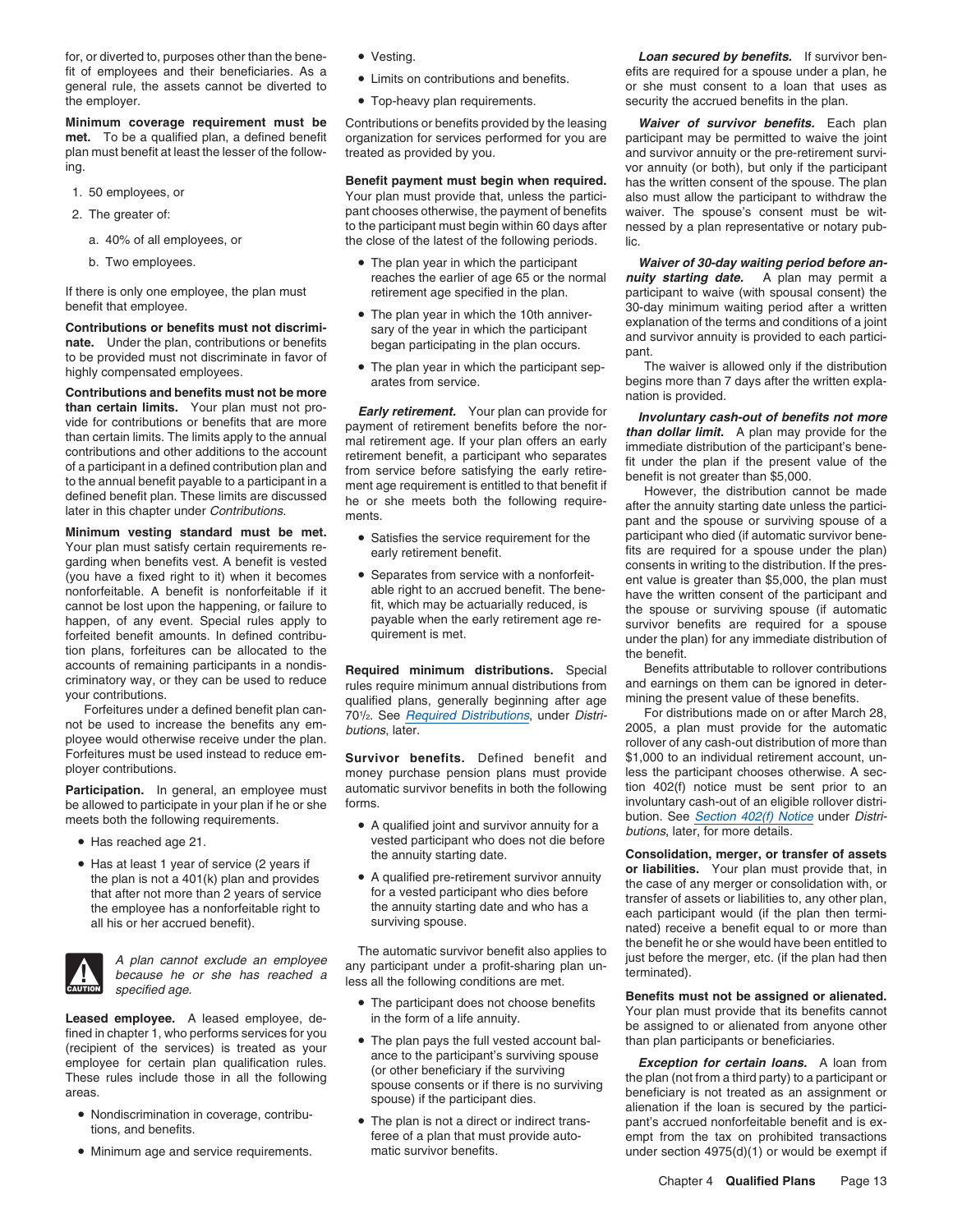for, or diverted to, purposes other than the bene- • Vesting. **Example 10 and Secured by benefits.** If survivor bengeneral rule, the assets cannot be diverted to the employer. **• Top-heavy plan requirements.** Security the accrued benefits in the plan.

- 
- -
	-

than certain limits. Your plan must not provide for contributions or benefits that are more<br>tivel for contributions or benefits that are more<br>contributions and other additions to the annual energian to the account<br>contribu

Nummum vesting standard must be met.<br>
Your plan must satisfy certain requirements re-<br>
garding who benefit set allocated to the plan of the participant who died (if automatic survivor bene-<br>
(you have a fixed in the pres-<br> accounts of remaining participants in a nondis-<br> **Required minimum distributions.** Special Benefits attributable to rollover contributions<br>
criminatory way, or they can be used to reduce rules require minimum annual distri

- Has reached age 21.
- 



Leased employee. A leased employee, de-<br>fined in chapter 1, who performs services for you<br>(recipient of the services) is treated as your<br>(recipient of the services) is treated as your<br>constant the participants current than

- Nondiscrimination in coverage, contribu-<br>tions, and benefits.<br>the plan is not a direct or indirect trans-
- Minimum age and service requirements.
- 
- 
- 

**Minimum coverage requirement must be** Contributions or benefits provided by the leasing *Waiver of survivor benefits.* Each plan

**Benefit payment must begin when required.** has the written consent of the spouse. The plan 1. 50 employees, or Your plan must provide that, unless the partici- also must allow the participant to withdraw the participant t 2. The greater of: pant chooses otherwise, the payment of benefits waiver. The spouse's consent must be wit-<br>to the participant must begin within 60 days after nessed by a plan representative or notary puba. 40% of all employees, or the close of the latest of the following periods. lic.

- b. Two employees.  **The plan year in which the participant** *Waiver of 30-day waiting period before an-*
	-
	- The plan year in which the participant sep-

- 
- 

criminatory way, or they can be used to reduce<br>your contributions.<br>Forfeitures under a defined benefit plan can-<br>not be used to increase the benefits any em-<br>not be used to increase the benefits any em-<br>ployee would otherw

**Participation.** In general, an employee must automatic survivor benefits in both the following tion 402(f) notice must be sent prior to an In general, an employee must automatic survivor benefits in both the following tio

- meets both the following requirements.<br>A qualified joint and survivor annuity for a butions, later, for more details. • A qualified joint and survivor annuity for a vested participant who does not die before<br>the annuity starting date.
	-

A plan cannot exclude an employee<br>because he or she has reached a<br>specified age.<br>Sexurion specified age.<br>Sexurion specified age.

- 
- Fine plan pays the full vested account balm plan participants or beneficiaries.<br>
These rules include those in all the following<br>
These rules include those in all the following<br>
These rules include those in all the followin
	-

fit of employees and their beneficiaries. As a elimits on contributions and benefits.<br>general rule, the assets cannot be diverted to elimits on contributions and benefits. The must consent to a loan that uses as

**met.** To be a qualified plan, a defined benefit organization for services performed for you are participant may be permitted to waive the joint plan must benefit at least the lesser of the follow- treated as provided by y treated as provided by you. The least the least treated as provided by you. And survivor annuity or the pre-retirement surviing.<br>**Benefit payment must begin when required.** has the written consent of the spouse. The plan nessed by a plan representative or notary pub-

reaches the earlier of age 65 or the normal *nuity starting date.* A plan may permit a If there is only one employee, the plan must retirement age specified in the plan. participant to waive (with spousal consent) the benefit that employee. • The plan year in which the 10th anniver-<br>explanation of the terms and conditions of a joint<br>explanation of the terms and conditions of a joint Contributions or benefits must not discrimination of the plan year in which the 10th anniver-<br>
Contributions or benefits must not discrimination of the terms and conditions of a joint<br>
to be provided must not discriminate

to be provided must not discriminate in favor of<br>
highly compensated employees.<br> **Contributions and benefits must not be more**<br> **Explores** than certain limits. Your plan must not pro-<br> **Explores** than can provide for<br> **Exp** 

Forteitures must be used instead to reduce em survivor benefits. Defined benefit and \$1,000 to an individual retirement account, un-<br>money purchase pension plans must provide less the participant chooses otherwise. A secforms.<br>Involuntary cash-out of an eligible rollover distri-<br>bution. See *Section 402(f)* Notice under Distri-<br>bution. See *Section 402(f)* Notice under Distri-

the annuity starting date. **Consolidation, merger, or transfer of assets**<br>**Consolidation, merger, or transfer of assets**<br>**or liabilities.** Your plan must provide that, in • Has at least 1 year of service (2 years if<br>the plan is not a 401(k) plan and provides<br>that after not more than 2 years of service<br>the employee has a nonforfeitable right to<br>all his or her accrued benefit).<br>all his or her

**Benefits must not be assigned or alienated.**<br>In the farm of a life appuitu

The plan is not a direct or indirect trans-<br>feree of a plan that must provide auto-<br>mpt from the tax on prohibited transactions<br>matic survivor benefits.<br>under section 4975(d)(1) or would be exempt if under section 4975(d)(1) or would be exempt if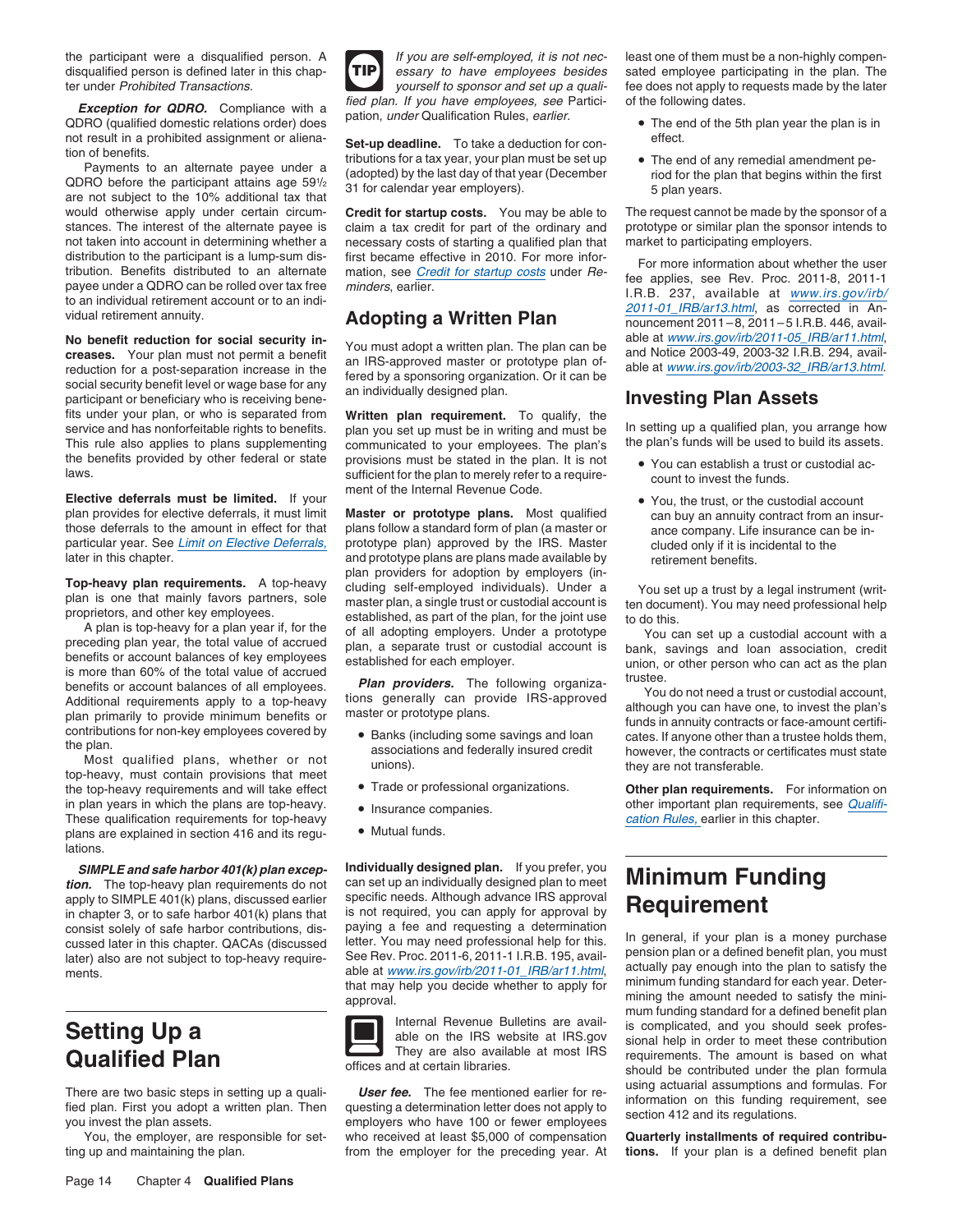disqualified person is defined later in this chap- $\Box$  essary to have employees besides sated employee participating in the plan. The

rayments to an attentiate payee under a<br>  $QDRO$  before the participant attains age  $59\frac{1}{2}$  and for calendar year employers).<br>
The request cannot be made by the sponsor of a<br>
splan years.<br>
Would otherwise apply under ce would otherwise apply under certain circum-<br>stances. The interest of the alternate payee is claim a tax credit for part of the ordinary and prototype or similar plan the sponsor intends to not taken into account in determining whether a necessary costs of starting a qualified plan that

**No benefit reduction for social security in-**<br> **Creases.** Your plan must not permit a benefit an IRS-approved master or prototype plan of-<br>
reduction for a post-separation increase in the fered by a sponsoring organizatio fits under your plan, or who is separated from **Written plan requirement.** To qualify, the This rule also applies to plans supplementing communicated to your employees. The plan's the benefits provided by other federal or state provisions must be stated in the plan. It is not

**Elective deferrals must be limited.** If your **Finally account of the Internal Perropy of the Internal Revenue Code. •** You, the trust, or the custodial account plan provides for elective deferrals, it must limit **Master** 

**Top-heavy plan requirements.** A top-heavy plan providers for adoption by employers (in-<br>plan is one that mainly favors partners, sole community matter plan, a single trust or custodial account is ten document). You may ne

the top-heavy requirements and will take effect • Trade or professional organizations. **Other plan requirements.** For information on These qualification requirements for top-heavy cation companies.<br>
plans are explained in section 416 and its requirection of Mutual funds. plans are explained in section 416 and its regulations.

apply to SIMPLE 401(k) plans, discussed earlier specific needs. Although advance IRS approval<br>in chapter 3, or to safe harbor 401(k) plans that is not required, you can apply for approval by apply to SIMPLE 401(k) plans, discussed earlier specific rieads. Altridugh advance in Sapproval by  $\blacksquare$ <br>in chapter 3, or to safe harbor 401(k) plans that is not required, you can apply for approval by  $\blacksquare$ <br>consist sol consist solely of safe harbor contributions, dis-<br>cussed later in this chapter. QACAs (discussed letter. You may need professional help for this. In general, if your plan is a money purchase<br>later) also are not subject to

There are two basic steps in setting up a quali-<br>fied plan. First you adopt a written plan. Then questing a determination letter does not apply to<br>you invest the plan assets. employers who have 100 or fewer employees secti



**Exception for QDRO.** Compliance with a fied plan. If you have employees, see Partici- of the following dates.<br>QDRO (qualified domestic relations order) does pation, under Qualification Rules, earlier. • The end of the 5th

not result in a prohibited assignment or aliena-<br>tion of benefits.<br>
Payments to an alternate payee under a<br>
QDRO before the participant attains age 59<sup>1/2</sup> 31 for calendar year employers)<br>
and the last day of that year (De

claim a tax credit for part of the ordinary and prototype or similar plan the spons necessary costs of starting a qualified plan that market to participating employers.

service and has nonforfeitable rights to benefits. plan you set up must be in writing and must be In setting up a qualified plan, you arrange how This rule also applies to plans supplementing communicated to your employees the benefits provided by other federal or state provisions must be stated in the plan. It is not • You can establish a trust or custodial ac-<br>sufficient for the plan to mercly refer to a requiresufficient for the plan to merely refer to a require- count to invest the funds.<br>ment of the Internal Revenue Code.

plan provides for elective deferrals, it must limit **Master or prototype plans.** Most qualified can buy an annuity contract from an insur-<br>those deferrals to the amount in effect for that plans follow a standard form of pl plans follow a standard form of plan (a master or ance company. Life insurance can be in-<br>prototype plan) approved by the IRS. Master cluded only if it is incidental to the particular year. See *Limit on Elective Deferrals*, prototype plan) approved by the IRS. Master cluded only if it is incidental to the later in this chapter. And prototype plans are plans are plans and exailable by retirem and prototype plans are plans made available by retirement benefits.

- 
- 
- 
- 

*SIMPLE and safe harbor 401(k) plan excep-* **Individually designed plan.** If you prefer, you *tion.* The top-heavy plan requirements do not can set up an individually designed plan. If you prefer, you<br>apply to SIMPLE 401(k) plans, discussed earlier specific needs. Although advance IRS approval **Decuminement** 

You, the employer, are responsible for set- who received at least \$5,000 of compensation **Quarterly installments of required contribu**ting up and maintaining the plan. **From the employer for the preceding year.** At **tions.** If your plan is a defined benefit plan

the participant were a disqualified person. A If you are self-employed, it is not nec- least one of them must be a non-highly compenter under Prohibited Transactions. yourself to sponsor and set up a quali- fee does not apply to requests made by the later

- 
- 

distribution to the participant is a lump-sum dis-<br>
tribution. Benefits distributed to an alternate mation, see *Credit for startup costs* under *Re*-<br>
payee under a QDRO can be rolled over tax free *minders*, earlier.<br>
t

- 
- 

CONTIDUMIONS TO HOT-REY EMPLOYEES COVETED BY CONSISS ON THE PLANS (including some savings and loan cates. If anyone other than a trustee holds them,<br>the plan. associations and federally insured credit however, the contract

in plan years in which the plans are top-heavy. <br>
Insurance companies. The manufacture important plan requirements, see *Qualifi-*  $\alpha$ 

See Rev. Proc. 2011-6, 2011-11.R.B. 195, avail-<br>able at www.irs.gov/irb/2011-01\_IRB/ar11.html,<br>ments.<br>**See Rev.** Proc. 2011-6, 2011-11.R.B. 195, avail-<br>that may help you decide whether to apply for<br>approval.<br>**See Rev.** Pro **Qualified Plan** They are also available at most IRS requirements. The amount is based on what offices and at certain libraries.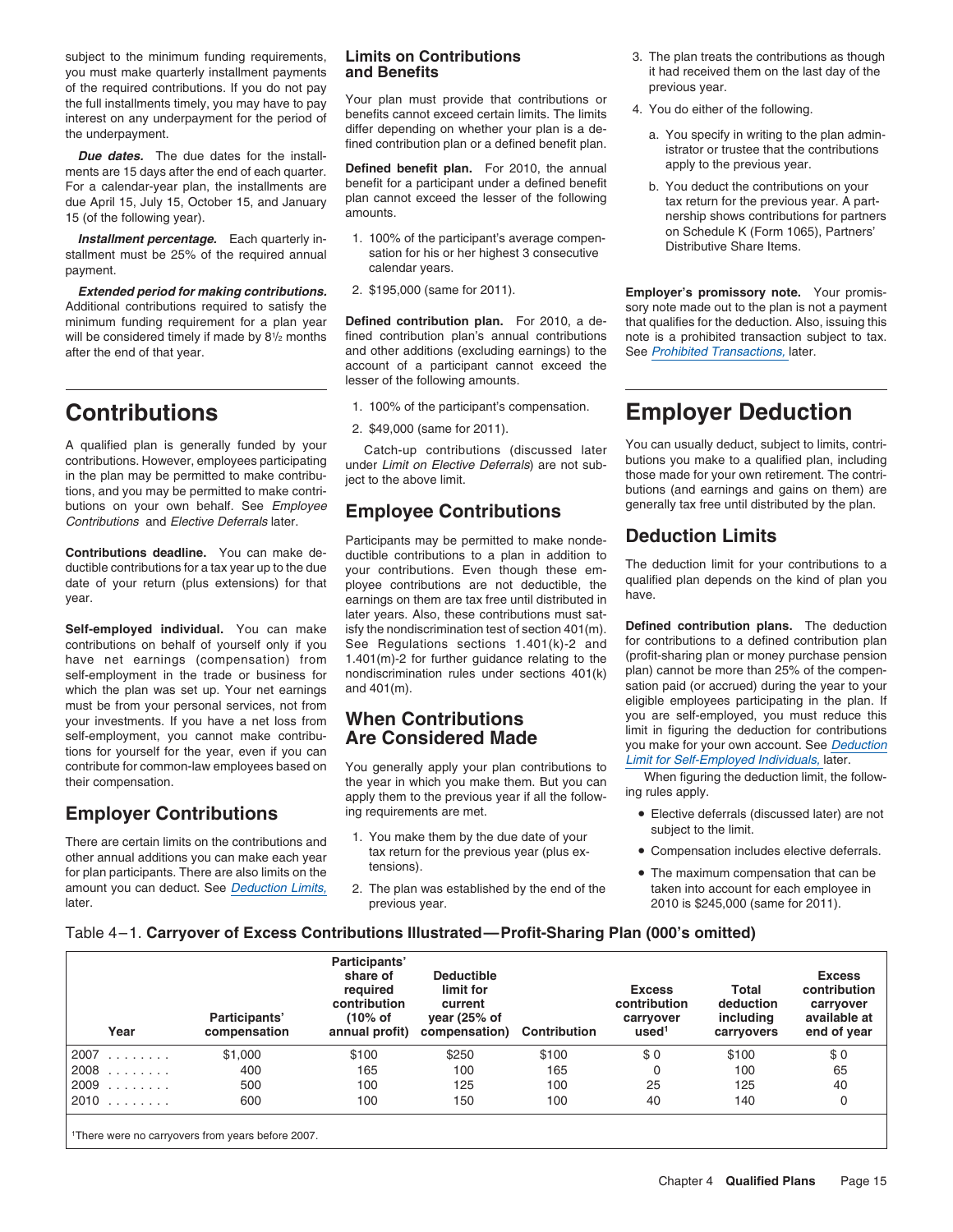you must make quarterly installment payments **and Benefits** it had received them on the last day of the of the required contributions. If you do not pay of the required contributions. If you do not pay<br>the full installments timely you may have to pay. Your plan must provide that contributions or

**Due dates.** The due dates for the install-<br>ments are 15 days after the end of each quarter.<br>For a calendar-year plan, the installments are<br>due April 15, July 15, October 15, and January<br>due April 15, July 15, October 15,

payment. **calendar years.** 

will be considered timely if made by 8<sup>1</sup>/<sub>2</sub> months

butions on your own behalf. See *Employee* **Employee Contributions** generally tax free until distributed by the plan.<br>*Contributions* and *Elective Deferrals* later.

**Contributions deadline.** You can make de-<br>ductible contributions for a tax year up to the due<br>your contributions. Even though these em-

contributions on behalf of yourself only if you see Regulations sections  $1.401(k)$ -2 and for contributions to a defined contribution plan contribution plan contribution plan contribution plan contribution plan contributio have net earnings (compensation) from 1.401(m)-2 for further guidance relating to the (profit-sharing plan or money purchase pension self-employment in the trade or business for nondiscrimination rules under sections 401(k self-employment in the trade or business for nondiscrimination rules under sections 401(k) plan) cannot be more than 25% of the compen-<br>which the plan was set up. Your net earnings and 401(m). which the plan was set up. Your net earnings and 401(m).<br>must be from your personal services not from which is not from the plan. If must be from your personal services, not from eligible employees participating in the plan. If<br>your investments. If you have a net loss from **When Contributions** you are self-employed, you must reduce this your investments. If you have a net loss from **When Contributions**<br>self-employment, you cannot make contribu-<br>tions for yourself for the year, even if you can<br>contribute for common-law employees based on You generally appl

other annual additions you can make each year the tensions).<br>for plan participants. There are also limits on the tensions). amount you can deduct. See Deduction Limits, 2. The plan was established by the end of the taken into account for each employee in later. previous year. 2010 is \$245,000 (same for 2011).

the full installments timely, you may have to pay Your plan must provide that contributions or<br>interest on any underpayment for the period of benefits cannot exceed certain limits. The limits<br>the underpayment.<br>**Due dates.** 

- Installment percentage. Each quarterly in-<br>stallment must be 25% of the required annual sation for his or her highest 3 consecutive<br>stallment must be 25% of the required annual sation for his or her highest 3 consecutive
	-

after the end of that year. **and other additions (excluding earnings)** to the See Prohibited Transactions, later. account of a participant cannot exceed the lesser of the following amounts.

- 
- 

Participants may be permitted to make nonde- **Deduction Limits** ductible contributions. Even though these em-<br>plot a tax year up to the deduction limit for your contributions to a<br>plot experiment of the deductible the qualified plan depends on the kind of plan you date of your return (plus extensions) for that ployee contributions are not deductible, the qualified year. later years. Also, these contributions must sat-**Self-employed individual.** You can make isfy the nondiscrimination test of section 401(m). **Defined contribution plans.** The deduction contributions on behalf of vourself only if you. See Bequilations sections 1,401(k)-2,

- There are certain limits on the contributions and 1. You make them by the due date of your<br>other annual additions you can make each year tax return for the previous year (plus ex- Compensation includes elective deferrals.
	-
- subject to the minimum funding requirements, **Limits on Contributions** 3. The plan treats the contributions as though
	- -
- 15 (of the following year). amounts. amounts. https://www.contributions for partners<br>
1.100% of the perticipant's average sampen on Schedule K (Form 1065), Partners'

*Extended period for making contributions.* 2. \$195,000 (same for 2011). **Employer's promissory note.** Your promis-Additional contributions required to satisfy the sory note made out to the plan is not a payment<br>Addition sory note made out to the plan is not a payment<br>minimum funding requirement for a plan year<br>Defined contribution pla minimum funding requirement for a plan year **Defined contribution plan.** For 2010, a de- that qualifies for the deduction. Also, issuing this fined contribution plan's annual contributions note is a prohibited transaction subject to tax.

# **Contributions** 1. 100% of the participant's compensation. **Employer Deduction**<br>2. \$49,000 (same for 2011).

A qualified plan is generally funded by your<br>contributions (discussed later You can usually deduct, subject to limits, contri-<br>in the plan may be permitted to make contribu-<br>in the plan may be permitted to make contribu-<br>t

- **Employer Contributions** ing requirements are met. **•** Elective deferrals (discussed later) are not subject to the limit.
	-
	-

### Table 4–1. **Carryover of Excess Contributions Illustrated—Profit-Sharing Plan (000's omitted)**

|      | Year | Participants'<br>compensation | Participants'<br>share of<br>reauired<br>contribution<br>(10% of<br>annual profit) | <b>Deductible</b><br>limit for<br>current<br>year (25% of<br>compensation) | <b>Contribution</b> | <b>Excess</b><br>contribution<br>carryover<br>used <sup>1</sup> | Total<br>deduction<br>including<br>carryovers | <b>Excess</b><br>contribution<br>carryover<br>available at<br>end of year |
|------|------|-------------------------------|------------------------------------------------------------------------------------|----------------------------------------------------------------------------|---------------------|-----------------------------------------------------------------|-----------------------------------------------|---------------------------------------------------------------------------|
| 2007 | .    | \$1,000                       | \$100                                                                              | \$250                                                                      | \$100               | \$0                                                             | \$100                                         | \$0                                                                       |
| 2008 | .    | 400                           | 165                                                                                | 100                                                                        | 165                 | 0                                                               | 100                                           | 65                                                                        |
|      | 2009 | 500                           | 100                                                                                | 125                                                                        | 100                 | 25                                                              | 125                                           | 40                                                                        |
| 2010 | .    | 600                           | 100                                                                                | 150                                                                        | 100                 | 40                                                              | 140                                           |                                                                           |
|      |      |                               |                                                                                    |                                                                            |                     |                                                                 |                                               |                                                                           |

Chapter 4 **Qualified Plans** Page 15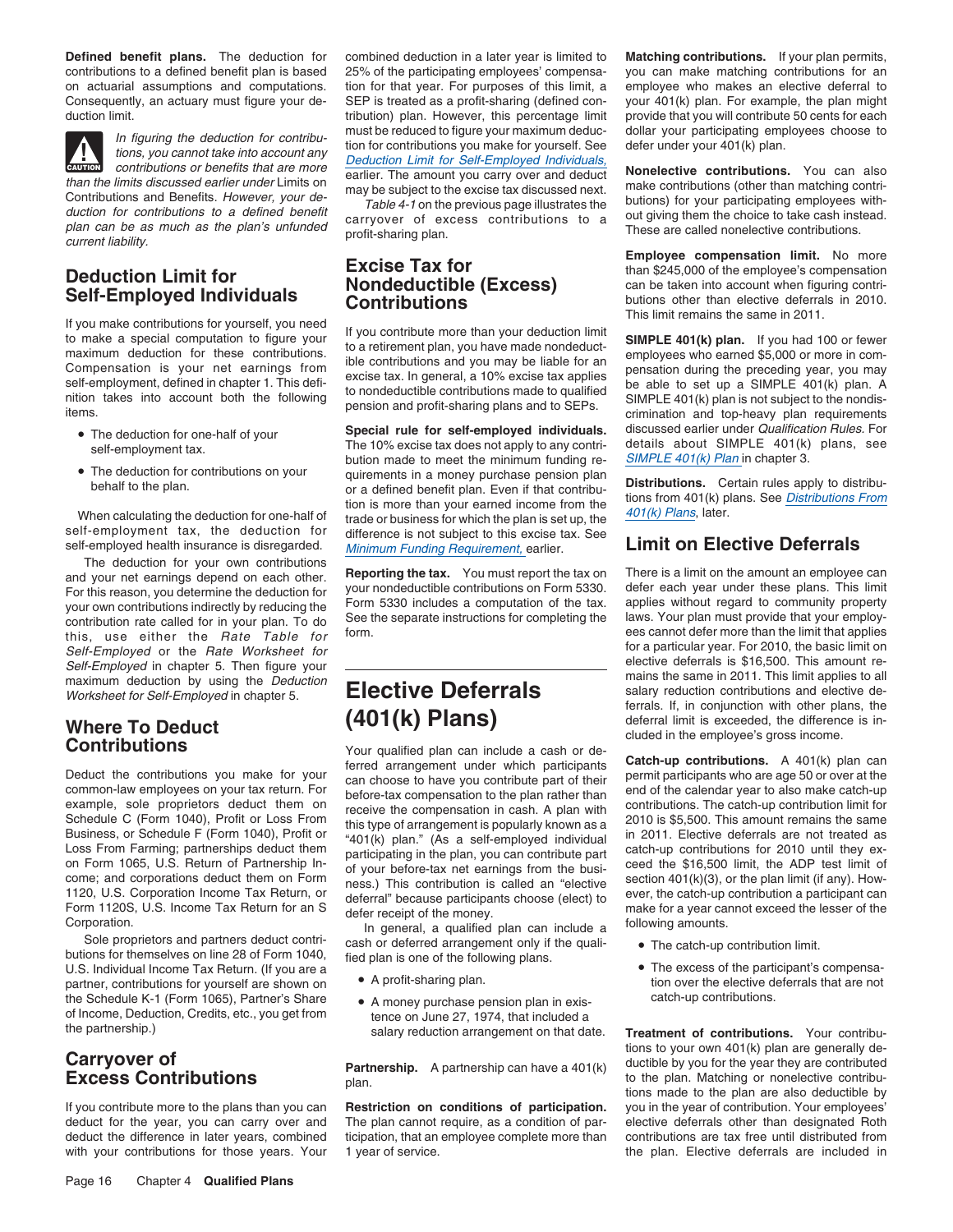contributions to a defined benefit plan is based 25% of the participating employees' compensa- you can make matching contributions for an on actuarial assumptions and computations. tion for that year. For purposes of this limit, a employee who makes an elective deferral to Consequently, an actuary must figure your de-<br>
tribution) plan. However, this percentage limit provide that you will contribute 50 cents for each<br>
tribution) plan. However, this percentage limit provide that you will contr



If you make contributions for yourself, you need<br>to make a special computation to figure your<br>maximum deduction for these contributions.<br>Compensation is your net earnings from<br>self-employment, defined in chapter 1. This de

- 
- The deduction for contributions on your

The deduction for your own contributions<br>and your net earnings depend on each other.<br>For this reason, you determine the deduction for<br>your nondeductible contributions on Form 5330. defer each year under these plans. This l For a particular year. For 2010, the basic limit on Self-Employed or the Rate Worksheet for<br>Self-Employed or the Rate Worksheet for<br>Self-Employed in chanter 5. Then figure your elective deferrals is \$16,500. This amount re- Self-Employed in chapter 5. Then figure your maximum deduction by using the *Deduction*  $\mathsf{Elective}\mathsf{Deferrals}$ 

partner, contributions for yourself are shown on  $\bullet$  A profit-sharing plan. by the shown over the elective deferrals that are not the Schedule K-1 (Form 1065). Partner's Share  $\bullet$  A menoy purchase papeling plan in ovie c the Schedule K-1 (Form 1065), Partner's Share <br>
• A money purchase pension plan in exisof Income, Deduction, Credits, etc., you get from tence on June 27, 1974, that included a<br>the partnership.) salary reduction arrangement on that da

tribution) plan. However, this percentage limit In figuring the deduction for contribu-<br>tions, you cannot take into account any<br>contributions or benefits that are more<br>cannot take into account any<br>contributions or benefits that are more<br>cannot be be called the contribut

The deduction for one-half of your The 10% excise tax does not apply to any contri-<br>self-employment tax. bution made to meet the minimum funding re-  $SIMPLE 401(k) Plan$  in chapter 3. The deduction for contributions on your quirements in a money purchase pension plan<br>behalf to the plan. behalf to the plan.<br> **Distributions.** Certain rules apply to distribu-<br>
When calculating the deduction for one-half of<br>
trade or business for which the plan is set up the<br>
trade or business for which the plan is set up the When calculating the deduction for one-half of trade or business for which the plan is set up, the self-employment tax, the deduction for difference is not subject to this excise tax. See self-employment tax, the deduction for difference is not subject to this excise tax. See<br>self-employed health insurance is disregarded. Minimum Funding Requirement earlier. self-employed health insurance is disregarded. Minimum Funding Requirement, earlier. **Limit on Elective Deferrals**

- A profit-sharing plan.
- 

If you contribute more to the plans than you can **Restriction on conditions of participation.** you in the year of contribution. Your employees' deduct for the year, you can carry over and The plan cannot require, as a condition of par- elective deferrals other than designated Roth deduct the difference in later years, combined ticipation, that an employee complete more than contributions are tax free until distributed from with your contributions for those years. Your 1 year of service. The plan. Elective deferrals are included in

**Defined benefit plans.** The deduction for combined deduction in a later year is limited to **Matching contributions.** If your plan permits,

From the limits discussed earlier under Limits on<br>Contributions and Benefits. However, your de-<br>duction for contributions to a defined benefit<br>plan can be as much as the plan's unfunded<br>current liability.<br>Contributions to

Excise Tax for<br>Deduction Limit for **Excise Tax for** Excess) Employee compensation limit. No more<br>Self-Employed Individuals Contributions Contributions butions other than elective deferrals in 2010. This limit remains the same in 2011.

• The deduction for one-half of your **Special rule for self-employed individuals.** discussed earlier under Qualification Rules. For

Worksheet for Self-Employed in chapter 5. **Elective Deferrals** salary reduction contributions and elective de-<br>**If a chapter in chapter 1. for a ferrals.** If, in conjunction with other plans, the **Where To Deduct (401(k) Plans)** deferral limit is exceeded, the difference is in-<br>Cluded in the employee's gross income.

**CONTIDUTIONS**<br>
Contributions<br>
Deduct the contributions you make for your qualified plan can include a cash or de-<br>
Deduct the contributions A 401(k) plan can<br>
Deduct the contributions on your tax return. For<br>
can choose t

- 
- 

salary reduction arrangement on that date. **Treatment of contributions.** Your contributions to your own 401(k) plan are generally de-<br>**Carryover of Partnership.** A partnership can have a 401(k) ductible by you for the year they are contributed<br>to the plan. Matching or nonelective contribu-<br>tions made to the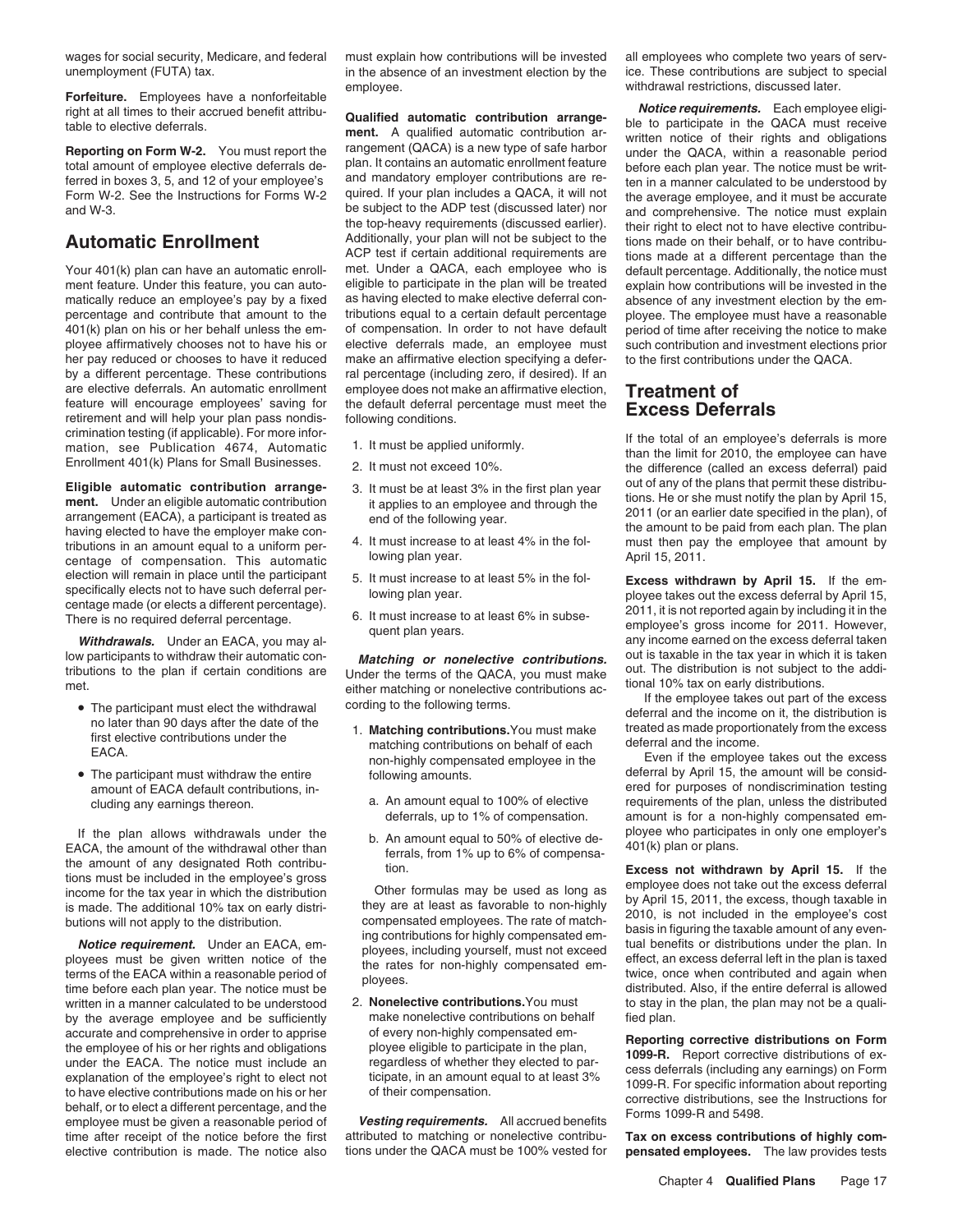unemployment (FUTA) tax. in the absence of an investment election by the ice. These contributions are subject to special

employee.<br> **Forfeiture.** Employees have a nonforfeitable<br>
right at all times to their accrued benefit attribu-<br> **Contained a propertion contribution crupper and Motice requirements.** Each employee eligi-

by a different percentage. These contributions ral percentage (including zero, if desired). If an Feature will encourage employees' saving for the default deferral percentage must meet the **Excess Deferrals**<br>
retirement and will help your plan pass nondis-<br>
crimination testing (if applicable). For more infor-

**ment.** Under an eligible automatic contribution<br>arrangement (EACA), a participant is treated as<br>having elected to have the employer make con-<br>tributions in an amount equal to a uniform per-<br>centage of compensation. This a election will remain in place until the participant 5. It must increase to at least 5% in the fol-<br>specifically elects not to have such deferral per-<br>lowing play vear section to have such deferral per-<br>lowing play vear

- The participant must elect the withdrawal<br>no later than 90 days after the date of the<br>first elective contributions under the<br>first elective contributions under the<br>matching contributions on behalf of each<br>first elective
- 

written in a manner calculated to be understood 2. **Nonelective contributions.**You must to stay in the plan, the plan may not be a qualiby the average employee and be sufficiently make nonelective contributions on behalf fied plan. accurate and comprehensive in order to apprise<br>the employee of his or her rights and obligations<br>under the EACA. The notice must include an<br>explanation of the employee's right to elect not<br>to have elective contributions ma time after receipt of the notice before the first attributed to matching or nonelective contribu-<br>
elective contribution is made. The notice also tions under the QACA must be 100% vested for **pensated employees**. The law p elective contribution is made. The notice also tions under the QACA must be 100% vested for **pensated employees.** The law provides tests

wages for social security, Medicare, and federal must explain how contributions will be invested all employees who complete two years of serv-

**Reporting on Form W-2.** You must report the rangement (QACA) is a new type of safe harbor under the QACA, within a reasonable period total amount of employee elective deferrals de-<br>total amount of employee elective deferr total amount of employee elective deferrals de-<br>ferred in boxes 3, 5, and 12 of your employee's and mandatory employer contributions are re-<br>Form W-2. See the Instructions for Forms W-2 quired. If your plan includes a QACA Form W-2. See the Instructions for Forms W-2 quired. It your plan includes a QACA, it will not the average employee, and it must be accurate<br>be subject to the ADP test (discussed later) nor and comprehensive. The notice mu and W-3.<br>the top-heavy requirements (discussed later) nor and comprehensive. The notice must explain<br>Additionally, your plan will not be subject to the tions made on their behalf, or to have contribu-<br>Antions made on their Additionally, your plan will not be subject to the tions made on their behalf, or to have contribu-<br>ACP test if certain additional requirements are tions made at a different percentage than the ACP test if certain additional requirements are tions made at a different percentage than the met. Under a QACA, each employee who is default percentage. Additionally, the notice must Your 401(k) plan can have an automatic enroll- met. Under a QACA, each employee who is default percentage. Additionally, the notice must ment feature. Under this feature, you can auto- eligible to participate in the plan w ment feature. Under this feature, you can auto-<br>matically reduce an employee's pay by a fixed as having elected to make elective deferral con-<br>matically reduce an employee's pay by a fixed as having elected to make electiv matically reduce an employee's pay by a fixed as having elected to make elective deferral con-<br>percentage and contribute that amount to the tributions equal to a certain default percentage ployee. The employee must have a percentage and contribute that amount to the tributions equal to a certain default percentage ployee. The employee must have a reasonable 401(k) plan on his or her behalf unless the em- of compensation. In order to not hav 401(k) plan on his or her behalf unless the em- of compensation. In order to not have default period of time after receiving the notice to make<br>ployee affirmatively chooses not to have his or elective deferrals made, an em elective deferrals made, an employee must such contribution and investment elections prior her pay reduced or chooses to have it reduced make an affirmative election specifying a defer- to the first contributions under the QACA. are elective deferrals. An automatic enrollment employee does not make an affirmative election, **Treatment of** feature will encourage employees' saving for the default deferral percentage must meet the **Excess Defort** 

- 
- 
- 
- 
- 
- 

tributions to the plan if certain conditions are Under the terms of the QACA, you must make out. The distributions is not subject to the The terms of the QACA, you must make tional 10% tax on early distributions. et. either matching or nonelective contributions ac-<br>If the employee takes out part of the excess cording to the following terms.<br>deferral and the income on it, the distribution is

- ITST EIECT efferral and the income.<br>
EACA. The participant must withdraw the entire following amounts and the excess deferral and the employee takes out the excess<br>
The participant must withdraw the entire following amount
	-
	-

right at all times to their accrued benefit attribution<br>table to elective deferrals.<br>**Reporting on Form W-2** You must report the rangement (QACA) is a new type of safe harbor<br>**Reporting on Form W-2** You must report the ran

crimination testing (if applicable). For more infor-<br>mation, see Publication 4674, Automatic 1. It must be applied uniformly. The than the limit for 2010, the employee can have<br>Enrollment 401(k) Plans for Small Businesses. **Eligible automatic contribution arrange-** 3. It must be at least 3% in the first plan year out of any of the plans that permit these distribu-<br>ment. Under an eligible automatic contribution it applies to an employee and t

specifically elects not to have such deferral per<br>
centage made (or elects a different percentage).<br>
There is no required deferral percentage.<br>
Withdrawals. Under an EACA, you may al-<br>
Withdrawals. Under an EACA, you may a low participants to withdraw their automatic con-<br>tributions to the plan if certain conditions are Under the terms of the OACA you must make out. The distribution is not subject to the addi-

• The participant must withdraw the entire defollowing amounts. The deferral by April 15, the amount will be considamount of EACA default contributions, in-<br>
a. An amount equal to 100% of elective equirements of the plan. unless the distributed<br>
cluding any earnings thereon. cluding any earnings thereon. a. An amount equal to 100% of elective requirements of the plan, unless the distributed<br>deferrals, up to 1% of compensation. amount is for a non-highly compensated emamount is for a non-highly compensated em-

If the plan allows withdrawals under the ployee who participates in only one employer's b. An amount equal to 50% of elective de- EACA, the amount of the withdrawal other than 401(k) plan or plans. ferrals, from 1% up to 6% of compensa- the amount of any designated Roth contribu- tion. **Excess not withdrawn by April 15.** If the tions must be included in the employee's gross employee does not take out the excess deferral income for the tax year in which the distribution Other formulas may be used as long as by April 15, 2011, the excess, though taxable in is made. The additional 10% tax on early distri- they are at least as favorable to non-highly 2010, is not included in the employee's cost butions will not apply to the distribution. compensated employees. The rate of match- basis in figuring the taxable amount of any even- ing contributions for highly compensated em- *Notice requirement.* Under an EACA, em- tual benefits or distributions under the plan. In ployees, including yourself, must not exceed ployees must be given written notice of the effect, an excess deferral left in the plan is taxed the rates for non-highly compensated em- terms of the EACA within a reasonable period of twice, once when contributed and again when ployees. time before each plan year. The notice must be distributed. Also, if the entire deferral is allowed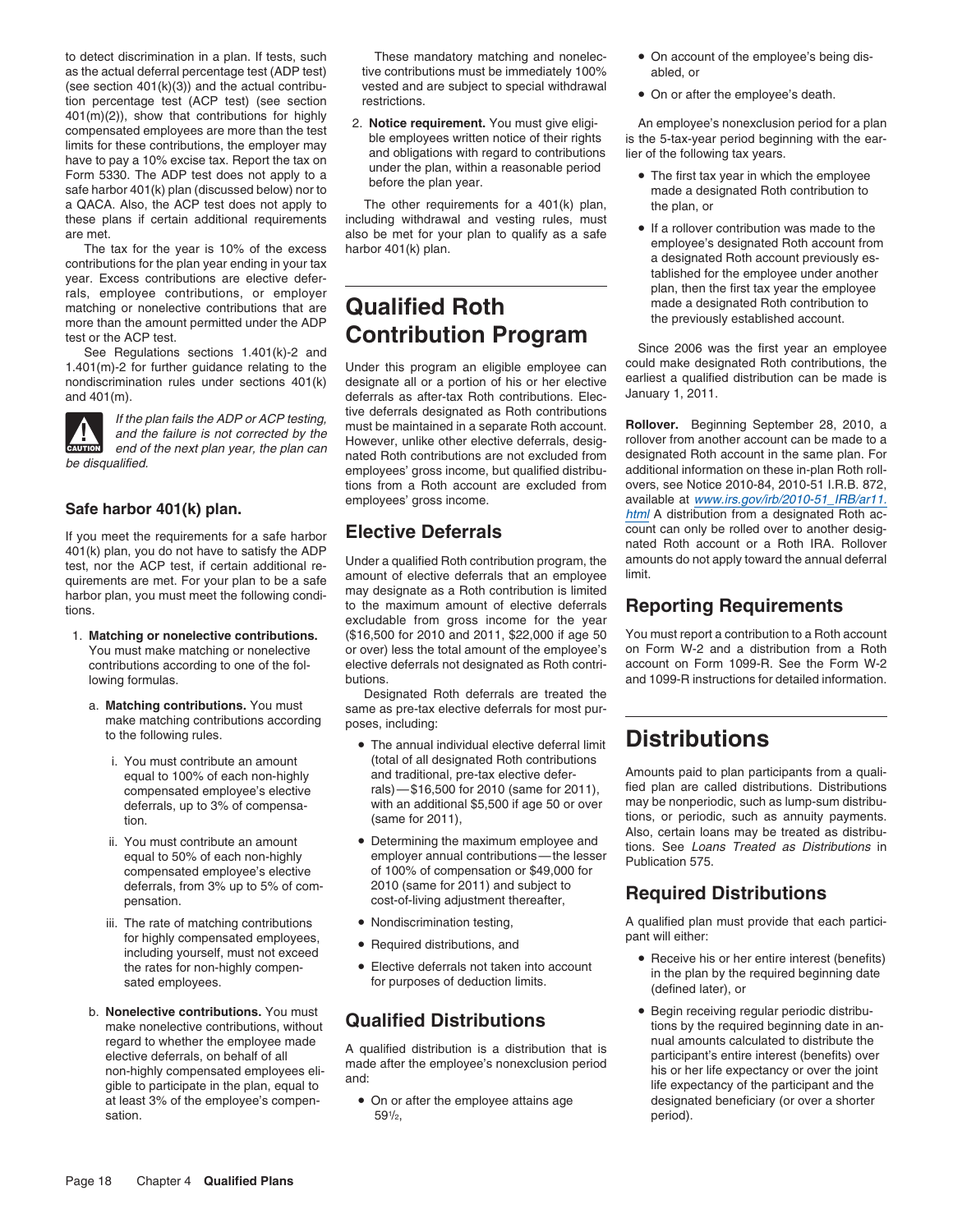to detect discrimination in a plan. If tests, such These mandatory matching and nonelec- • On account of the employee's being disas the actual deferral percentage test (ADP test) tive contributions must be immediately 100% abled, or (see section  $401(k)(3)$ ) and the actual contribu-<br>tion percentage test (ACP test) (see section restrictions. tion percentage test (ACP test) (see section  $(401(m)(2))$ , show that contributions for highly<br>
compensated employees are more than the test<br>
limits for these contributions, the employer may<br>
have to pay a 10% excise tax. Report the tax on<br>
Form 5330. The ADP test does a QACA. Also, the ACP test does not apply to The other requirements for a 401(k) plan, the plan, or these plans if certain additional requirements including withdrawal and vesting rules, must<br>also be met for your plan to qualify as a safe . If a rollover contribution was made to the

rals, employee contributions, or employer<br>matching or nonelective contributions that are **Qualified Roth** made a designated Roth contribution to<br>more than the amount permitted under the ADP more than the amount permitted under the ADP **Contribution Program** 



If you meet the requirements for a safe harbor<br>401(k) plan, you do not have to satisfy the ADP<br>test, nor the ACP test, if certain additional re-<br>quirements are met. For your plan to be a safe and determined the amount of e

- - make matching contributions according poses, including: to the following rules.
		-
		-
		- for highly compensated employees, **•** Required distributions, and including yourself, must not exceed<br>the rates for non-highly compen-<br>in the plan by the required beginning data
	- sation.  $59\frac{1}{2}$ ,  $59\frac{1}{2}$ ,  $59\frac{1}{2}$ ,  $59\frac{1}{2}$ ,  $59\frac{1}{2}$ ,  $59\frac{1}{2}$

If the plan fails the ADP or ACP testing,<br>and the failure is not corrected by the must be maintained in a separate Roth account.<br>However, unlike other elective deferrals, designated Follover from another account can be mad nated Roth contributions are not excluded from and designate roth contributions are not excluded from designation of the same plan Roth roll-<br>employees' gross income, but qualified distribu- additional information on these tions from a Roth account are excluded from

tions.<br>to the maximum amount of elective deferrals **Reporting Requirements**<br>to the maximum amount of elective deferrals **Reporting Requirements**<br>excludable from gross income for the year<br>1. Matching or nonelective contribu 1. **Matching or nonelective contributions.** (\$16,500 for 2010 and 2011, \$22,000 if age 50 You must report a contribution to a Roth account (\$16,500 for 2010 and 2011, \$22,000 if age 50 You must make matching or nonelective You must make matching or nonelective or over) less the total amount of the employee's on Form W-2 and a distribution from a Roth<br>contributions according to one of the fol- elective deferrals not designated as Roth contricontributions according to one of the fol- elective deferrals not designated as Roth contri-

Designated Roth deferrals are treated the a. Matching contributions. You must same as pre-tax elective deferrals for most pur-

- The annual individual elective deferral limit **Distributions** i. You must contribute an amount (total of all designated Roth contributions
	- equal to 50% of each non-highly employer annual contributions—the lesser publication 575.<br>compensated employee's elective of 100% of compensation or \$49,000 for of 100% of compensation or \$49,000 for deferrals, from 3% up to 5% of com- 2010 (same for 2011) and subject to **Required Distributions** pensation. cost-of-living adjustment thereafter,
		-
		-
		-

 $59\frac{1}{2}$ .

- 
- 

- 
- are met.<br>
also be met for your plan to quality as a safe of the employee's designated Roth account from<br>
The tax for the year is 10% of the excess harbor 401(k) plan.<br>
contributions for the plan year ending in your tax<br>
ye

Since 2006 was the first year an employee<br>1.401(m)-2 for further guidance relating to the Under this program an eligible employee can<br>1.401(m)-2 for further guidance relating to the<br>nondiscrimination rules under sections 4

employees' gross income. available at www.irs.gov/irb/2010-51\_IRB/ar11.<br>html A distribution from a designated Roth ac-<br>ac-

lowing formulas. **Example 20 and 1099-R** instructions for detailed information.

equal to 100% of each non-highly and traditional, pre-tax elective defer-<br>
Amounts paid to plan participants from a qualicompensated employee's elective rals)—\$16,500 for 2010 (same for 2011), fied plan are called distributions. Distributions compensated employee's elective rals)—\$16,500 for 2010 (same for 2011), fied plan are called distrib deferrals, up to 3% of compensa-<br>
ions, or periodic, such as lump-sum distribu-<br>
ions, or periodic, such as annuity payments.<br>
Also, certain loans may be treated as distribuii. You must contribute an amount • Determining the maximum employee and tions. See Loans Treated as Distributions in equal to 50% of each non-highly employer annual contributions — the lesser  $p_{\text{unblication}}$   $575$ 

iii. The rate of matching contributions • Nondiscrimination testing, A qualified plan must provide that each partici-<br>for highly compensated employees.

- the rates for non-nighty compen-<br>sated employees. The plan by the required beginning date<br>(defined later), or (defined later), or
- b. **Nonelective contributions.** You must **Qualified Distributions** Begin receiving regular periodic distribu-<br>make perceiving contributions without **Qualified Distributions** make nonelective contributions, without **QUAIITIEG DISTRIBUTIONS** tions by the required beginning date in anregard to whether the employee made<br>
elective deferrals, on behalf of all<br>
made after the employee's nonexclusion period<br>
made after the employee's nonexclusion period<br>
in the participant or over the joint<br>
gible to partic at least 3% of the employee's compen- • On or after the employee attains age designated beneficiary (or over a shorter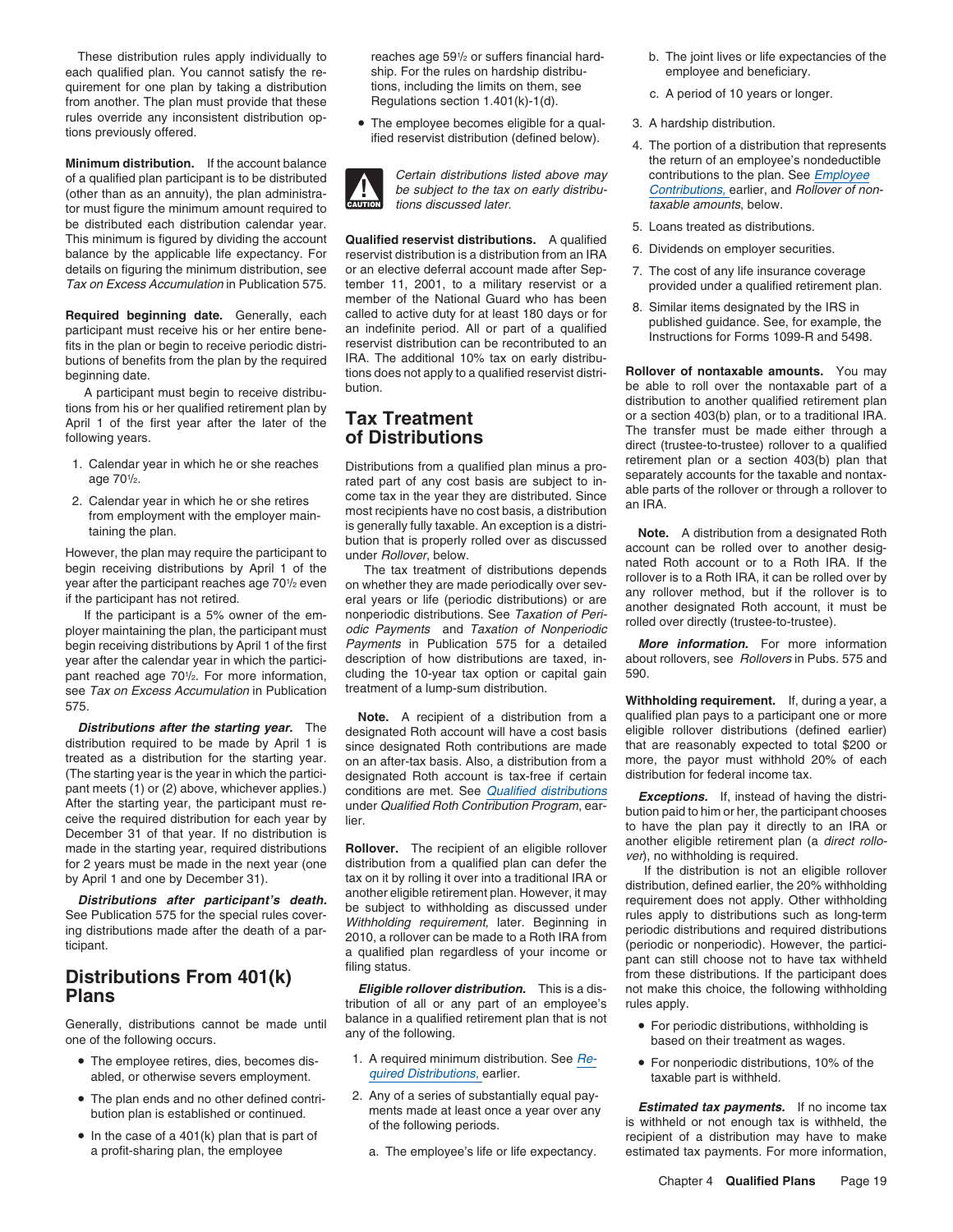each qualified plan. You cannot satisfy the re-<br>
ship. For the rules on hardship distribu-<br>
employee and beneficiary. quirement for one plan by taking a distribution tions, including the limits on them, see c. A period of 10 years or longer.<br>from another. The plan must provide that these Regulations section 1.401(k)-1(d). rules override any inconsistent distribution op-<br>tions previously offered.

of a qualified plan participant is to be distributed<br>
(other than as an annuity), the plan administration of the tax on early distributions in the plan. See Employee<br>
to must figure the minimum amount required to<br>
tors dis tor must figure the minimum amount required to be distributed each distribution calendar year.<br>This minimum is figured by dividing the account **Qualified reservist distributions.** A qualified **and the construction** 

- 
- 

pant reached age 70<sup>1</sup>/<sub>2</sub>. For more information, cluding the 10-year tax option or capital see Tax on Excess Accumulation in Publication treatment of a lump-sum distribution. see Tax on Excess Accumulation in Publication.

treated as a distribution for the starting year. on an after-tax basis. Also, a distribution from a more as the payor must withhold 20% of the starting year is the year in which the partici-<br>Anonated Both account is that w (The starting year is the year in which the partici-<br>
pant meets (1) or (2) above, whichever applies.) conditions are met. See Qualified distributions

Generally, distributions cannot be made until balance in a qualified retirement plan that is not • For periodic distributions, withholding is one of the following occurs.

- abled, or otherwise severs employment. quired Distributions, earlier. the taxable part is withheld.
- The plan ends and no other defined contri- 2. Any of a series of substantially equal pay-
- In the case of a 401(k) plan that is part of

These distribution rules apply individually to  $r = r$  reaches age 59 $\frac{1}{2}$  or suffers financial hard-

The employee becomes eligible for a qual-<br>  $\begin{array}{ccc} 3. & A$  hardship distribution.<br>  $\end{array}$  4. The portion of a distribution that represents



This minimum is figured by dividing the account **Qualified reservist distributions.** A qualified<br>balance by the applicable life expectancy. For reservist distribution is a distribution from an IRA 6. Dividends on employer details on figuring the minimum distribution, see or an elective deferral account made after Sep- 7. The cost of any life insurance coverage<br>Tax on Excess Accumulation in Publication 575. tember 11, 2001, to a military res tember 11, 2001, to a military reservist or a provided under a qualified retirement plan.<br>member of the National Guard who has been member of the National Guard who has been<br> **Required beginning date.** Generally, each called to active duty for at least 180 days or for a sumilar items designated by the IRS in<br>
participant must receive his or her entire butions of benefits from the plan by the required IRA. The additional 10% tax on early distributions does not apply to a qualified reservist distri-<br>A norticipant must begin to reacing distribution. bution.<br>
bution.

age 70<sup>1/2</sup>.<br>
2. Calendar year in which he or she retires<br>
to me tax in the year they are distributed. Since<br>
from employment with the employer main-<br>
taining the plan.<br>
However, the plan may require the participant to<br>
b

year after the participant reaches age 70<sup>1</sup>/<sub>2</sub> even on whether they are made periodically over sev-<br>if the participant has not retired.<br>If the participant is a 5% owner of the em-<br>ployer maintaining the plan, the partici begin receiving distributions by April 1 of the first Payments in Publication 575 for a detailed **More information**. For more information year after the calendar year in which the partici-<br>year after the calendar year in w year after the calendar year in which the partici- description of how distributions are taxed, in-<br>net reached age 70%. For more information. cluding the 10-year tax option or capital gain 590.

Note. A recipient of a distribution from a

part meets (1) or (2) above, whichever applies.) conditions are met. See *Qualified distributions*<br>
After the starting year, the participant must re-<br>
under *Cualified Roth Contribution Program*, ear-<br>
December 31 of that

- The employee retires, dies, becomes dis- <sup>1.</sup> A required minimum distribution. See **Re-** For nonperiodic distributions, 10% of the
	- The plan ends and no other defined contri-<br>
	bution plan is established or continued.<br>
	is withheld or not enough tax is withheld, the or not enough tax is withheld, the orinough tax is withheld, the
		-
- b. The joint lives or life expectancies of the
- 
- 
- **Minimum distribution.** If the account balance<br>
of a qualified plan participant is to be distributed **A.** Certain distributions listed above may contributions to the plan. See *Employee* taxable amounts, below.
	-
	-
	-
	-

A participant must begin to receive distribu-<br>
A participant must begin to receive distribu-<br>
April 1 of the first year after the later of the **Tax Treatment**<br>
April 1 of the first year after the later of the **Tax Treatmen** 1. Calendar year in which he or she reaches Distributions from a qualified plan minus a pro-<br>age  $70\frac{1}{2}$ . That Distributions from a qualified plan minus a pro-<br>able parts of the taxable and nontax-<br>able parts of the r

Withholding requirement. If, during a year, a 575.<br>S75. Note. A recipient of a distribution from a qualified plan pays to a participant one or more **Distributions after the starting year.** The designated Roth account will have a cost basis eligible rollover distributions (defined earlier) distribution required to be made by April 1 is since designated Roth contributio distribution required to be made by April 1 is since designated Roth contributions are made that are reasonably expected to total \$200 or treated as a distribution for the starting year. on an after-tax basis. Also a distr

**Figible rollover distribution.** This is a dis-<br>**Plans** tributions. If the participant does<br>tribution of all or any part of an employee's rules apply.

- 
- 

In the case of a 401(k) plan that is part of **recipient** of recipient of a distribution may have to make a profit-sharing plan, the employee a The employee's life or life expectancy. estimated tax payments. For more inform a. The employee's life or life expectancy. estimated tax payments. For more information,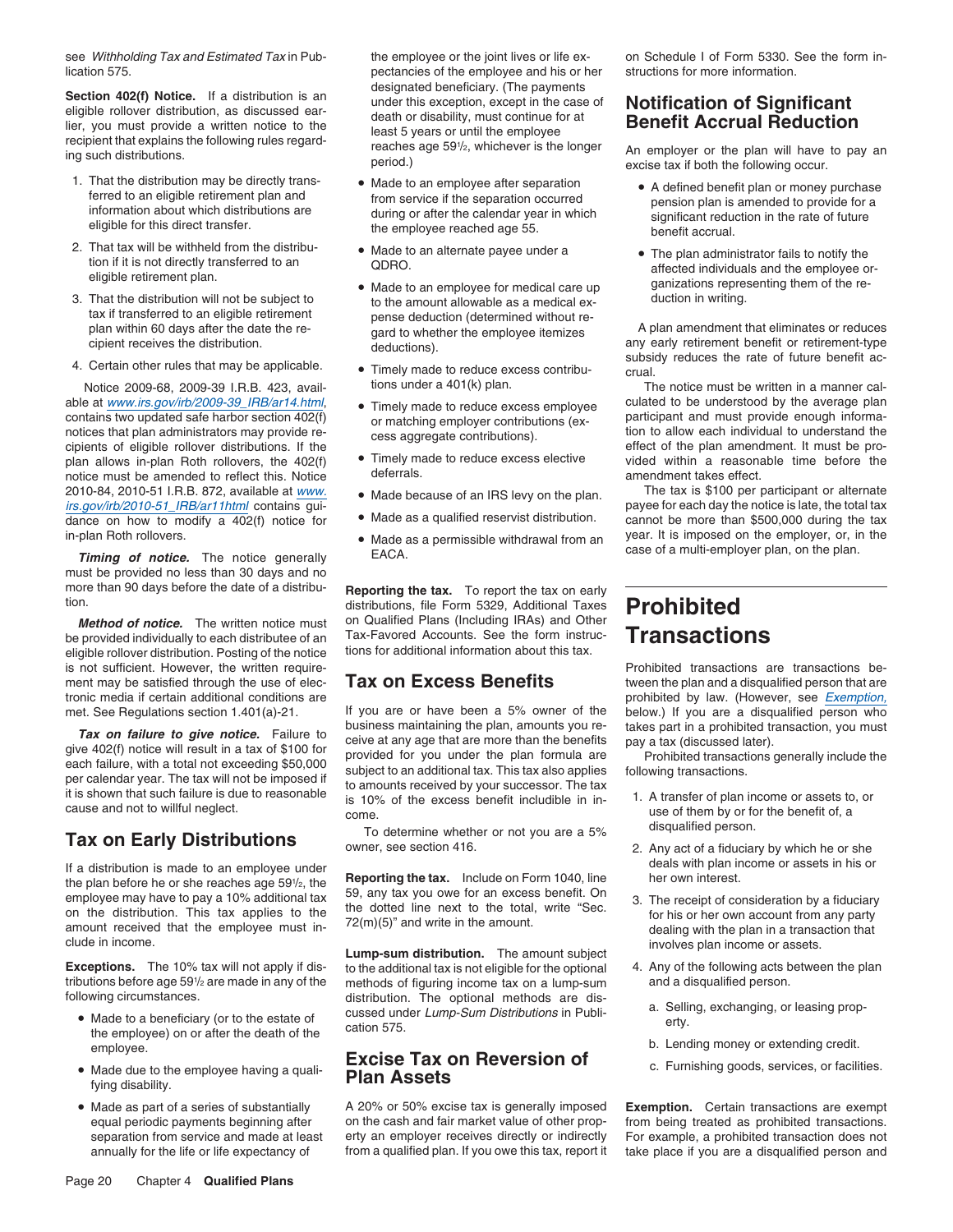lication 575. pectancies of the employee and his or her structions for more information.

- 1. That the distribution may be directly trans-<br>from service if the separation occurred<br>frace is the separation occurred proposition is amended to provide for a
- 2. That tax will be withheld from the distribu-
- 3. That the distribution will not be subject to the amount allowable as a medical ex-<br>tax if transferred to an eligible retirement<br>nense deduction (determined without re-
- 

able at *WWW.ITS.gov/ITD/2009-39\_IFIB/8114.11011,*<br>contains two updated safe harbor section 402(f) or matching employer contributions (ex-<br>notices that plan administrators may provide re-<br>cipients of eligible rollover dist notice must be amended to reflect this. Notice deferrals. deterministic example amendment takes effect. 2010-84, 2010-51 I.R.B. 872, available at <u>www</u>. • Made because of an IRS levy on the plan. The tax is \$100 per participant or alternate irs.gov/irb/2010-51\_IRB/ar11html contains gui-<br>dance on how to modify a 402(f) notice for <br>e Made as a qualified reservist distribution. cannot be more than \$500,000 during the tax dance on how to modify a 402(f) notice for • Made as a qualified reservist distribution. cannot be more than \$500,000 during the tax

must be provided no less than 30 days and no

*Method of notice.* The written notice must be provided individually to each distributee of an Tax-Favored Accounts. See the form instruc-<br>be provided individually to each distribution Posting of the potice tions for additional information about this tax. eligible rollover distribution. Posting of the notice is not sufficient. However, the written require-<br>ment may be satisfied through the use of elec-<br>
Tax on Excess Benefits be-tween the plan and a disqualified person that are

If a distribution is made to an employee under<br>the plan before he or she reaches age 59<sup>1</sup>/<sub>2</sub>, the **Reporting the tax.** Include on Form 1040, line her own interest.<br>A analogoe may have to pay a 10% additional tax 59, any the plan before he or she reaches age 59%, the **reporting the tax**. Include of Form 1940, the the own interest.<br>
employee may have to pay a 10% additional tax 59, any tax you owe for an excess benefit. On<br>
on the distribu

- Made to a beneficiary (or to the estate of cussed under *Lump-Sum Distributions* in Fubile<br>the employee) on or after the death of the cation 575.<br> **Excise Tax on Reversion of** the contract of the contract of the contract
- Made due to the employee having a quali-fying disability. **Plan Assets**
- Made as part of a series of substantially

**Section 402(f) Notice.** If a distribution is an under this exception, except in the case of **Notification of Significant**<br>
eligible rollover distribution, as discussed ear-<br>
lier, you must provide a written notice to the recipient that explains the following rules regard-<br>ing such distributions. period.) https://whichever is the longer An employer or the plan will have to pay an<br>excise tax if both the following occur.

- 
- Made to an alternate payee under a • The plan administrator fails to notify the
- Made to an employee for medical care up
- Timely made to reduce excess contribu-<br>
crual.
- 
- 
- 
- 
- Timing of notice. The notice generally EACA. **EXALL FROM EACA.** Case of a multi-employer plan, on the plan.

more than 90 days before the date of a distribu-<br>tion.<br>**Method of notice** The written notice must on Qualified Plans (Including IRAs) and Other<br>**Method of notice** The written notice must on Qualified Plans (Including IRAs)

met. See Regulations section 1.401(a)-21. If you are or have been a 5% owner of the below.) If you are a disqualified person who<br>Example business maintaining the plan, amounts you re-<br>The an aprohibited transaction, you mu **Tax on failure to give notice.** Failure to business maintaining the plan, amounts you re-<br>give 402(f) notice will result in a tax of \$100 for<br>each failure, with a total not exceeding \$50,000<br>per calendar year. The tax wil

disqualified person.<br>**Tax on Early Distributions** owner, see section 416. 2. Any act of a fiduciary by which he or she

clude in income.<br>**Lump-sum distribution.** The amount subject involves plan income or assets.<br>**Exceptions.** The 10% tax will not apply if dis-<br>to the additional tax is not eligible for the optional 4. Any of the following a **Exceptions.** The 10% tax will not apply if dis-<br>tributions before age 59<sup>1</sup>/<sub>2</sub> are made in any of the methods of figuring income tax on a lump-sum and a disqualified person. tributions before age 59½ are made in any of the  $\;\;\;\;$  methods of figuring income tax on a lump-sum  $\;\;\;\;$  and a disqualified person. following circumstances. distribution. The optional methods are dis-<br>
• Made to a beneficiary (or to the estate of cussed under *Lump-Sum Distributions* in Publi- a. Selling, exchanging, or leasing prop-<br>
erty.

A 20% or 50% excise tax is generally imposed **Exemption.** Certain transactions are exempt equal periodic payments beginning after on the cash and fair market value of other prop- from being treated as prohibited transactions. separation from service and made at least erty an employer receives directly or indirectly For example, a prohibited transaction does not

see Withholding Tax and Estimated Tax in Pub-<br>the employee or the joint lives or life ex-<br>on Schedule I of Form 5330. See the form in-

- Final the distinction may be directly tans<br>
ferred to an eligible retirement plan and<br>
information about which distributions are<br>
eligible for this direct transfer.<br>
eligible for this direct transfer.<br>
eligible for this di
- The plan administrator fails to notify the tion if it is not directly transferred to an  $QDRO$ .<br>
e Made to an employee for medical care up anizations representing them of the re-<br>
ganizations representing them of the re-

tax if transferred to an eligible retirement<br>
plan within 60 days after the date the re-<br>
cipient receives the distribution.<br>
4. Certain other rules that may be applicable.<br>
4. Certain other rules that may be applicable.<br>

Notice 2009-68, 2009-39 I.R.B. 423, avail-<br>  $\frac{1}{2}$  tions under a 401(k) plan.<br>
The notice must be written in a manner calable at www.irs.gov/irb/2009-39\_IRB/ar14.html, . Timely made to reduce excess employee culated to be understood by the average plan plan allows in-plan Roth rollovers, the 402(f) • Timely made to reduce excess elective vided within a reasonable time before the notice must be amended to reflect the deferrals.

in-plan Roth rollovers. we we are missible withdrawal from an year. It is imposed on the employer, or, in the

ment may be satisfied through the use of elec-**Tax on Excess Benefits** tween the plan and a disqualified person that are tronic media if certain additional conditions are<br>met. See Regulations section 1.401(a)-21. If you are or have been a 5% owner of the pelow.) If you are a disgualified person who

- 
- 
- 
- -
	-
	-

annually for the life or life expectancy of from a qualified plan. If you owe this tax, report it take place if you are a disqualified person and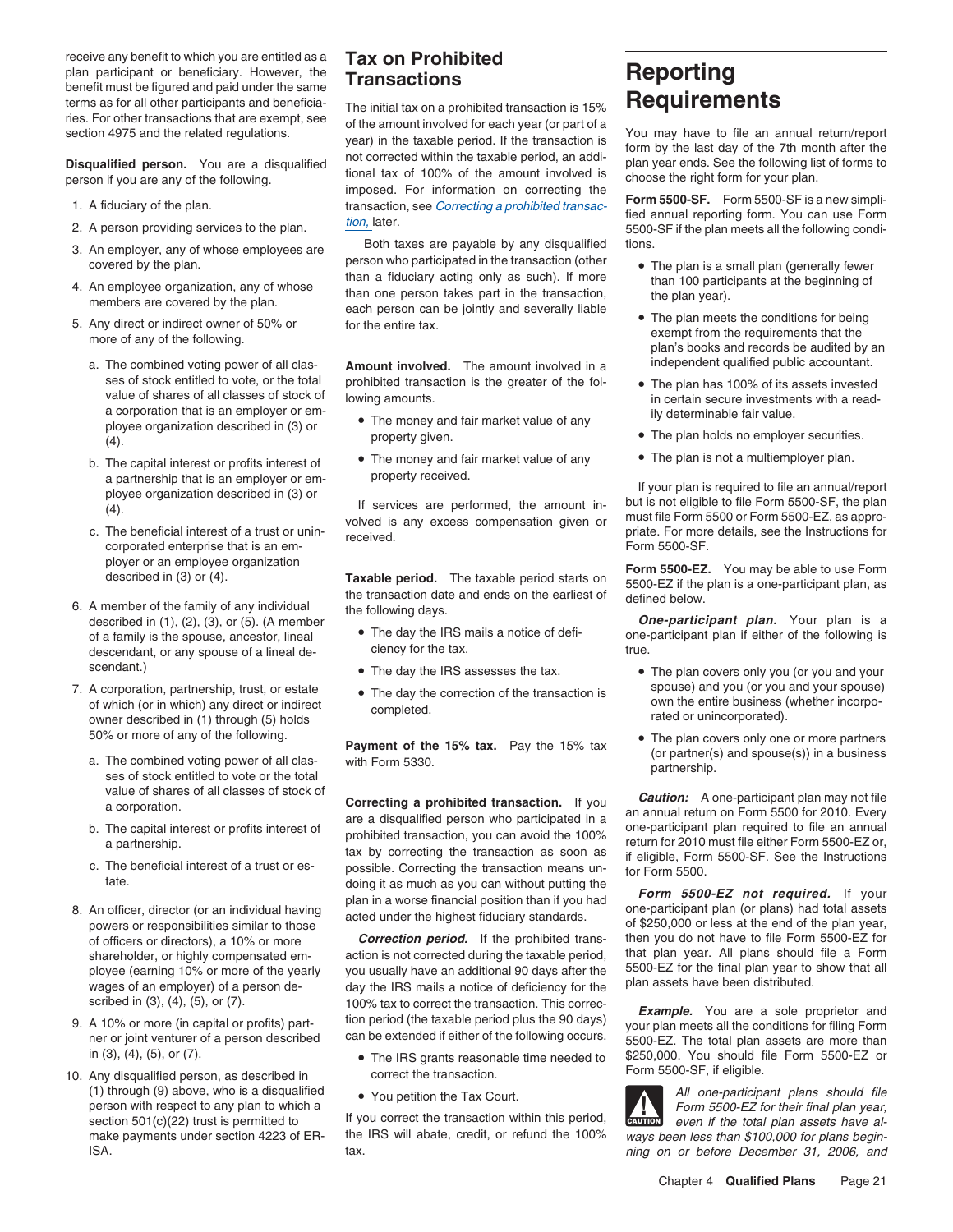receive any benefit to which you are entitled as a **Tax on Prohibited** plan participant or beneficiary. However, the **Transactions Reporting**<br>benefit must be figured and paid under the same **Transactions**<br>terms as for all other participants and beneficia-<br>The initial tax on a probibited tra terms as for all other participants and beneficia-<br>ries. For other transactions that are exempt, see<br>the amount involved fax against fraction is 15%

- 
- 
- 
- 
- - a corporation that is an employer or em-<br> **b** The money and fair market value of any ily determinable fair value.
	-
	-
- descendant, or any spouse of a lineal descendant.) The day the IRS assesses the tax.
- of which (or in which) any direct or indirect on the completed.<br>
owner described in (1) through (5) holds rated or unincorporated).
	-
	-
	-
- 
- in  $(3)$ ,  $(4)$ ,  $(5)$ , or  $(7)$ .
- 10. Any disqualified person, as described in correct the transaction.

ries. For other transactions that are exempt, see<br>section 4975 and the related regulations.<br>**Disqualified person.** You are a disqualified not corrected within the taxable period, an addi-<br>person if you are any of the follo imposed. For information on correcting the<br>1. A fiduciary of the plan.<br>2. A person providing services to the plan.<br>2. A person providing services to the plan.<br>2. A person providing services to the plan.<br>5500-SF if the plan

3. An employer, any of whose employees are  $\frac{1}{2}$ . An employer, any of whose employees are  $\frac{1}{2}$ . An employee organization, any of whose than a fiduciary acting only as such). If more than 100 participants at the be

ses of stock entitled to vote, or the total prohibited transaction is the greater of the fol-<br>value of shares of all classes of stock of lowing amounts. value of shares of all classes of stock of lowing amounts.

- ployee organization described in (3) or **Filmer market value of any** ployee organization described in (3) or property given.<br>(4) **Filmer plan holds no employer securities.**
- The money and fair market value of any b. The capital interest or profits interest of • The money and fair market value of any • The plan is not a multiemployer plan.<br>a partnership that is an employer or em- property received.

ployer or an employee organization<br>described in (3) or (4).<br>**Taxable period.** The taxable period starts on<br>the transaction date and ends on the earliest of<br>the following days.<br>described in (1), (2), (3), or (5). (A member<br>

- 
- 
- 

tate.<br>B. An officer, director (or an individual having plan in a worse financial position than if you had<br>powers or responsibilities similar to those acted under the highest fiduciary standards.<br>powers or responsibilities

ployee (earning 10% or more of the yearly you usually have an additional 90 days after the 5500-EZ for the final plan year to plan assets have been distributed. wages of an employer) of a person de- elay the IRS mails a notice of deficiency for the scribed in (3), (4), (5), or (7). 100% tax to correct the transaction. This correc-<br>9. A 10% or more (in capital or profits) part-<br>ner or joint venturer of a person described can be extended if either of the following occu

- 
- 

section 501(c)(22) trust is permitted to **If you correct the transaction within this period**, **CAUTION** even if the total plan assets have al-<br>make payments under section 4223 of ER- the IRS will abate, credit, or refund t make payments under section 4223 of ER- the IRS will abate, credit, or refund the 100% ways been less than \$100,000 for plans begin-<br>ISA. and on or before December 31, 2006, and

- 
- The plan meets the conditions for being 5. Any direct or indirect owner of 50% or for the entire tax.<br>The plan meets the conditions for being exempt from the requirements that the more of any of the following. a. The combined voting power of all clas-<br>**Amount involved.** The amount involved. The amount involved in a
	-
	-
	-

a partnership that is an employer or em-<br>ployee organization described in (3) or<br>(4). If services are performed, the amount in-<br>volved is any excess compensation given or must file Form 5500 or Form 5500-EZ, as appro-<br>must volved is any excess compensation given or mustifue Form 5500 or Form 5500-EZ, as appro-<br>c. The beneficial interest of a trust or unin-<br>corporated enterprise that is an em- Form 5500-SF.

of a family is the spouse, ancestor, lineal **•** The day the IRS mails a notice of defi-<br>descendant or any spouse, ancestor, lineal **•** The day the IRS mails a notice of defi-<br>descendant or any spouse, ancestor, lineal de-<br>

- The plan covers only you (or you and your 7. A corporation, partnership, trust, or estate The day the correction of the transaction is spouse) and you (or you and your spouse) of which (or in which) any direct or indirect exergencies
	- 50% or more of any of the following.<br>Payment of the 15% tax. Pay the 15% tax extended and provided and provided in a business su% or more or any or the following.<br>a. The combined voting power of all clas-<br>ses of stock entitled to vote or the total<br>ses of stock entitled to vote or the total<br>sess of stock entitled to vote or the total<br>sess of stock

value of shares of all classes of stock of<br>a corporation. Correcting a prohibited transaction. If you<br>b. The capital interest or profits interest of<br>a disqualified person who participated in a<br>a nannual return on Form 5500

of officers or directors), a 10% or more **Correction period.** If the prohibited trans-<br>shareholder or highly compensated em-<br>shareholder or highly compensated em-<br>contribution is not corrected during the taxable period. Th shareholder, or highly compensated em- action is not corrected during the taxable period, that plan year. All plans should file a Form<br>plovee (earning 10% or more of the vearly you usually have an additional 90 days after

> 5500-EZ. The total plan assets are more than • The IRS grants reasonable time needed to \$250,000. You should file Form 5500-EZ or correct the transaction

(1) through (9) above, who is a disqualified  $\bullet$  You petition the Tax Court. All one-participant plans should file person with respect to any plan to which a<br>section 501(c)(22) trust is nermitted to fixely but correct the transaction within this period, a Form 5500-EZ for their final plan year, **!** tax. **ISB. tax.** The state of the state of the state of the state of the state of the state of the state of the state of the state of the state of the state of the state of the state of the state of the state of the state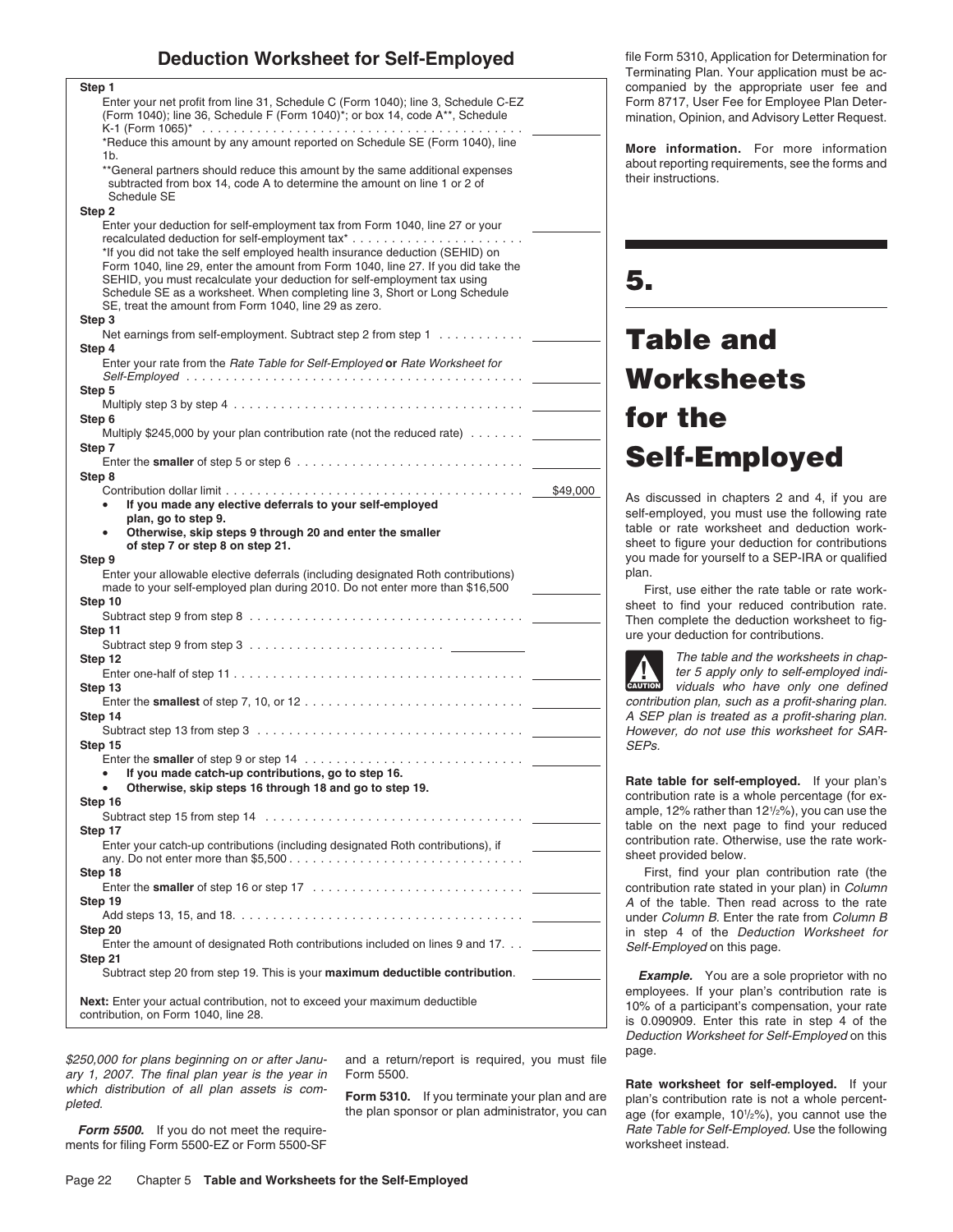### **Deduction Worksheet for Self-Employed** file Form 5310, Application for Determination for

|                                                                                                                                                                                                                                                                                                                             | Formmanity Flam. Four application made be ad-                                                                                                |
|-----------------------------------------------------------------------------------------------------------------------------------------------------------------------------------------------------------------------------------------------------------------------------------------------------------------------------|----------------------------------------------------------------------------------------------------------------------------------------------|
| Step 1<br>Enter your net profit from line 31, Schedule C (Form 1040); line 3, Schedule C-EZ<br>(Form 1040); line 36, Schedule F (Form 1040)*; or box 14, code A**, Schedule                                                                                                                                                 | companied by the appropriate user fee and<br>Form 8717, User Fee for Employee Plan Deter-<br>mination, Opinion, and Advisory Letter Request. |
|                                                                                                                                                                                                                                                                                                                             |                                                                                                                                              |
| *Reduce this amount by any amount reported on Schedule SE (Form 1040), line                                                                                                                                                                                                                                                 | More information. For more information                                                                                                       |
| 1 <sub>b</sub><br>**General partners should reduce this amount by the same additional expenses<br>subtracted from box 14, code A to determine the amount on line 1 or 2 of<br>Schedule SE                                                                                                                                   | about reporting requirements, see the forms and<br>their instructions.                                                                       |
| Step 2                                                                                                                                                                                                                                                                                                                      |                                                                                                                                              |
| Enter your deduction for self-employment tax from Form 1040, line 27 or your                                                                                                                                                                                                                                                |                                                                                                                                              |
| recalculated deduction for self-employment $\text{tax}^* \dots \dots \dots \dots \dots \dots \dots \dots$                                                                                                                                                                                                                   |                                                                                                                                              |
| *If you did not take the self employed health insurance deduction (SEHID) on<br>Form 1040, line 29, enter the amount from Form 1040, line 27. If you did take the<br>SEHID, you must recalculate your deduction for self-employment tax using<br>Schedule SE as a worksheet. When completing line 3, Short or Long Schedule | 5.                                                                                                                                           |
| SE, treat the amount from Form 1040, line 29 as zero.                                                                                                                                                                                                                                                                       |                                                                                                                                              |
| Step 3                                                                                                                                                                                                                                                                                                                      |                                                                                                                                              |
| Net earnings from self-employment. Subtract step 2 from step 1 _                                                                                                                                                                                                                                                            | <b>Table and</b>                                                                                                                             |
| Step 4                                                                                                                                                                                                                                                                                                                      |                                                                                                                                              |
| Enter your rate from the Rate Table for Self-Employed or Rate Worksheet for                                                                                                                                                                                                                                                 |                                                                                                                                              |
| Step 5                                                                                                                                                                                                                                                                                                                      | Worksheets                                                                                                                                   |
|                                                                                                                                                                                                                                                                                                                             |                                                                                                                                              |
| Step 6<br>Multiply \$245,000 by your plan contribution rate (not the reduced rate)                                                                                                                                                                                                                                          | for the                                                                                                                                      |
| Step 7                                                                                                                                                                                                                                                                                                                      |                                                                                                                                              |
|                                                                                                                                                                                                                                                                                                                             | <b>Self-Employed</b>                                                                                                                         |
| Step 8                                                                                                                                                                                                                                                                                                                      |                                                                                                                                              |
|                                                                                                                                                                                                                                                                                                                             | \$49,000<br>As discussed in chapters 2 and 4, if you are                                                                                     |
| If you made any elective deferrals to your self-employed                                                                                                                                                                                                                                                                    | self-employed, you must use the following rate                                                                                               |
| plan, go to step 9.<br>Otherwise, skip steps 9 through 20 and enter the smaller<br>$\bullet$                                                                                                                                                                                                                                | table or rate worksheet and deduction work-                                                                                                  |
| of step 7 or step 8 on step 21.                                                                                                                                                                                                                                                                                             | sheet to figure your deduction for contributions                                                                                             |
| Step 9                                                                                                                                                                                                                                                                                                                      | you made for yourself to a SEP-IRA or qualified                                                                                              |
| Enter your allowable elective deferrals (including designated Roth contributions)<br>made to your self-employed plan during 2010. Do not enter more than \$16,500                                                                                                                                                           | plan.<br>First, use either the rate table or rate work-                                                                                      |
| Step 10                                                                                                                                                                                                                                                                                                                     | sheet to find your reduced contribution rate.                                                                                                |
| Step 11                                                                                                                                                                                                                                                                                                                     | Then complete the deduction worksheet to fig-                                                                                                |
|                                                                                                                                                                                                                                                                                                                             | ure your deduction for contributions.                                                                                                        |
| Step 12                                                                                                                                                                                                                                                                                                                     | The table and the worksheets in chap-                                                                                                        |
|                                                                                                                                                                                                                                                                                                                             | ter 5 apply only to self-employed indi-<br><b>CAUTION</b><br>viduals who have only one defined                                               |
| Step 13                                                                                                                                                                                                                                                                                                                     | contribution plan, such as a profit-sharing plan.                                                                                            |
| Step 14                                                                                                                                                                                                                                                                                                                     | A SEP plan is treated as a profit-sharing plan.                                                                                              |
|                                                                                                                                                                                                                                                                                                                             | However, do not use this worksheet for SAR-                                                                                                  |
| Step 15                                                                                                                                                                                                                                                                                                                     | SEPs.                                                                                                                                        |
| If you made catch-up contributions, go to step 16.                                                                                                                                                                                                                                                                          |                                                                                                                                              |
| Otherwise, skip steps 16 through 18 and go to step 19.<br>$\bullet$                                                                                                                                                                                                                                                         | Rate table for self-employed. If your plan's                                                                                                 |
| Step 16                                                                                                                                                                                                                                                                                                                     | contribution rate is a whole percentage (for ex-                                                                                             |
|                                                                                                                                                                                                                                                                                                                             | ample, 12% rather than 121/2%), you can use the                                                                                              |
| Step 17                                                                                                                                                                                                                                                                                                                     | table on the next page to find your reduced                                                                                                  |
| Enter your catch-up contributions (including designated Roth contributions), if                                                                                                                                                                                                                                             | contribution rate. Otherwise, use the rate work-<br>sheet provided below.                                                                    |
| Step 18                                                                                                                                                                                                                                                                                                                     | First, find your plan contribution rate (the                                                                                                 |
|                                                                                                                                                                                                                                                                                                                             | contribution rate stated in your plan) in Column                                                                                             |
| Step 19                                                                                                                                                                                                                                                                                                                     | A of the table. Then read across to the rate                                                                                                 |
|                                                                                                                                                                                                                                                                                                                             | under Column B. Enter the rate from Column E                                                                                                 |
| Step 20<br>Enter the amount of designated Roth contributions included on lines 9 and 17.                                                                                                                                                                                                                                    | in step 4 of the Deduction Worksheet for                                                                                                     |
| Step 21                                                                                                                                                                                                                                                                                                                     | Self-Employed on this page.                                                                                                                  |
| Subtract step 20 from step 19. This is your maximum deductible contribution.                                                                                                                                                                                                                                                | <b>Example.</b> You are a sole proprietor with no<br>employees. If your plan's contribution rate is                                          |
| <b>Next:</b> Enter your actual contribution, not to exceed your maximum deductible<br>contribution, on Form 1040, line 28.                                                                                                                                                                                                  | 10% of a participant's compensation, your rate<br>is 0.090909. Enter this rate in step 4 of the                                              |
|                                                                                                                                                                                                                                                                                                                             |                                                                                                                                              |

ary 1, 2007. The final plan year is the year in Form 5500.

ments for filing Form 5500-EZ or Form 5500-SF worksheet instead.

\$250,000 for plans beginning on or after Janu- and a return/report is required, you must file page.

Terminating Plan. Your application must be accompanied by the appropriate user fee and Form 8717, User Fee for Employee Plan Determination, Opinion, and Advisory Letter Request.

# **Step 4 Table and** Self-Employed ........................................... **Worksheets** for the **Self-Employed**

**Example.** You are a sole proprietor with no employees. If your plan's contribution rate is<br>10% of a participant's compensation, your rate<br>is 0.090909. Enter this rate in step 4 of the Deduction Worksheet for Self-Employed on this

mich distribution of all plan assets is com-<br>plan sponsor or plan administrator, you can age (for example, 101/2%), you cannot use the plan sponsor or plan administrator, you can age (for example, 101/2%), you cannot use t **Form 5500.** If you do not meet the require- Rate Table for Self-Employed. Use the following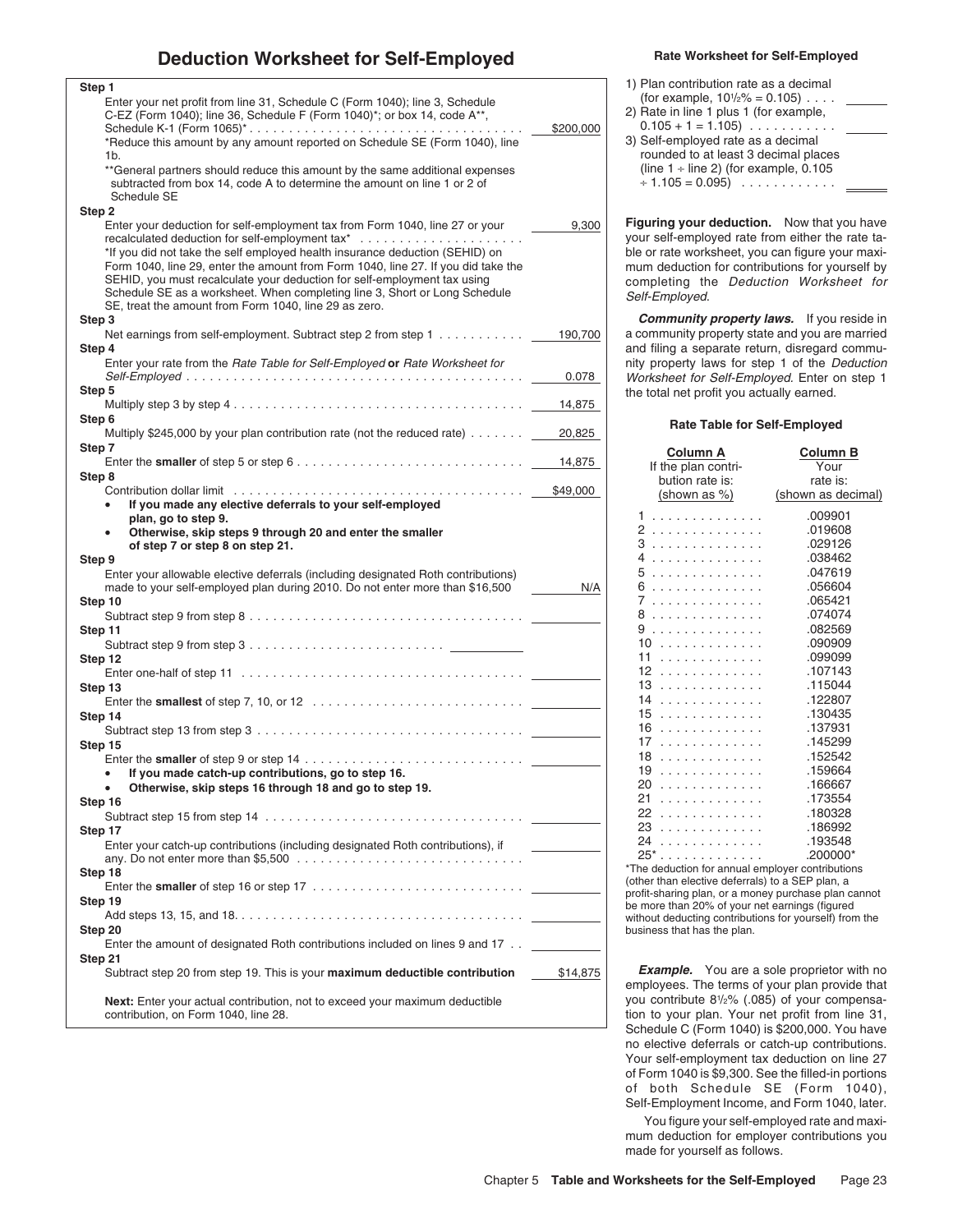### **Deduction Worksheet for Self-Employed** Rate Worksheet for Self-Employed

| Step 1                                                                                 |           | 1) Plan contribution rate as a decimal                                                                 |                    |
|----------------------------------------------------------------------------------------|-----------|--------------------------------------------------------------------------------------------------------|--------------------|
| Enter your net profit from line 31, Schedule C (Form 1040); line 3, Schedule           |           | (for example, $10^{1/2\%} = 0.105$ )                                                                   |                    |
| C-EZ (Form 1040); line 36, Schedule F (Form 1040)*; or box 14, code A**,               |           | 2) Rate in line 1 plus 1 (for example,                                                                 |                    |
| Schedule K-1 (Form 1065)*                                                              | \$200,000 | $0.105 + 1 = 1.105$                                                                                    |                    |
| *Reduce this amount by any amount reported on Schedule SE (Form 1040), line            |           | 3) Self-employed rate as a decimal                                                                     |                    |
| 1 <sub>b</sub>                                                                         |           | rounded to at least 3 decimal places                                                                   |                    |
| **General partners should reduce this amount by the same additional expenses           |           | (line $1 \div$ line 2) (for example, 0.105                                                             |                    |
| subtracted from box 14, code A to determine the amount on line 1 or 2 of               |           | $\div$ 1.105 = 0.095)                                                                                  |                    |
| Schedule SE                                                                            |           |                                                                                                        |                    |
| Step 2                                                                                 |           |                                                                                                        |                    |
| Enter your deduction for self-employment tax from Form 1040, line 27 or your           | 9,300     | Figuring your deduction. Now that you have                                                             |                    |
|                                                                                        |           | your self-employed rate from either the rate ta                                                        |                    |
| *If you did not take the self employed health insurance deduction (SEHID) on           |           | ble or rate worksheet, you can figure your max                                                         |                    |
| Form 1040, line 29, enter the amount from Form 1040, line 27. If you did take the      |           |                                                                                                        |                    |
| SEHID, you must recalculate your deduction for self-employment tax using               |           | mum deduction for contributions for yourself b                                                         |                    |
| Schedule SE as a worksheet. When completing line 3, Short or Long Schedule             |           | completing the Deduction Worksheet fo                                                                  |                    |
| SE, treat the amount from Form 1040, line 29 as zero.                                  |           | Self-Employed.                                                                                         |                    |
| Step 3                                                                                 |           | <b>Community property laws.</b> If you reside i                                                        |                    |
|                                                                                        |           |                                                                                                        |                    |
| Net earnings from self-employment. Subtract step 2 from step 1                         | 190,700   | a community property state and you are marrie                                                          |                    |
| Step 4                                                                                 |           | and filing a separate return, disregard commu                                                          |                    |
| Enter your rate from the Rate Table for Self-Employed or Rate Worksheet for            |           | nity property laws for step 1 of the Deductio                                                          |                    |
|                                                                                        | 0.078     | Worksheet for Self-Employed. Enter on step                                                             |                    |
| Step 5                                                                                 |           | the total net profit you actually earned.                                                              |                    |
|                                                                                        | 14,875    |                                                                                                        |                    |
| Step 6                                                                                 |           | <b>Rate Table for Self-Employed</b>                                                                    |                    |
| Multiply \$245,000 by your plan contribution rate (not the reduced rate) $\dots \dots$ | 20,825    |                                                                                                        |                    |
| Step 7                                                                                 |           | <b>Column A</b>                                                                                        | <b>Column B</b>    |
|                                                                                        | 14,875    |                                                                                                        |                    |
| Step 8                                                                                 |           | If the plan contri-                                                                                    | Your               |
|                                                                                        | \$49,000  | bution rate is:                                                                                        | rate is:           |
| If you made any elective deferrals to your self-employed                               |           | (shown as %)                                                                                           | (shown as decimal) |
| plan, go to step 9.                                                                    |           | 1                                                                                                      | .009901            |
|                                                                                        |           | 2                                                                                                      | .019608            |
| Otherwise, skip steps 9 through 20 and enter the smaller                               |           | 3                                                                                                      | .029126            |
| of step 7 or step 8 on step 21.                                                        |           | 4.                                                                                                     | .038462            |
| Step 9                                                                                 |           |                                                                                                        | .047619            |
| Enter your allowable elective deferrals (including designated Roth contributions)      |           | 5                                                                                                      |                    |
| made to your self-employed plan during 2010. Do not enter more than \$16,500           | N/A       | 6.                                                                                                     | .056604            |
| Step 10                                                                                |           | 7.                                                                                                     | .065421            |
|                                                                                        |           | 8                                                                                                      | .074074            |
| Step 11                                                                                |           | 9                                                                                                      | .082569            |
|                                                                                        |           | 10                                                                                                     | .090909            |
| Step 12                                                                                |           | 11                                                                                                     | .099099            |
|                                                                                        |           | 12                                                                                                     | .107143            |
| Step 13                                                                                |           | 13                                                                                                     | .115044            |
|                                                                                        |           | 14                                                                                                     | .122807            |
| Step 14                                                                                |           | 15                                                                                                     | .130435            |
|                                                                                        |           | $16$                                                                                                   | .137931            |
| Step 15                                                                                |           | 17.                                                                                                    | .145299            |
|                                                                                        |           | 18                                                                                                     | .152542            |
| If you made catch-up contributions, go to step 16.                                     |           | 19                                                                                                     | .159664            |
|                                                                                        |           | 20                                                                                                     | .166667            |
| Otherwise, skip steps 16 through 18 and go to step 19.<br>$\bullet$                    |           | 21                                                                                                     | .173554            |
| Step 16                                                                                |           | 22                                                                                                     | .180328            |
|                                                                                        |           | 23                                                                                                     | .186992            |
| Step 17                                                                                |           |                                                                                                        |                    |
| Enter your catch-up contributions (including designated Roth contributions), if        |           | 24                                                                                                     | .193548            |
|                                                                                        |           | $25^*$                                                                                                 | .200000*           |
| Step 18                                                                                |           | *The deduction for annual employer contributions                                                       |                    |
|                                                                                        |           | (other than elective deferrals) to a SEP plan, a                                                       |                    |
| Step 19                                                                                |           | profit-sharing plan, or a money purchase plan cannot<br>be more than 20% of your net earnings (figured |                    |
|                                                                                        |           | without deducting contributions for yourself) from the                                                 |                    |
| Step 20                                                                                |           | business that has the plan.                                                                            |                    |
| Enter the amount of designated Roth contributions included on lines 9 and 17 _______   |           |                                                                                                        |                    |
| Step 21                                                                                |           |                                                                                                        |                    |
| Subtract step 20 from step 19. This is your maximum deductible contribution            |           | <b>Example.</b> You are a sole proprietor with n                                                       |                    |
|                                                                                        | \$14,875  | employees. The terms of your plan provide that                                                         |                    |
|                                                                                        |           |                                                                                                        |                    |
| Next: Enter your actual contribution, not to exceed your maximum deductible            |           | you contribute 81/2% (.085) of your compensa                                                           |                    |
| contribution, on Form 1040, line 28.                                                   |           | tion to your plan. Your net profit from line 31                                                        |                    |

| 1) Plan contribution rate as a decimal |  |
|----------------------------------------|--|
|                                        |  |

### **Rate Table for Self-Employed**

| <b>Column A</b><br>If the plan contri-                                                                                           | <b>Column B</b><br>Your<br>rate is: |
|----------------------------------------------------------------------------------------------------------------------------------|-------------------------------------|
| bution rate is:<br>(sho <u>wn as %)</u>                                                                                          | (shown as decimal)                  |
| 1<br>.<br>$\overline{c}$                                                                                                         | .009901<br>.019608                  |
| 3<br>.                                                                                                                           | .029126                             |
| $\overline{\mathcal{L}}$<br>.                                                                                                    | .038462                             |
| 5<br>.                                                                                                                           | .047619                             |
| 6<br>.<br>7<br>.                                                                                                                 | .056604<br>.065421                  |
| 8<br>.                                                                                                                           | .074074                             |
| 9<br>.                                                                                                                           | .082569                             |
| 10 <sub>1</sub><br>.                                                                                                             | .090909                             |
| 11<br>.                                                                                                                          | .099099                             |
| 12<br>13 <sup>13</sup><br>.                                                                                                      | .107143<br>.115044                  |
| 14<br>.                                                                                                                          | .122807                             |
| 15<br>.                                                                                                                          | .130435                             |
| 16<br>.                                                                                                                          | .137931                             |
| 17<br>.<br>18                                                                                                                    | .145299                             |
| .<br>19<br>.                                                                                                                     | .152542<br>.159664                  |
| 20<br>.                                                                                                                          | .166667                             |
| 21<br>.                                                                                                                          | .173554                             |
| 22<br>a dia 1920 ary 2020 amin'ny                                                                                                | .180328                             |
| 23                                                                                                                               | .186992                             |
| . 193548<br>24<br>$25^*$                                                                                                         | $.200000*$                          |
| The deduction for annual employer contributions                                                                                  |                                     |
| $\mathbf{a}$ . The contract of $\mathbf{a}$ is the contract of the contract of $\mathbf{a}$ . Of $\mathbf{b}$ is the contract of |                                     |

**Example.** You are a sole proprietor with no employees. The terms of your plan provide that you contribute 8<sup>1/2%</sup> (.085) of your compensation to your plan. Your net profit from line 31, Schedule C (Form 1040) is \$200,000. You have no elective deferrals or catch-up contributions. Your self-employment tax deduction on line 27 of Form 1040 is \$9,300. See the filled-in portions of both Schedule SE (Form 1040), Self-Employment Income, and Form 1040, later.

You figure your self-employed rate and maximum deduction for employer contributions you made for yourself as follows.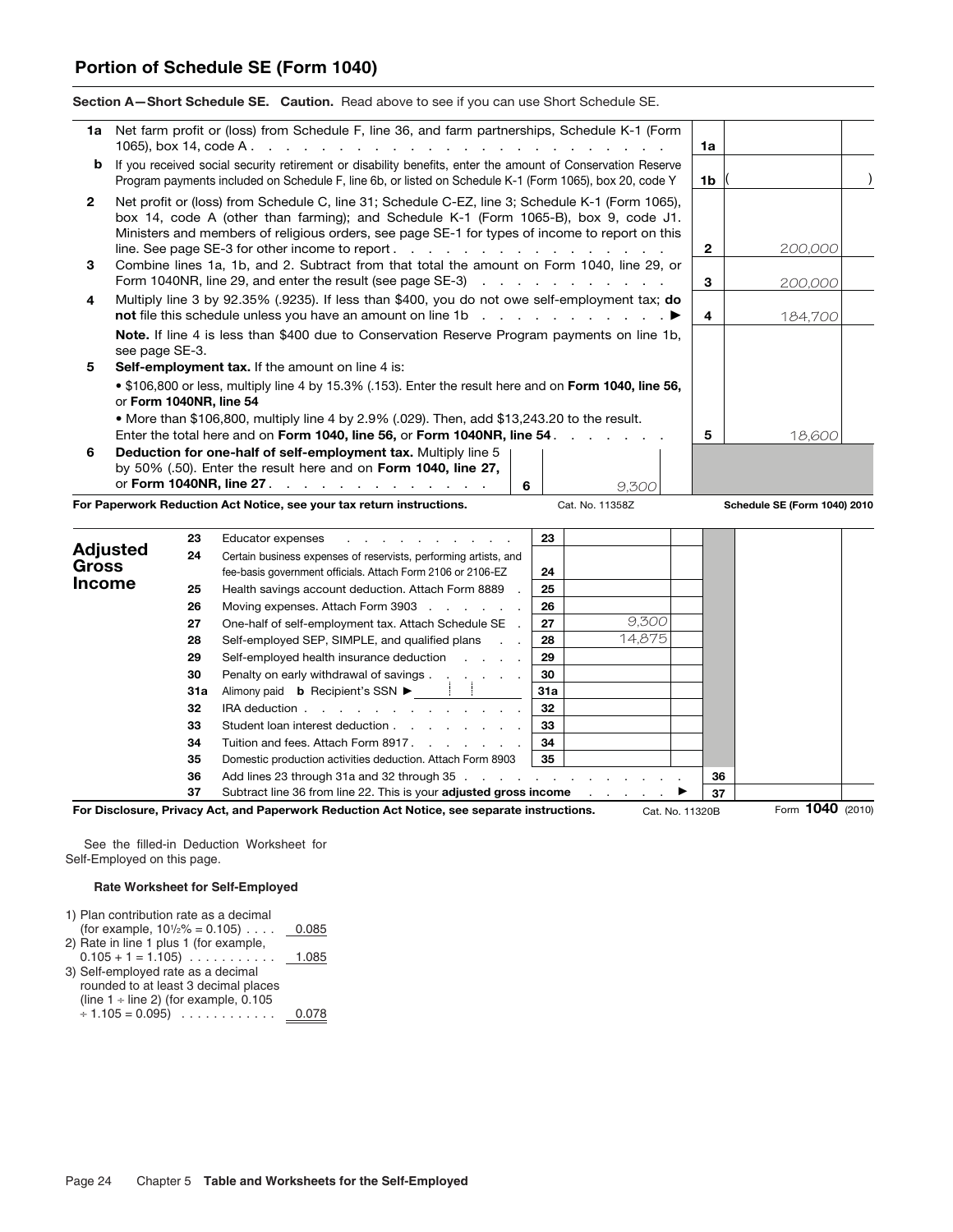### **Portion of Schedule SE (Form 1040)**

**Section A—Short Schedule SE. Caution.** Read above to see if you can use Short Schedule SE.

|                                                                                                                                                                                                                             | 1065), box 14, code A.                                                                                                                                                                                                                                                                    |    | 1a Net farm profit or (loss) from Schedule F, line 36, and farm partnerships, Schedule K-1 (Form<br>.                                                                                              |    |                 | 1a           |                                     |  |
|-----------------------------------------------------------------------------------------------------------------------------------------------------------------------------------------------------------------------------|-------------------------------------------------------------------------------------------------------------------------------------------------------------------------------------------------------------------------------------------------------------------------------------------|----|----------------------------------------------------------------------------------------------------------------------------------------------------------------------------------------------------|----|-----------------|--------------|-------------------------------------|--|
| If you received social security retirement or disability benefits, enter the amount of Conservation Reserve<br>b<br>Program payments included on Schedule F, line 6b, or listed on Schedule K-1 (Form 1065), box 20, code Y |                                                                                                                                                                                                                                                                                           |    |                                                                                                                                                                                                    |    |                 | 1b           |                                     |  |
| $\mathbf{2}$                                                                                                                                                                                                                | Net profit or (loss) from Schedule C, line 31; Schedule C-EZ, line 3; Schedule K-1 (Form 1065),<br>box 14, code A (other than farming); and Schedule K-1 (Form 1065-B), box 9, code J1.<br>Ministers and members of religious orders, see page SE-1 for types of income to report on this |    |                                                                                                                                                                                                    |    |                 | $\mathbf{2}$ | 200,000                             |  |
| 3                                                                                                                                                                                                                           |                                                                                                                                                                                                                                                                                           |    | Combine lines 1a, 1b, and 2. Subtract from that total the amount on Form 1040, line 29, or<br>Form 1040NR, line 29, and enter the result (see page SE-3)                                           |    |                 | 3            | 200,000                             |  |
| 4                                                                                                                                                                                                                           |                                                                                                                                                                                                                                                                                           |    | Multiply line 3 by 92.35% (.9235). If less than \$400, you do not owe self-employment tax; do<br><b>not</b> file this schedule unless you have an amount on line 1b $\ldots$ , $\ldots$ , $\ldots$ |    |                 | 4            | 184,700                             |  |
|                                                                                                                                                                                                                             | see page SE-3.                                                                                                                                                                                                                                                                            |    | Note. If line 4 is less than \$400 due to Conservation Reserve Program payments on line 1b,                                                                                                        |    |                 |              |                                     |  |
| 5.                                                                                                                                                                                                                          |                                                                                                                                                                                                                                                                                           |    | <b>Self-employment tax.</b> If the amount on line 4 is:                                                                                                                                            |    |                 |              |                                     |  |
|                                                                                                                                                                                                                             |                                                                                                                                                                                                                                                                                           |    | . \$106,800 or less, multiply line 4 by 15.3% (.153). Enter the result here and on Form 1040, line 56,                                                                                             |    |                 |              |                                     |  |
|                                                                                                                                                                                                                             | or Form 1040NR, line 54                                                                                                                                                                                                                                                                   |    |                                                                                                                                                                                                    |    |                 |              |                                     |  |
|                                                                                                                                                                                                                             |                                                                                                                                                                                                                                                                                           |    | • More than \$106,800, multiply line 4 by 2.9% (.029). Then, add \$13,243.20 to the result.                                                                                                        |    |                 |              |                                     |  |
|                                                                                                                                                                                                                             |                                                                                                                                                                                                                                                                                           |    | Enter the total here and on Form 1040, line 56, or Form 1040NR, line 54.                                                                                                                           |    |                 | 5            | 18,600                              |  |
| 6                                                                                                                                                                                                                           |                                                                                                                                                                                                                                                                                           |    | Deduction for one-half of self-employment tax. Multiply line 5<br>by 50% (.50). Enter the result here and on Form 1040, line 27,                                                                   |    |                 |              |                                     |  |
|                                                                                                                                                                                                                             |                                                                                                                                                                                                                                                                                           |    | or Form 1040NR, line 27.<br>6                                                                                                                                                                      |    | 9.300           |              |                                     |  |
|                                                                                                                                                                                                                             |                                                                                                                                                                                                                                                                                           |    | For Paperwork Reduction Act Notice, see your tax return instructions.                                                                                                                              |    | Cat. No. 11358Z |              | <b>Schedule SE (Form 1040) 2010</b> |  |
|                                                                                                                                                                                                                             |                                                                                                                                                                                                                                                                                           | 23 | Educator expenses                                                                                                                                                                                  | 23 |                 |              |                                     |  |
| <b>Adjusted</b><br>Gross                                                                                                                                                                                                    |                                                                                                                                                                                                                                                                                           | 24 | Certain business expenses of reservists, performing artists, and<br>fee-basis government officials. Attach Form 2106 or 2106-EZ                                                                    | 24 |                 |              |                                     |  |
| <b>Income</b>                                                                                                                                                                                                               |                                                                                                                                                                                                                                                                                           | 25 | Health savings account deduction. Attach Form 8889                                                                                                                                                 | 25 |                 |              |                                     |  |
|                                                                                                                                                                                                                             |                                                                                                                                                                                                                                                                                           | 26 | Moving expenses. Attach Form 3903                                                                                                                                                                  | 26 |                 |              |                                     |  |
|                                                                                                                                                                                                                             |                                                                                                                                                                                                                                                                                           | 27 | One-half of self-employment tax. Attach Schedule SE .                                                                                                                                              | 27 | 9,300           |              |                                     |  |
|                                                                                                                                                                                                                             |                                                                                                                                                                                                                                                                                           | 28 | Self-employed SEP, SIMPLE, and qualified plans                                                                                                                                                     | 28 | 14,875          |              |                                     |  |
|                                                                                                                                                                                                                             |                                                                                                                                                                                                                                                                                           | 29 | Self-employed health insurance deduction                                                                                                                                                           | 29 |                 |              |                                     |  |
|                                                                                                                                                                                                                             |                                                                                                                                                                                                                                                                                           | 30 | Penalty on early withdrawal of savings                                                                                                                                                             | 30 |                 |              |                                     |  |
|                                                                                                                                                                                                                             |                                                                                                                                                                                                                                                                                           |    |                                                                                                                                                                                                    |    |                 |              |                                     |  |

| 30 | Penalty on early withdrawal of savings                                                                                                                                                                                         | 30  |                 |    |                  |  |
|----|--------------------------------------------------------------------------------------------------------------------------------------------------------------------------------------------------------------------------------|-----|-----------------|----|------------------|--|
|    | <b>31a</b> Alimony paid <b>b</b> Recipient's SSN ▶                                                                                                                                                                             | 31a |                 |    |                  |  |
| 32 | $IRA$ deduction $\qquad \qquad \qquad$                                                                                                                                                                                         | 32  |                 |    |                  |  |
| 33 | Student loan interest deduction. The contract of the student loan interest deduction.                                                                                                                                          | 33  |                 |    |                  |  |
| 34 | Tuition and fees. Attach Form 8917.                                                                                                                                                                                            | 34  |                 |    |                  |  |
| 35 | Domestic production activities deduction. Attach Form 8903                                                                                                                                                                     | 35  |                 |    |                  |  |
| 36 | Add lines 23 through 31a and 32 through 35 and the state of the state of the state of the state of the state of the state of the state of the state of the state of the state of the state of the state of the state of the st |     |                 | 36 |                  |  |
| 37 | Subtract line 36 from line 22. This is your <b>adjusted gross income</b>                                                                                                                                                       |     |                 | 37 |                  |  |
|    | For Disclosure, Privacy Act, and Paperwork Reduction Act Notice, see separate instructions.                                                                                                                                    |     | Cat. No. 11320B |    | Form 1040 (2010) |  |

See the filled-in Deduction Worksheet for Self-Employed on this page.

### **Rate Worksheet for Self-Employed**

| 1) Plan contribution rate as a decimal     |       |
|--------------------------------------------|-------|
| (for example, $10^{1/2}\% = 0.105$ )       | 0.085 |
| 2) Rate in line 1 plus 1 (for example,     |       |
| $0.105 + 1 = 1.105$                        | 1.085 |
| 3) Self-employed rate as a decimal         |       |
| rounded to at least 3 decimal places       |       |
| (line $1 \div$ line 2) (for example, 0.105 |       |
| $\div$ 1.105 = 0.095)                      | 0.078 |
|                                            |       |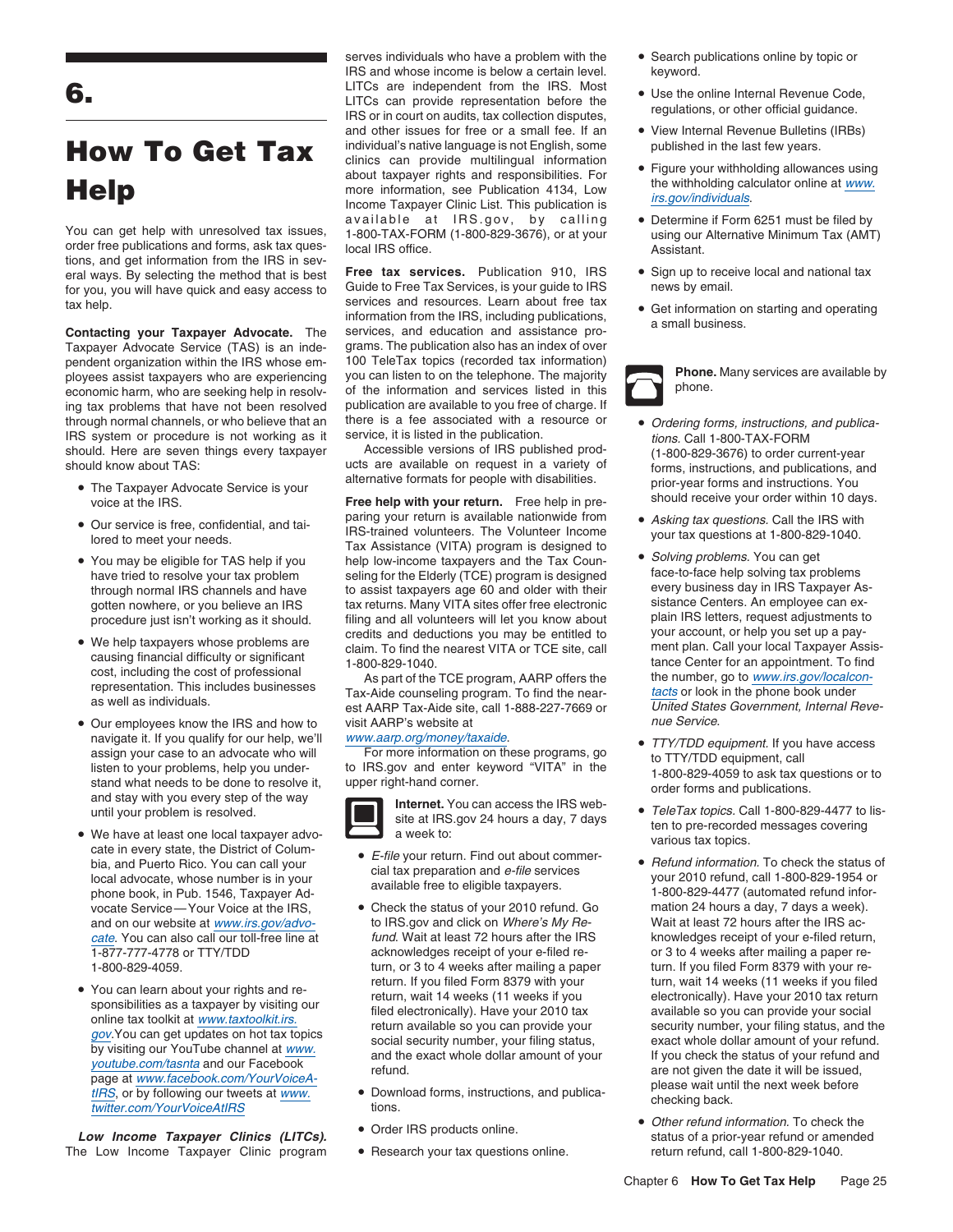tions, and get information from the IRS in sevfor you, you will have quick and easy access to

Taxpayer Advocate Service (TAS) is an inde- grams. The publication also has an index of over pendent organization within the IRS whose em-<br>ployees assist taxpayers who are experiencing you can listen to on the telephone. The majority<br>economic harm, who are seeking help in resolv- of the information and services li ing tax problems that have not been resolved publication are available to you free of charge. If<br>through normal channels, or who believe that an there is a fee associated with a resource or through normal channels, or who believe that an there is a fee associated with a resource or  $\bullet$  Ordering forms, instructions, and publica-<br>IRS system or procedure is not working as it service, it is listed in the public IRS system or procedure is not working as it service, it is listed in the publication. the tions. Call 1-800-TAX-FORM should. Here are seven things every taxpayer Accessible versions of IRS published prod- (1-800-829-3676) to order current-year<br>should know about TAS: ucts are available on request in a variety of the forms instructions and

- The Taxpayer Advocate Service is your voice at the IRS.
- 
- 
- 
- Our employees know the IRS and how to visit AARP's website at nue service. navigate it. If you qualify for our help, we'll www.aarp.org/money/taxaide.<br>assign your case to an advocate who will For more information on these programs, go to TTY/TDD equipment, call Example it. If you quality for our Fielp, we if<br>assign your case to an advocate who will<br>listen to your problems, help you under-<br>the stand what needs to be done to resolve it,<br>and stay with you every step of the way<br>until
- We have at least one local taxpayer advo-<br>
a week to:<br>
bia, and Puerto Rico. You can call your<br>
bia, and Puerto Rico. You can call your<br>
cate in every state, the District of Colum-<br>
e E-file your return. Find out about com bia, and Puerto Rico. You can call your **Call and Science Controller Controller Controller** bia, and Puerto Rico. You can call your call as preparation and *e-file* services local advocate, whose number is in your availabl cate. You can also call our toll-free line at
- You can learn about your rights and re-<br>
sponsibilities as a taxpayer by visiting our<br>
online tax toolkit at <u>www.taxtoolkit.irs</u>.<br>
online tax toolkit at <u>www.taxtoolkit.irs</u>.<br>
<u>gov</u>.You can get updates on hot tax topics

**Low Income Taxpayer Clinics (LITCs).** Colder In Supposits online.<br>
The Low Income Taxpayer Clinic program • Research your tax questions online. The return refund, call 1-800-829-1040. The Low Income Taxpayer Clinic program • Research your tax questions online.

serves individuals who have a problem with the • Search publications online by topic or IRS and whose income is below a certain level. keyword. LITCs are independent from the IRS. Most<br>LITCs can provide representation before the state of the state of the regulations, or other official guidance.<br>IRS or in court on audits, tax collection disputes, regulations, or ot and other issues for free or a small fee. If an • View Internal Revenue Bulletins (IRBs) **How To Get Tax** individual's native language is not English, some published in the last few years.<br>
clinics can provide multilingual information • Figure your withholding allowances using clinics can provide multilingual information<br>about taxpayer rights and responsibilities. For about taxpayer rights and responsibilities. For<br>more information, see Publication 4134, Low<br>Income Taxpayer Clinic List. This publication is<br>Income Taxpayer Clinic List. This publication is available at IRS.gov, by calling • Determine if Form 6251 must be filed by<br>order free publications and forms, ask tax ques-<br>local IRS office. and forms, ask tax ques-<br>local IRS office. and the state of the state of the pub

eral ways. By selecting the method that is best **Free tax services.** Publication 910, IRS · Sign up to receive local and national tax **for you, will have quick and easy access to** Guide to Free Tax Services, is your guide tax help.<br>information from the IDS including publications exact information on starting and operating information from the IRS, including publications,<br>**Contacting your Taxpayer Advocate.** The services, and education and assistance pro-<br>Taxpayer Advocate Service (TAS) is an inde- grams. The publication also has an index of

**Free help with your return.** Free help in preparing your return is available nationwide from • Asking tax questions. Call the IRS with • Our service is free, confidential, and tai-<br>IRS-trained volunteers. The Volunteer Income<br>Inter throme vour tax questions at 1-800-829-1040. Ored to meet your needs.<br>Tax Assistance (VITA) program is designed volunteer<br>You may be eligible for TAS beln if you help low-income taxpayers and the Tax Coun- Solving problems. You can get • You may be eligible for TAS help if you help low-income taxpayers and the Tax Coun-<br>have tried to resolve your tax problem<br>through normal IRS channels and have to assist taxpayers age 60 and older with their their gotten gotten nowhere, or you believe an IRS tax returns. Many VITA sites offer free electronic sistance Centers. An employee can ex-<br>procedure just isn't working as it should. filing and all volunteers will let you know about pl • We help taxpayers whose problems are a credits and deductions you may be entitled to your account, or help you set up a pay-<br>claim. To find the nearest VITA or TCE site, call and then call your local Taxpayer Assis-



- 
- vocate Service—Your Voice at the IRS, <br>and on our website at *www.irs.gov/advo*-<br>to IRS.gov and click on *Where's My Re* Wait at least 72 hours after the IRS acand on our website at www.irs.gov/advo-<br>
cate. You can also call our toll-free line at the find. Wait at least 72 hours after the IRS knowledges receipt of your e-filed return, 1-877-777-4778 or TTY/TDD acknowledges receipt of your e-filed re- or 3 to 4 weeks after mailing a paper re-<br>1-800-829-4059. https://www.or 3 to 4 weeks after mailing a paper burn. If you filed Form 8379 with your re-1-800-829-4059. turn, or 3 to 4 weeks after mailing a paper • You can learn about your rights and re-<br>
return, wait 14 weeks (11 weeks if you electronically). Have your 2010 tax return<br>
return, wait 14 weeks (11 weeks if you electronically). Have your 2010 tax return
	-
	- Order IRS products online.
	-
- 
- 
- 
- 
- 
- 
- 

- ucts are available on request in a variety of forms, instructions, and publications, and alternative formats for people with disabilities. prior-year forms and instructions. You prior-year forms and instructions. You •
	-
- We help taxpayers whose problems are claim. To find the nearest VITA or TCE site, call the nearest VITA or TCE site, call the nearest VITA or TCE site, call the nearest velocid Taxpayer Assistering financial difficulty o
	-
	-
	-
	- Other refund information. To check the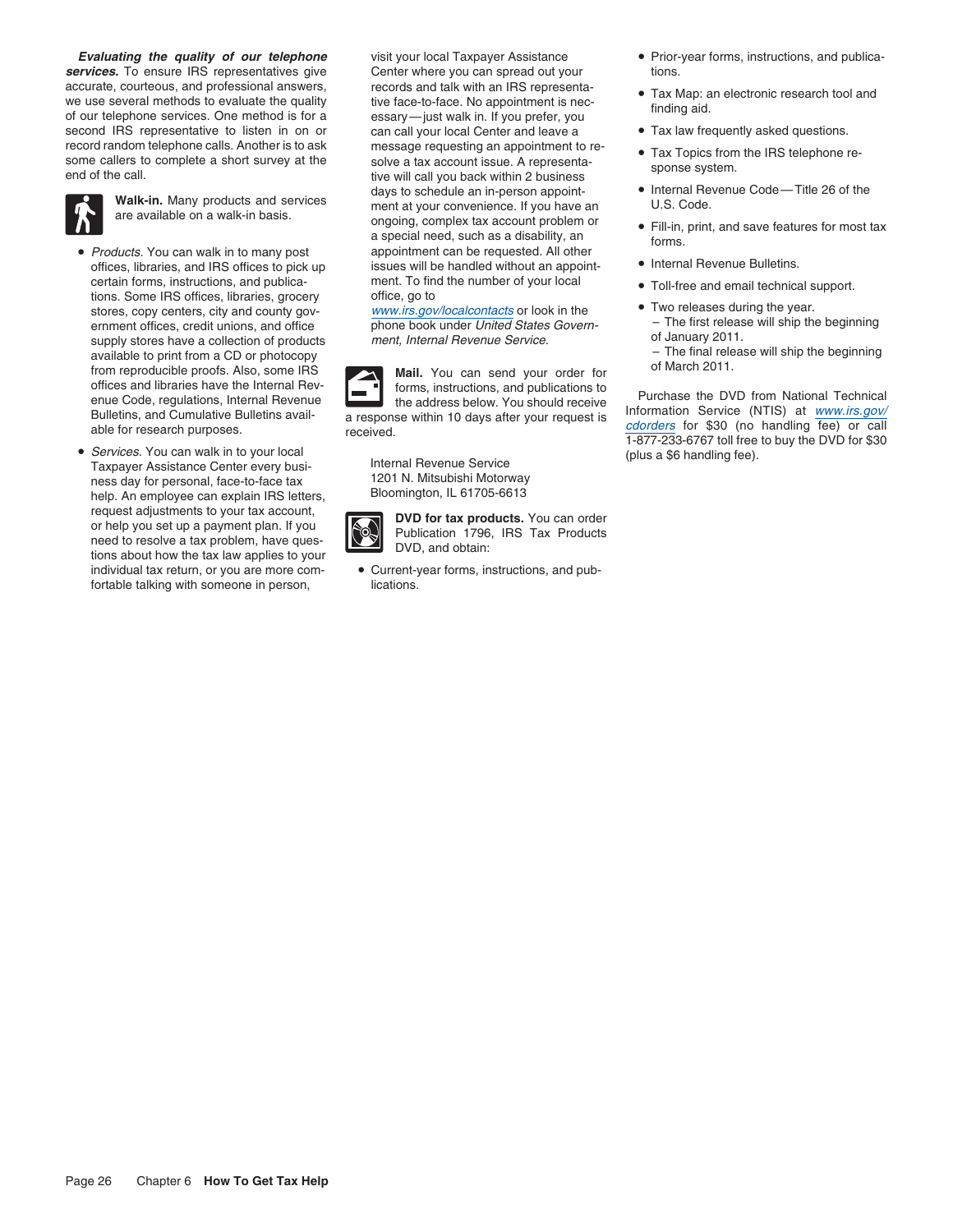**services.** To ensure IRS representatives give buttor where you can spread out your tions. accurate, courteous, and professional answers, records and talk with an IRS representa-<br>we use several methods to evaluate the quality tive face-to-face. No appointment is nec-<br>finding eid we use several methods to evaluate the quality tive face-to-face. No appointment is nec-<br>of our telephone services. One method is for a essary—just walk in. If you prefer, you finding aid.<br>second IRS representative to list second IRS representative to listen in on or can call your local Center and leave a record random telephone calls. Another is to ask message requesting an appointment to re-<br>some callers to complete a short survey at the solve a tax account issue. A representa-



- Products. You can walk in to many post appointment can be requested. All other offices, libraries, and IRS offices to pick up issues will be handled without an appoint-<br>certain forms. instructions. and publica-<br>ment. To find the number of your local certain forms, instructions, and publica- ment. To find the number of your local •tions. Some IRS offices, libraries, grocery office, go to<br>stores convicenters city and county gove www.irs.gov/localcontacts or look in the • Two releases during the year. ernment offices, credit unions, and office  $p$  phone book under United States Govern-<br>supply stores have a collection of products ment, Internal Revenue Service. supply stores have a collection of products ment, Internal Revenue Service. The final release will ship the beginning<br>available to print from a CD or photocopy and a ment, Internal Revenue Service. The final release will s
- Services. You can walk in to your local Services. You can walk in to your local Services.<br>
Services. You can walk in to your local latented internal Revenue Service (plus a \$6 handling fee).<br>
Taxpayer Assistance Center every busi-<br>
1201 N. Mitsubishi Motorway ness day for personal, face-to-face tax 1201 N. Mitsubishi Motorway help. An employee can explain IRS letters, request adjustments to your tax account,<br>or help you set up a payment plan. If you<br>need to resolve a tax problem, have ques-<br>tions about how the tax law applies to your<br>individual tax return, or you are more com-<br> $\bullet$  Curr fortable talking with someone in person, lications.

Tax Topics from the IRS telephone re-<br>
end of the call.<br>
The call.<br>
The call.<br>
Solve a tax account issue. A representa-<br>
tive will call you back within 2 business<br>
A representa-<br>
Sponse system.<br>
Internal Revenue Code—Title days to schedule an in-person appoint-<br>ment at your convenience. If you have an Ture Code—Title 26 of the 26 of the 26 of the 26 of the 26 of the 26 **Walk-in.** Many products and services<br>are available on a walk-in basis.<br>and uncoing complex to account problem or ongoing, complex tax account problem or • Fill-in, print, and save features for most tax a special need, such as a disability, an forms.<br>appointment can be requested. All other

offices and libraries have the Internal Rev-<br>
enue Code, regulations, Internal Revenue<br>
Bulletins, and Cumulative Bulletins avail-<br>
a response within 10 days after your request is<br>
a received.<br>
T-877-233-6767 toll free to



• Current-year forms, instructions, and pub-

- **Evaluating the quality of our telephone** visit your local Taxpayer Assistance Prior-year forms, instructions, and publica-
	-
	-
	-
	-
	-
	- Internal Revenue Bulletins.
	-
	- stores, copy centers, city and county gov-<br>ernment offices, credit unions, and office on the phone book under United States Govern-<br>and the first release will ship the beginning
		-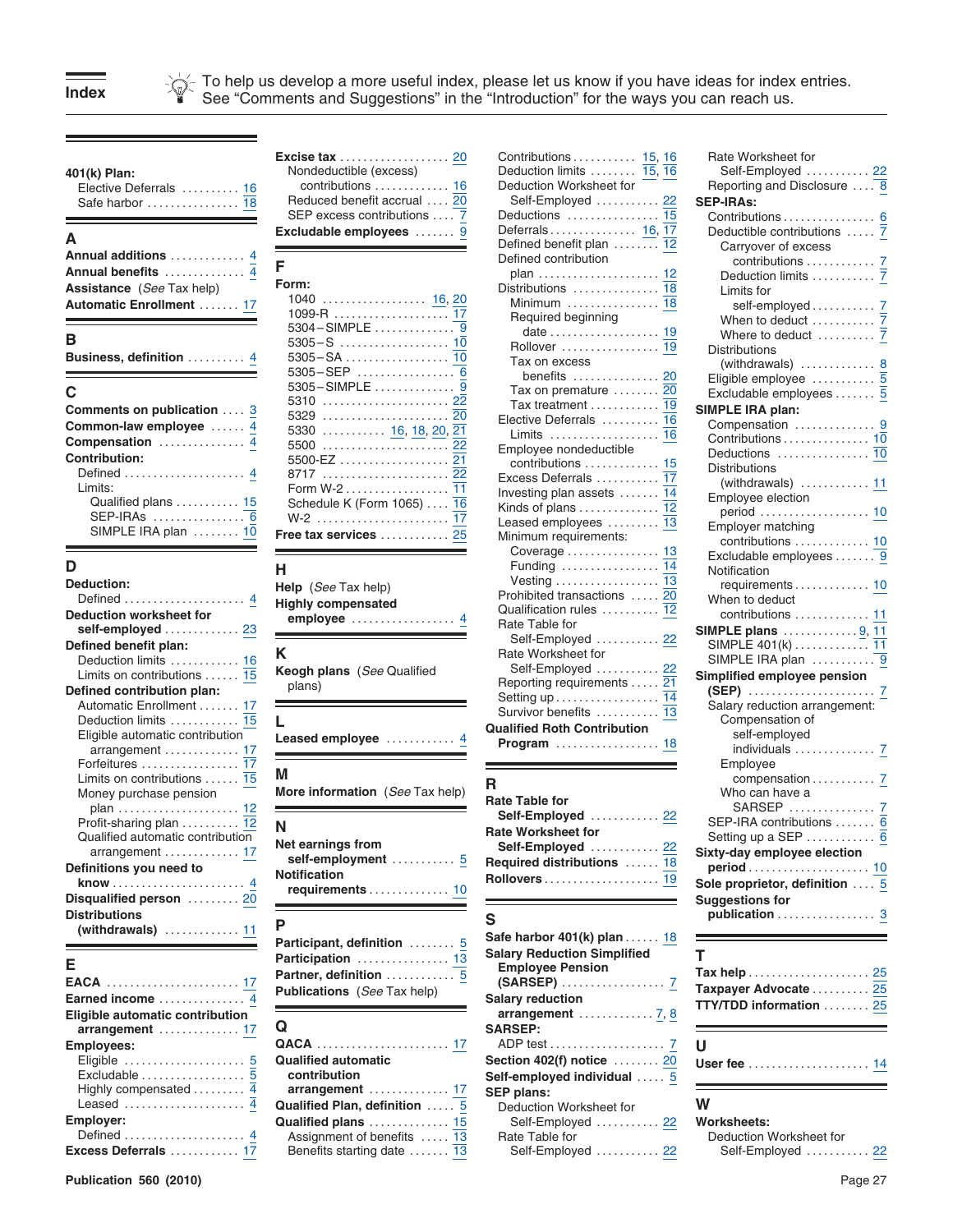To help us develop a more useful index, please let us know if you have ideas for index entries.<br>**Index** See "Comments and Suggestions" in the "Introduction" for the ways you can reach us.

| Annual additions  4              |  |
|----------------------------------|--|
| <b>Assistance</b> (See Tax help) |  |
| Automatic Enrollment  17         |  |
|                                  |  |
|                                  |  |
| B                                |  |
| Business, definition  4          |  |

| Comments on publication  3<br>Common-law employee  4<br>Compensation  4 |  |
|-------------------------------------------------------------------------|--|
| <b>Contribution:</b>                                                    |  |
| Defined  4<br>Limits:                                                   |  |
| Qualified plans  15<br>SEP-IRAs  6                                      |  |
| SIMPLE IRA plan  10                                                     |  |

| Deduction:                               |
|------------------------------------------|
| Defined  4                               |
| <b>Deduction worksheet for</b>           |
| self-employed  23                        |
| Defined benefit plan:                    |
| Deduction limits  16                     |
| Limits on contributions $\overline{15}$  |
| Defined contribution plan:               |
| Automatic Enrollment  17                 |
| Deduction limits  15                     |
| Eligible automatic contribution          |
| $arrangement \dots \dots \dots \dots 17$ |
|                                          |
| Limits on contributions  15              |
| Money purchase pension                   |
| plan  12                                 |
| Profit-sharing plan 12                   |
| Qualified automatic contribution         |
| arrangement  17                          |
| Definitions you need to                  |
|                                          |
| Disqualified person  20                  |
| <b>Distributions</b>                     |
| (withdrawals) $\ldots$ 11                |
| E                                        |

| c.                                   |
|--------------------------------------|
| EACA  17                             |
| Earned income $\ldots \ldots \ldots$ |
| Eligible automatic contribution      |
| arrangement  17                      |
| <b>Employees:</b>                    |
|                                      |
|                                      |
|                                      |
|                                      |
| <b>Employer:</b>                     |
|                                      |
|                                      |
|                                      |

| 401(k) Plan:<br>Elective Deferrals  16<br>Safe harbor  18                           | Excise tax $\ldots \ldots \ldots \ldots \ldots 20$<br>Nondeductible (excess)<br>contributions $\ldots \ldots \ldots \ldots$ 16<br>Reduced benefit accrual  20<br>SEP excess contributions  7 | Contributions  15, 16<br>Deduction limits  15, 16<br>Deduction Worksheet for<br>Self-Employed  22<br>Deductions  15                                 | Rate Worksheet for<br>Self-Employed<br>Reporting and Disc<br><b>SEP-IRAS:</b><br>Contributions             |
|-------------------------------------------------------------------------------------|----------------------------------------------------------------------------------------------------------------------------------------------------------------------------------------------|-----------------------------------------------------------------------------------------------------------------------------------------------------|------------------------------------------------------------------------------------------------------------|
| А                                                                                   | Excludable employees  9                                                                                                                                                                      | Deferrals 16, 17                                                                                                                                    | Deductible contribu                                                                                        |
| Annual additions  4<br><b>Assistance</b> (See Tax help)<br>Automatic Enrollment  17 | Form:                                                                                                                                                                                        | Defined benefit plan  12<br>Defined contribution<br>plan  12<br>Distributions  18<br>Minimum $\ldots \ldots \ldots \ldots 18$<br>Required beginning | Carryover of exce<br>contributions<br>Deduction limits.<br>Limits for<br>self-employed.<br>When to deduct. |
| В<br>Business, definition  4                                                        |                                                                                                                                                                                              | date  19<br>Rollover  19<br>Tax on excess                                                                                                           | Where to deduct<br><b>Distributions</b><br>(withdrawals)                                                   |
| C                                                                                   | $5305 - SIMPLE$ 9<br>5310 22                                                                                                                                                                 | Tax on premature  20<br>$\overline{A}$<br>$T_{\alpha}$ , tractmant                                                                                  | Eligible employee.<br>Excludable employe                                                                   |

| $5305 - 511$ MPLE          |
|----------------------------|
|                            |
|                            |
| 5330  16, 18, 20, 2        |
|                            |
|                            |
|                            |
| Form W-2 1 <sup>-</sup>    |
| Schedule K (Form 1065)  16 |
|                            |
| Free tax services  25      |
|                            |

| <b>Deduction:</b>                                      | Help (See Tax help)                | Vesting $\ldots \ldots \ldots \ldots \ldots 13$ | requirements 10                                                 |
|--------------------------------------------------------|------------------------------------|-------------------------------------------------|-----------------------------------------------------------------|
| Defined  4                                             | <b>Highly compensated</b>          | Prohibited transactions  20                     | When to deduct                                                  |
| <b>Deduction worksheet for</b>                         | employee  4                        | Qualification rules  12                         | contributions  11                                               |
| self-employed  23                                      |                                    | Rate Table for                                  | SIMPLE plans  9, 11                                             |
| Defined benefit plan:                                  |                                    | Self-Employed  22                               | SIMPLE $401(k)$ 11                                              |
| Deduction limits  16                                   | K                                  | Rate Worksheet for                              | SIMPLE IRA plan  9                                              |
| Limits on contributions $\overline{15}$                | Keogh plans (See Qualified         | Self-Employed  22<br>Reporting requirements  21 | Simplified employee pension                                     |
| Defined contribution plan:                             | plans)                             |                                                 |                                                                 |
| Automatic Enrollment  17                               |                                    |                                                 | Salary reduction arrangement:                                   |
| Deduction limits  15                                   |                                    | Survivor benefits  13                           | Compensation of                                                 |
| Eligible automatic contribution                        | Leased employee  4                 | <b>Qualified Roth Contribution</b>              | self-employed                                                   |
| arrangement  17                                        |                                    | Program  18                                     | individuals  7                                                  |
|                                                        |                                    |                                                 | Employee                                                        |
| Limits on contributions $\overline{15}$                | М                                  | R.                                              |                                                                 |
| Money purchase pension                                 | More information (See Tax help)    | <b>Rate Table for</b>                           | Who can have a                                                  |
| plan  12                                               |                                    |                                                 | SARSEP  7                                                       |
| Profit-sharing plan  12                                | N                                  | Self-Employed  22                               | SEP-IRA contributions $\overline{6}$                            |
| Qualified automatic contribution                       | Net earnings from                  | <b>Rate Worksheet for</b>                       | Setting up a SEP  6                                             |
| $arrangement \ldots \ldots \ldots 17$                  |                                    | Self-Employed  22                               | Sixty-day employee election                                     |
| Definitions you need to                                | self-employment  5                 | Required distributions  18                      | period  10                                                      |
|                                                        | <b>Notification</b>                |                                                 | Sole proprietor, definition  5                                  |
| Disqualified person  20                                |                                    |                                                 | <b>Suggestions for</b>                                          |
| <b>Distributions</b>                                   |                                    |                                                 | publication  3                                                  |
|                                                        | P                                  | S                                               |                                                                 |
|                                                        | Participant, definition  5         | Safe harbor $401(k)$ plan $\dots$ . 18          |                                                                 |
|                                                        | Participation  13                  | <b>Salary Reduction Simplified</b>              |                                                                 |
|                                                        | Partner, definition  5             | <b>Employee Pension</b>                         | Tax help  25                                                    |
| EACA  17                                               | <b>Publications</b> (See Tax help) |                                                 | Taxpayer Advocate  25                                           |
| Earned income  4                                       |                                    | <b>Salary reduction</b>                         | TTY/TDD information  25                                         |
| Eligible automatic contribution                        |                                    | arrangement $\ldots \ldots \ldots \ldots$ 7, 8  |                                                                 |
|                                                        | Q                                  | <b>SARSEP:</b>                                  |                                                                 |
| <b>Employees:</b>                                      |                                    |                                                 | U                                                               |
| Eligible $\ldots \ldots \ldots \ldots \ldots \ldots 5$ | <b>Qualified automatic</b>         | Section 402(f) notice $\ldots \ldots \ldots 20$ | User fee  14                                                    |
| Excludable  5                                          | contribution                       | Self-employed individual  5                     |                                                                 |
| Highly compensated  4                                  | arrangement  17                    | <b>SEP plans:</b>                               |                                                                 |
|                                                        | Qualified Plan, definition  5      | Deduction Worksheet for                         | W                                                               |
| Employer:                                              |                                    | Self-Employed  22                               | Worksheets:                                                     |
| Defined                                                |                                    |                                                 | $\mathbf{r}$ and $\mathbf{r}$ and $\mathbf{r}$ and $\mathbf{r}$ |

| <b>Contribution:</b>                           | 5500-EZ 21                                                                                                            | contributions  15                  | <b>Distributions</b>            |
|------------------------------------------------|-----------------------------------------------------------------------------------------------------------------------|------------------------------------|---------------------------------|
| Defined  4                                     |                                                                                                                       | Excess Deferrals  17               | $(withdrawals)$ 11              |
| Limits:                                        |                                                                                                                       | Investing plan assets  14          | Employee election               |
| Qualified plans  15<br>SEP-IRAs  6             | Schedule K (Form 1065)  16                                                                                            | Kinds of plans  12                 | period  10                      |
| SIMPLE IRA plan $\dots \dots$ 10               | W-2  17                                                                                                               | Leased employees  13               | Employer matching               |
|                                                | Free tax services  25                                                                                                 | Minimum requirements:              | contributions  10               |
|                                                |                                                                                                                       | Coverage  13                       | Excludable employees  9         |
| D                                              | H.                                                                                                                    | Funding  14                        | <b>Notification</b>             |
| <b>Deduction:</b>                              | Help (See Tax help)                                                                                                   | Vesting  13                        | requirements 10                 |
| Defined  4                                     | <b>Highly compensated</b>                                                                                             | Prohibited transactions  20        | When to deduct                  |
| Deduction worksheet for                        | employee  4                                                                                                           |                                    | contributions  11               |
| self-employed  23                              |                                                                                                                       | Rate Table for                     | <b>SIMPLE plans</b> 9, 11       |
| Defined benefit plan:                          |                                                                                                                       | Self-Employed  22                  |                                 |
| Deduction limits  16                           | Κ                                                                                                                     | Rate Worksheet for                 | SIMPLE IRA plan  9              |
| Limits on contributions  15                    | <b>Keogh plans</b> (See Qualified                                                                                     | Self-Employed  22                  | Simplified employee pension     |
| Defined contribution plan:                     | plans)                                                                                                                | Reporting requirements 21          |                                 |
| Automatic Enrollment  17                       |                                                                                                                       |                                    | Salary reduction arrangement:   |
| Deduction limits  15                           | L                                                                                                                     | Survivor benefits  13              | Compensation of                 |
| Eligible automatic contribution                | Leased employee  4                                                                                                    | <b>Qualified Roth Contribution</b> | self-employed                   |
| arrangement  17                                |                                                                                                                       |                                    | individuals  7                  |
|                                                |                                                                                                                       |                                    | Employee                        |
| Limits on contributions $\ldots$ 15            | M                                                                                                                     | R                                  | compensation 7                  |
| Money purchase pension                         | More information (See Tax help)                                                                                       |                                    | Who can have a                  |
| plan  12                                       | <u> 1980 - Johann Barn, mars eta bainar eta bat erroman erroman erroman erroman erroman erroman erroman erroman e</u> | <b>Rate Table for</b>              | SARSEP  7                       |
| Profit-sharing plan  12                        | N                                                                                                                     | Self-Employed  22                  | SEP-IRA contributions  6        |
| Qualified automatic contribution               | Net earnings from                                                                                                     | <b>Rate Worksheet for</b>          | Setting up a SEP $\overline{6}$ |
| arrangement  17                                | self-employment  5                                                                                                    | Self-Employed  22                  | Sixty-day employee election     |
| Definitions you need to                        |                                                                                                                       | Required distributions  18         |                                 |
|                                                | <b>Notification</b>                                                                                                   | <b>Rollovers</b> 19                | Sole proprietor, definition  5  |
| Disqualified person  20                        | requirements  10                                                                                                      |                                    | <b>Suggestions for</b>          |
| <b>Distributions</b>                           |                                                                                                                       | S                                  | publication  3                  |
| (withdrawals) $\ldots$ 11                      | P                                                                                                                     |                                    |                                 |
| <u> 1980 - Johann Barnett, fransk kongresu</u> | Participant, definition  5                                                                                            | Safe harbor $401(k)$ plan 18       |                                 |
|                                                | Participation  13                                                                                                     | <b>Salary Reduction Simplified</b> | т                               |
| E                                              | Partner, definition  5                                                                                                | <b>Employee Pension</b>            | Tax help  25                    |
|                                                | <b>Publications</b> (See Tax help)                                                                                    |                                    | Taxpayer Advocate  25           |
| Earned income  4                               |                                                                                                                       | <b>Salary reduction</b>            | TTY/TDD information  25         |
| Eligible automatic contribution                |                                                                                                                       |                                    |                                 |
| arrangement  17                                | Q                                                                                                                     | <b>SARSEP:</b>                     |                                 |
| <b>Employees:</b>                              |                                                                                                                       |                                    | U                               |
| Eligible  5                                    | <b>Qualified automatic</b>                                                                                            | <b>Section 402(f) notice  20</b>   |                                 |
|                                                | contribution                                                                                                          | Self-employed individual  5        |                                 |
| Highly compensated  4                          | arrangement  17                                                                                                       | <b>SEP plans:</b>                  |                                 |
| Leased  4                                      | Qualified Plan, definition  5                                                                                         | Deduction Worksheet for            | W                               |
| Employer:                                      | Qualified plans  15                                                                                                   | Self-Employed  22                  | Worksheets:                     |
| Defined  4                                     | Assignment of benefits  13                                                                                            | Rate Table for                     | Deduction Worksheet for         |
| Excess Deferrals  17                           | Benefits starting date  13                                                                                            | Self-Employed  22                  | Self-Employed  22               |
| <b>Publication 560 (2010)</b>                  |                                                                                                                       |                                    | Page 27                         |
|                                                |                                                                                                                       |                                    |                                 |
|                                                |                                                                                                                       |                                    |                                 |
|                                                |                                                                                                                       |                                    |                                 |
|                                                |                                                                                                                       |                                    |                                 |
|                                                |                                                                                                                       |                                    |                                 |

|                                  |                                                                                                                        | <u> COMMIDUATORS 10, 10</u>                                      | nale <i>Worksheel for</i>      |
|----------------------------------|------------------------------------------------------------------------------------------------------------------------|------------------------------------------------------------------|--------------------------------|
| 401(k) Plan:                     | Nondeductible (excess)                                                                                                 | Deduction limits  15, 16                                         | Self-Employed  22              |
| Elective Deferrals  16           | contributions  16                                                                                                      | Deduction Worksheet for                                          | Reporting and Disclosure  8    |
| Safe harbor  18                  | Reduced benefit accrual  20                                                                                            | Self-Employed  22                                                | <b>SEP-IRAs:</b>               |
|                                  | SEP excess contributions  7                                                                                            | Deductions  15                                                   | Contributions 6                |
|                                  | Excludable employees  9                                                                                                | Deferrals 16, 17                                                 | Deductible contributions  7    |
| A                                |                                                                                                                        | Defined benefit plan  12                                         |                                |
| Annual additions  4              |                                                                                                                        | Defined contribution                                             | Carryover of excess            |
| Annual benefits  4               | F                                                                                                                      |                                                                  | contributions  7               |
|                                  | Form:                                                                                                                  | plan  12                                                         | Deduction limits  7            |
| <b>Assistance</b> (See Tax help) |                                                                                                                        | Distributions  18                                                | Limits for                     |
| <b>Automatic Enrollment</b> 17   |                                                                                                                        | Minimum  18                                                      | self-employed 7                |
|                                  | $5304 - SIMPLE$ 9                                                                                                      | Required beginning                                               |                                |
|                                  |                                                                                                                        | date  19                                                         | Where to deduct  7             |
|                                  |                                                                                                                        | Rollover  19                                                     | <b>Distributions</b>           |
| Business, definition  4          |                                                                                                                        | Tax on excess                                                    | (withdrawals) $\ldots$ 8       |
|                                  |                                                                                                                        | benefits  20                                                     | Eligible employee  5           |
| С                                |                                                                                                                        | Tax on premature  20                                             | Excludable employees  5        |
| <b>Comments on publication</b> 3 | 5310  22                                                                                                               | Tax treatment  19                                                | SIMPLE IRA plan:               |
|                                  | 5329  20                                                                                                               | Elective Deferrals  16                                           | Compensation  9                |
| Common-law employee  4           | $5330$ 16, 18, 20, 21                                                                                                  |                                                                  | Contributions 10               |
| Compensation  4                  |                                                                                                                        | Employee nondeductible                                           |                                |
| Contribution:                    |                                                                                                                        | contributions  15                                                | Deductions  10                 |
|                                  |                                                                                                                        | Excess Deferrals  17                                             | <b>Distributions</b>           |
| Limits:                          | Form W-2 11                                                                                                            | Investing plan assets  14                                        | (withdrawals)  11              |
| Qualified plans  15              | Schedule K (Form 1065)  16                                                                                             | Kinds of plans $\dots \dots \dots \dots 12$                      | Employee election              |
| SEP-IRAs  6                      |                                                                                                                        |                                                                  | period  10                     |
| SIMPLE IRA plan $\dots \dots$ 10 | Free tax services  25                                                                                                  | Leased employees  13                                             | Employer matching              |
|                                  |                                                                                                                        | Minimum requirements:                                            | contributions  10              |
|                                  |                                                                                                                        | Coverage  13                                                     | Excludable employees  9        |
| D                                | н.                                                                                                                     | Funding $\dots\dots\dots\dots\dots\dots$ 14                      | Notification                   |
| <b>Deduction:</b>                | Help (See Tax help)                                                                                                    |                                                                  | requirements 10                |
|                                  | <b>Highly compensated</b>                                                                                              | Prohibited transactions  20                                      | When to deduct                 |
| Deduction worksheet for          | employee  4                                                                                                            | Qualification rules  12                                          | contributions  11              |
| self-employed  23                | <u> 1989 - Johann Barn, mars ann an t-Amhain an t-Amhain ann an t-Amhain an t-Amhain an t-Amhain an t-Amhain an t-</u> | Rate Table for                                                   | <b>SIMPLE plans</b> 9, 11      |
| Defined benefit plan:            |                                                                                                                        | Self-Employed  22                                                | SIMPLE 401(k)  11              |
| Deduction limits  16             | Κ                                                                                                                      | Rate Worksheet for                                               | SIMPLE IRA plan  9             |
| Limits on contributions  15      | Keogh plans (See Qualified                                                                                             | Self-Employed  22                                                | Simplified employee pension    |
|                                  | plans)                                                                                                                 | Reporting requirements  21                                       |                                |
| Defined contribution plan:       |                                                                                                                        |                                                                  |                                |
| Automatic Enrollment  17         |                                                                                                                        | Survivor benefits  13                                            | Salary reduction arrangement:  |
| Deduction limits  15             | L                                                                                                                      | <b>Qualified Roth Contribution</b>                               | Compensation of                |
| Eligible automatic contribution  | Leased employee  4                                                                                                     | Program  18                                                      | self-employed                  |
| arrangement  17                  |                                                                                                                        |                                                                  |                                |
|                                  | M                                                                                                                      |                                                                  | Employee                       |
| Limits on contributions  15      |                                                                                                                        | R                                                                | compensation 7                 |
| Money purchase pension           | More information (See Tax help)                                                                                        | <b>Rate Table for</b>                                            | Who can have a                 |
| plan  12                         |                                                                                                                        | Self-Employed  22                                                | SARSEP  7                      |
| Profit-sharing plan  12          | N                                                                                                                      |                                                                  | SEP-IRA contributions  6       |
| Qualified automatic contribution |                                                                                                                        | <b>Rate Worksheet for</b>                                        | Setting up a SEP  6            |
| arrangement  17                  | Net earnings from                                                                                                      | Self-Employed  22                                                | Sixty-day employee election    |
| Definitions you need to          | self-employment  5                                                                                                     | Required distributions  18                                       |                                |
|                                  | <b>Notification</b>                                                                                                    |                                                                  | Sole proprietor, definition  5 |
| Disqualified person  20          | requirements  10                                                                                                       |                                                                  | <b>Suggestions for</b>         |
|                                  |                                                                                                                        |                                                                  |                                |
| <b>Distributions</b>             | P                                                                                                                      |                                                                  | publication  3                 |
| (withdrawals) $\ldots$ 11        |                                                                                                                        |                                                                  |                                |
|                                  |                                                                                                                        |                                                                  |                                |
|                                  | Participant, definition  5                                                                                             | Safe harbor 401(k) plan 18<br><b>Salary Reduction Simplified</b> | T.                             |

# **EACA** ....................... <sup>17</sup> **(SARSEP)** .................. <sup>7</sup> **Publications** (See Tax help) **Taxpayer Advocate** .......... <sup>25</sup> **Earned income** ............... <sup>4</sup> **Salary reduction TTY/TDD information** ........ <sup>25</sup>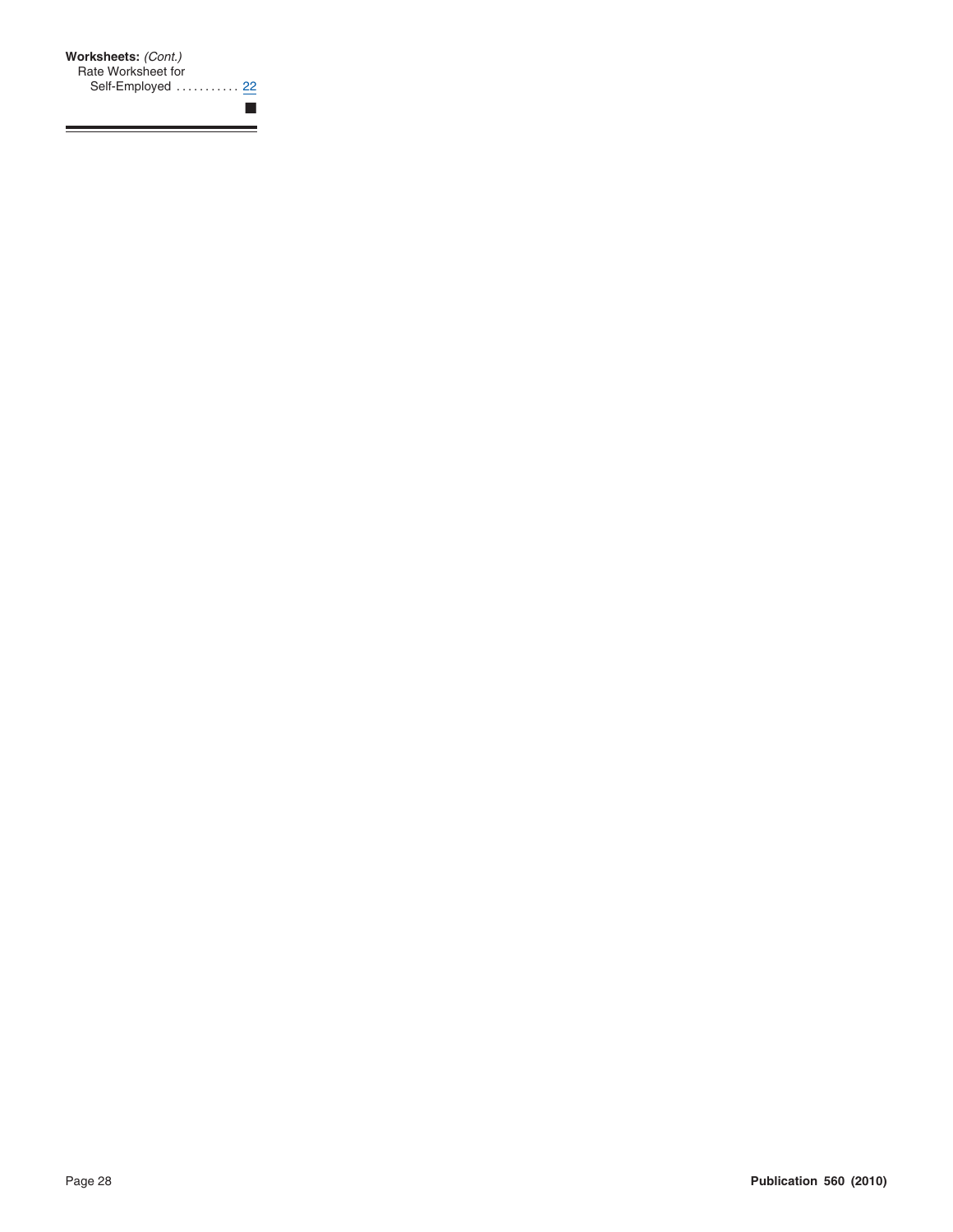**Worksheets:** *(Cont.)*<br>Rate Worksheet for Self-Employed ........... 22 ■

 $\equiv$